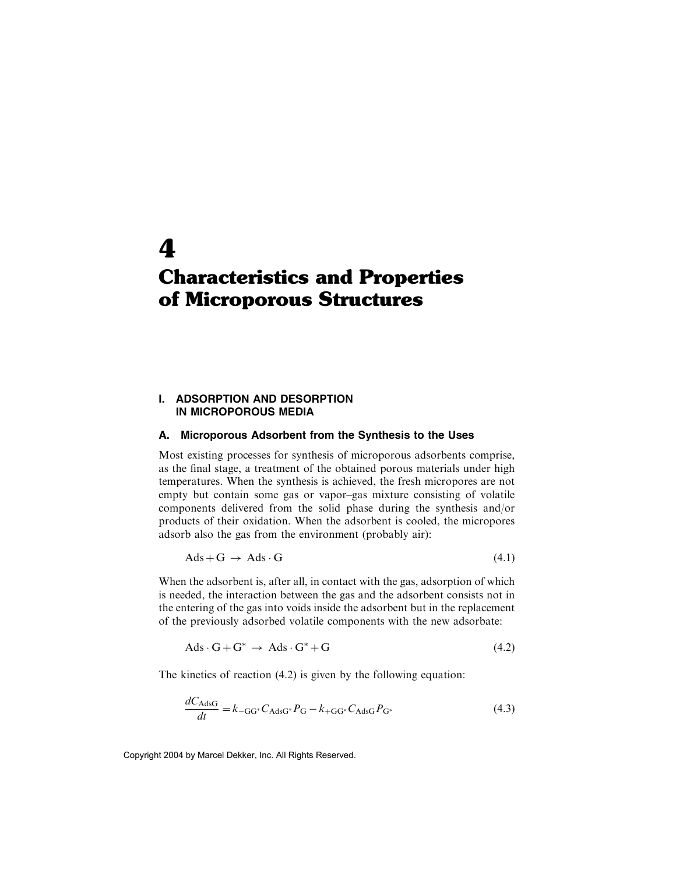# <span id="page-0-0"></span>4 Characteristics and Properties of Microporous Structures

## I. ADSORPTION AND DESORPTION IN MICROPOROUS MEDIA

## A. Microporous Adsorbent from the Synthesis to the Uses

Most existing processes for synthesis of microporous adsorbents comprise, as the final stage, a treatment of the obtained porous materials under high temperatures. When the synthesis is achieved, the fresh micropores are not empty but contain some gas or vapor–gas mixture consisting of volatile components delivered from the solid phase during the synthesis and/or products of their oxidation. When the adsorbent is cooled, the micropores adsorb also the gas from the environment (probably air):

$$
Ads + G \rightarrow Ads \cdot G \tag{4.1}
$$

When the adsorbent is, after all, in contact with the gas, adsorption of which is needed, the interaction between the gas and the adsorbent consists not in the entering of the gas into voids inside the adsorbent but in the replacement of the previously adsorbed volatile components with the new adsorbate:

$$
Ads \cdot G + G^* \to Ads \cdot G^* + G \tag{4.2}
$$

The kinetics of reaction (4.2) is given by the following equation:

$$
\frac{dC_{\text{AdsG}}}{dt} = k_{-\text{GG}^*} C_{\text{AdsG}^*} P_{\text{G}} - k_{+\text{GG}^*} C_{\text{AdsG}} P_{\text{G}^*}
$$
(4.3)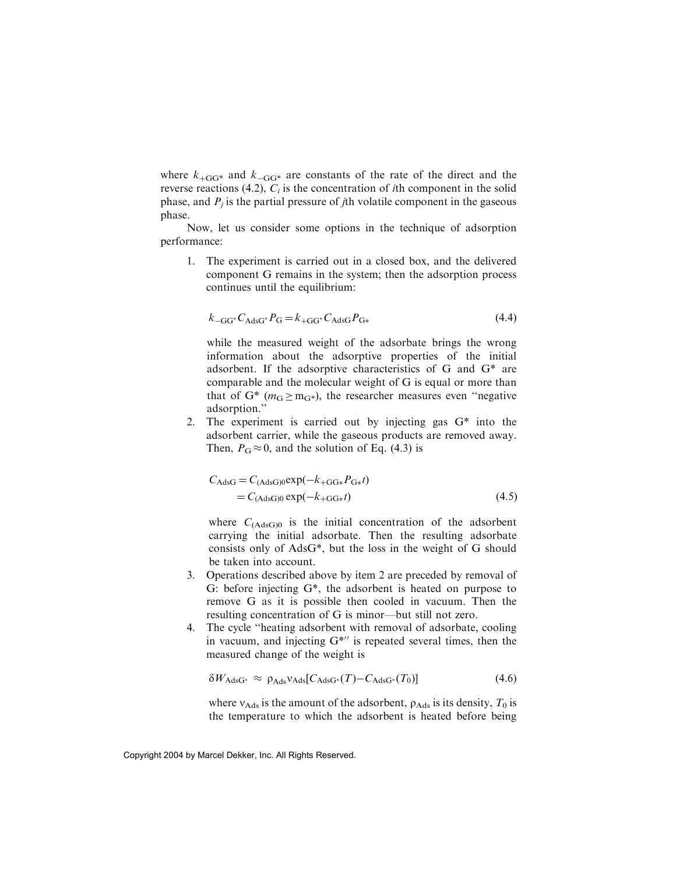where  $k_{\text{+GG*}}$  and  $k_{\text{-GG*}}$  are constants of the rate of the direct and the reverse reactions (4.2),  $C_i$  is the concentration of *i*th component in the solid phase, and  $P_i$  is the partial pressure of *j*th volatile component in the gaseous phase.

Now, let us consider some options in the technique of adsorption performance:

1. The experiment is carried out in a closed box, and the delivered component G remains in the system; then the adsorption process continues until the equilibrium:

$$
k_{-\text{GG}^*}C_{\text{AdsG}^*}P_{\text{G}} = k_{+\text{GG}^*}C_{\text{AdsG}}P_{\text{G}*}
$$
\n
$$
\tag{4.4}
$$

while the measured weight of the adsorbate brings the wrong information about the adsorptive properties of the initial adsorbent. If the adsorptive characteristics of G and G\* are comparable and the molecular weight of G is equal or more than that of  $G^*$  ( $m_G \ge m_{G^*}$ ), the researcher measures even "negative" adsorption.''

2. The experiment is carried out by injecting gas G\* into the adsorbent carrier, while the gaseous products are removed away. Then,  $P_G \approx 0$ , and the solution of Eq. (4.3) is

$$
C_{\text{AdsG}} = C_{(\text{AdsG})0} \exp(-k_{+\text{GG} *} P_{\text{G} *} t)
$$
  
=  $C_{(\text{AdsG})0} \exp(-k_{+\text{GG} *} t)$  (4.5)

where  $C_{(AdS)0}$  is the initial concentration of the adsorbent carrying the initial adsorbate. Then the resulting adsorbate consists only of AdsG\*, but the loss in the weight of G should be taken into account.

- 3. Operations described above by item 2 are preceded by removal of G: before injecting G\*, the adsorbent is heated on purpose to remove G as it is possible then cooled in vacuum. Then the resulting concentration of G is minor—but still not zero.
- 4. The cycle ''heating adsorbent with removal of adsorbate, cooling in vacuum, and injecting  $G^{\ast\prime\prime}$  is repeated several times, then the measured change of the weight is

$$
\delta W_{\rm AdsG^*} \approx \rho_{\rm Ads} V_{\rm Ads} [C_{\rm AdsG^*}(T) - C_{\rm AdsG^*}(T_0)] \tag{4.6}
$$

where  $v_{\text{Ads}}$  is the amount of the adsorbent,  $\rho_{\text{Ads}}$  is its density,  $T_0$  is the temperature to which the adsorbent is heated before being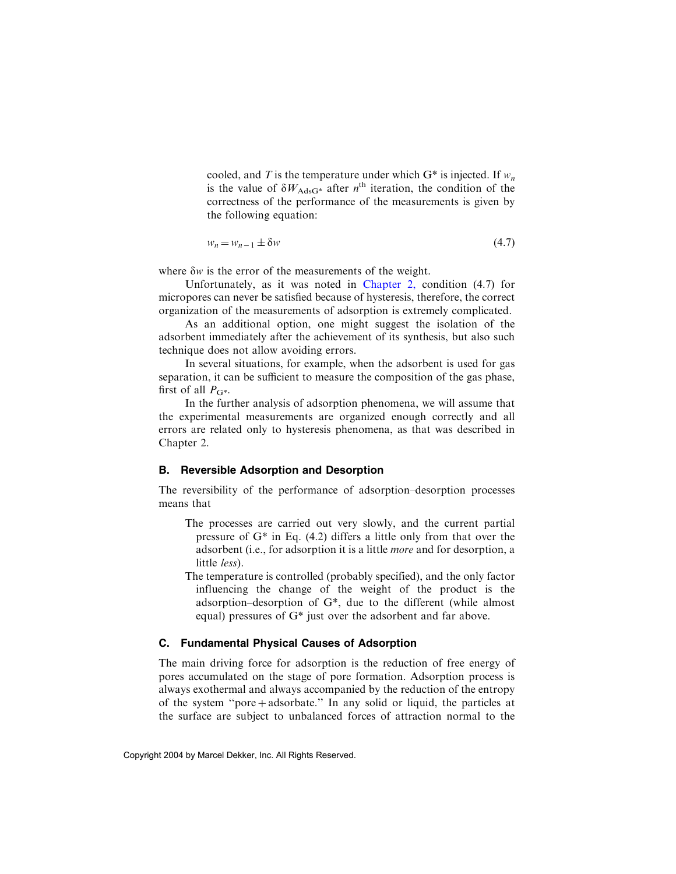<span id="page-2-0"></span>cooled, and T is the temperature under which  $G^*$  is injected. If  $w_n$ is the value of  $\delta W_{\text{AdS}G^*}$  after  $n^{\text{th}}$  iteration, the condition of the correctness of the performance of the measurements is given by the following equation:

$$
w_n = w_{n-1} \pm \delta w \tag{4.7}
$$

where  $\delta w$  is the error of the measurements of the weight.

Unfortunately, as it was noted in [Chapter 2,](#page-0-0) condition (4.7) for micropores can never be satisfied because of hysteresis, therefore, the correct organization of the measurements of adsorption is extremely complicated.

As an additional option, one might suggest the isolation of the adsorbent immediately after the achievement of its synthesis, but also such technique does not allow avoiding errors.

In several situations, for example, when the adsorbent is used for gas separation, it can be sufficient to measure the composition of the gas phase, first of all  $P_{G^*}$ .

In the further analysis of adsorption phenomena, we will assume that the experimental measurements are organized enough correctly and all errors are related only to hysteresis phenomena, as that was described in Chapter 2.

#### B. Reversible Adsorption and Desorption

The reversibility of the performance of adsorption–desorption processes means that

- The processes are carried out very slowly, and the current partial pressure of G\* in Eq. (4.2) differs a little only from that over the adsorbent (i.e., for adsorption it is a little more and for desorption, a little *less*).
- The temperature is controlled (probably specified), and the only factor influencing the change of the weight of the product is the adsorption–desorption of G\*, due to the different (while almost equal) pressures of G\* just over the adsorbent and far above.

#### C. Fundamental Physical Causes of Adsorption

The main driving force for adsorption is the reduction of free energy of pores accumulated on the stage of pore formation. Adsorption process is always exothermal and always accompanied by the reduction of the entropy of the system "pore  $+$  adsorbate." In any solid or liquid, the particles at the surface are subject to unbalanced forces of attraction normal to the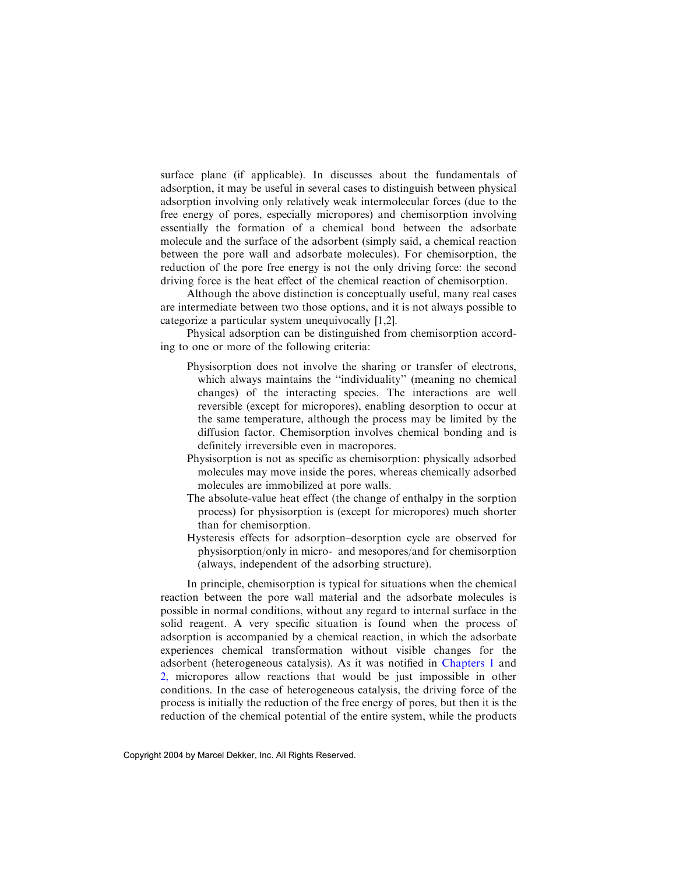surface plane (if applicable). In discusses about the fundamentals of adsorption, it may be useful in several cases to distinguish between physical adsorption involving only relatively weak intermolecular forces (due to the free energy of pores, especially micropores) and chemisorption involving essentially the formation of a chemical bond between the adsorbate molecule and the surface of the adsorbent (simply said, a chemical reaction between the pore wall and adsorbate molecules). For chemisorption, the reduction of the pore free energy is not the only driving force: the second driving force is the heat effect of the chemical reaction of chemisorption.

Although the above distinction is conceptually useful, many real cases are intermediate between two those options, and it is not always possible to categorize a particular system unequivocally [1,2].

Physical adsorption can be distinguished from chemisorption according to one or more of the following criteria:

- Physisorption does not involve the sharing or transfer of electrons, which always maintains the "individuality" (meaning no chemical changes) of the interacting species. The interactions are well reversible (except for micropores), enabling desorption to occur at the same temperature, although the process may be limited by the diffusion factor. Chemisorption involves chemical bonding and is definitely irreversible even in macropores.
- Physisorption is not as specific as chemisorption: physically adsorbed molecules may move inside the pores, whereas chemically adsorbed molecules are immobilized at pore walls.
- The absolute-value heat effect (the change of enthalpy in the sorption process) for physisorption is (except for micropores) much shorter than for chemisorption.
- Hysteresis effects for adsorption–desorption cycle are observed for physisorption/only in micro- and mesopores/and for chemisorption (always, independent of the adsorbing structure).

In principle, chemisorption is typical for situations when the chemical reaction between the pore wall material and the adsorbate molecules is possible in normal conditions, without any regard to internal surface in the solid reagent. A very specific situation is found when the process of adsorption is accompanied by a chemical reaction, in which the adsorbate experiences chemical transformation without visible changes for the adsorbent (heterogeneous catalysis). As it was notified in [Chapters 1](#page-0-0) and [2,](#page-0-0) micropores allow reactions that would be just impossible in other conditions. In the case of heterogeneous catalysis, the driving force of the process is initially the reduction of the free energy of pores, but then it is the reduction of the chemical potential of the entire system, while the products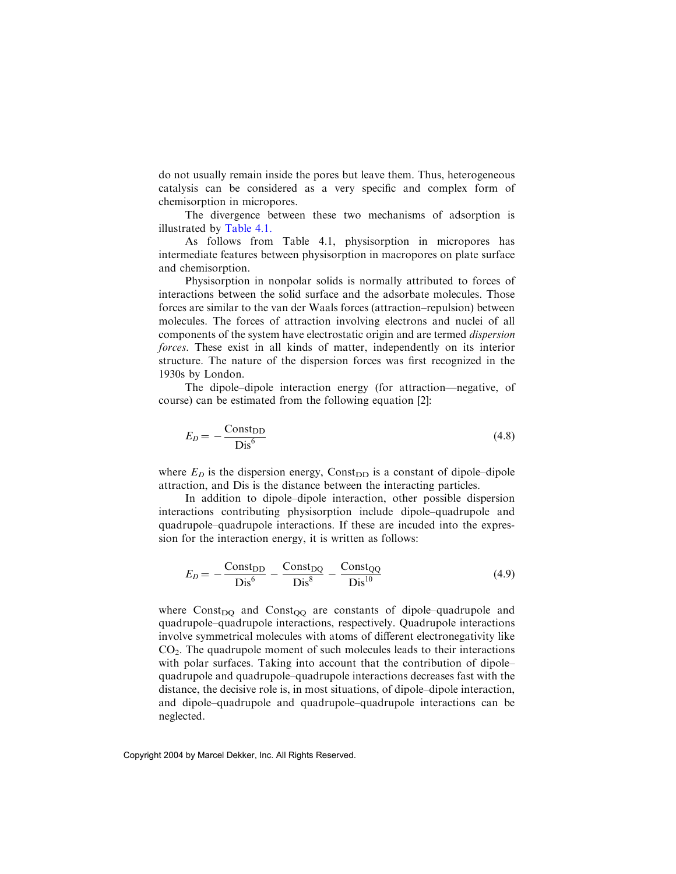do not usually remain inside the pores but leave them. Thus, heterogeneous catalysis can be considered as a very specific and complex form of chemisorption in micropores.

The divergence between these two mechanisms of adsorption is illustrated by [Table 4.1.](#page-5-0)

As follows from Table 4.1, physisorption in micropores has intermediate features between physisorption in macropores on plate surface and chemisorption.

Physisorption in nonpolar solids is normally attributed to forces of interactions between the solid surface and the adsorbate molecules. Those forces are similar to the van der Waals forces (attraction–repulsion) between molecules. The forces of attraction involving electrons and nuclei of all components of the system have electrostatic origin and are termed dispersion forces. These exist in all kinds of matter, independently on its interior structure. The nature of the dispersion forces was first recognized in the 1930s by London.

The dipole–dipole interaction energy (for attraction—negative, of course) can be estimated from the following equation [2]:

$$
E_D = -\frac{\text{Const}_{\text{DD}}}{\text{Dis}^6} \tag{4.8}
$$

where  $E_D$  is the dispersion energy, Const<sub>DD</sub> is a constant of dipole–dipole attraction, and Dis is the distance between the interacting particles.

In addition to dipole–dipole interaction, other possible dispersion interactions contributing physisorption include dipole–quadrupole and quadrupole–quadrupole interactions. If these are incuded into the expression for the interaction energy, it is written as follows:

$$
E_D = -\frac{\text{Const}_{DD}}{\text{Dis}^6} - \frac{\text{Const}_{DQ}}{\text{Dis}^8} - \frac{\text{Const}_{QQ}}{\text{Dis}^{10}} \tag{4.9}
$$

where  $Const<sub>DO</sub>$  and  $Const<sub>OO</sub>$  are constants of dipole–quadrupole and quadrupole–quadrupole interactions, respectively. Quadrupole interactions involve symmetrical molecules with atoms of different electronegativity like  $CO<sub>2</sub>$ . The quadrupole moment of such molecules leads to their interactions with polar surfaces. Taking into account that the contribution of dipolequadrupole and quadrupole–quadrupole interactions decreases fast with the distance, the decisive role is, in most situations, of dipole–dipole interaction, and dipole–quadrupole and quadrupole–quadrupole interactions can be neglected.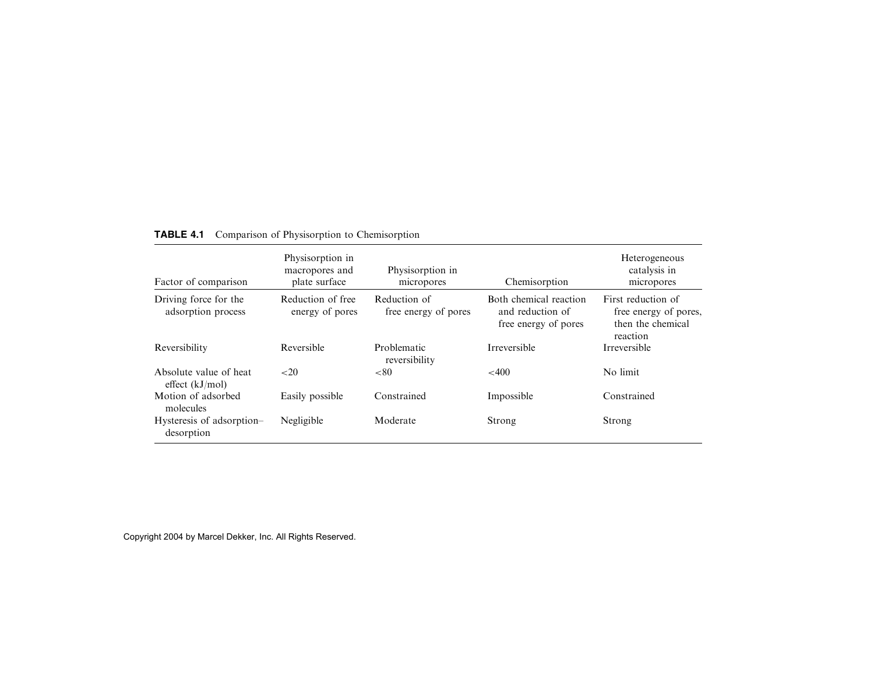| Factor of comparison                        | Physisorption in<br>macropores and<br>plate surface | Physisorption in<br>micropores       | Chemisorption                                                      | Heterogeneous<br>catalysis in<br>micropores                                  |
|---------------------------------------------|-----------------------------------------------------|--------------------------------------|--------------------------------------------------------------------|------------------------------------------------------------------------------|
| Driving force for the<br>adsorption process | Reduction of free<br>energy of pores                | Reduction of<br>free energy of pores | Both chemical reaction<br>and reduction of<br>free energy of pores | First reduction of<br>free energy of pores,<br>then the chemical<br>reaction |
| Reversibility                               | Reversible                                          | Problematic<br>reversibility         | <b>Irreversible</b>                                                | <b>Irreversible</b>                                                          |
| Absolute value of heat<br>effect $(kJ/mol)$ | <20                                                 | ${<}80$                              | ${<}400$                                                           | No limit                                                                     |
| Motion of adsorbed<br>molecules             | Easily possible                                     | Constrained                          | Impossible                                                         | Constrained                                                                  |
| Hysteresis of adsorption-<br>desorption     | Negligible                                          | Moderate                             | Strong                                                             | Strong                                                                       |

#### <span id="page-5-0"></span>**TABLE 4.1** Comparison of Physisorption to Chemisorption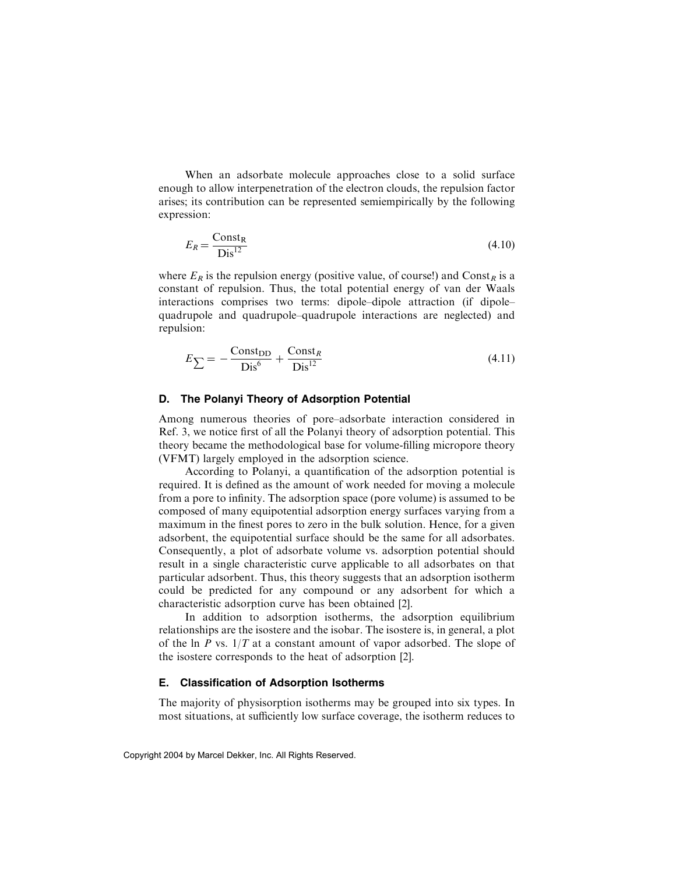When an adsorbate molecule approaches close to a solid surface enough to allow interpenetration of the electron clouds, the repulsion factor arises; its contribution can be represented semiempirically by the following expression:

$$
E_R = \frac{\text{Const}_R}{\text{Dis}^{12}}\tag{4.10}
$$

where  $E_R$  is the repulsion energy (positive value, of course!) and Const<sub>R</sub> is a constant of repulsion. Thus, the total potential energy of van der Waals interactions comprises two terms: dipole–dipole attraction (if dipole– quadrupole and quadrupole–quadrupole interactions are neglected) and repulsion:

$$
E_{\sum} = -\frac{\text{Const}_{\text{DD}}}{\text{Dis}^6} + \frac{\text{Const}_R}{\text{Dis}^{12}} \tag{4.11}
$$

#### D. The Polanyi Theory of Adsorption Potential

Among numerous theories of pore–adsorbate interaction considered in Ref. 3, we notice first of all the Polanyi theory of adsorption potential. This theory became the methodological base for volume-filling micropore theory (VFMT) largely employed in the adsorption science.

According to Polanyi, a quantification of the adsorption potential is required. It is defined as the amount of work needed for moving a molecule from a pore to infinity. The adsorption space (pore volume) is assumed to be composed of many equipotential adsorption energy surfaces varying from a maximum in the finest pores to zero in the bulk solution. Hence, for a given adsorbent, the equipotential surface should be the same for all adsorbates. Consequently, a plot of adsorbate volume vs. adsorption potential should result in a single characteristic curve applicable to all adsorbates on that particular adsorbent. Thus, this theory suggests that an adsorption isotherm could be predicted for any compound or any adsorbent for which a characteristic adsorption curve has been obtained [2].

In addition to adsorption isotherms, the adsorption equilibrium relationships are the isostere and the isobar. The isostere is, in general, a plot of the ln P vs.  $1/T$  at a constant amount of vapor adsorbed. The slope of the isostere corresponds to the heat of adsorption [2].

## E. Classification of Adsorption Isotherms

The majority of physisorption isotherms may be grouped into six types. In most situations, at sufficiently low surface coverage, the isotherm reduces to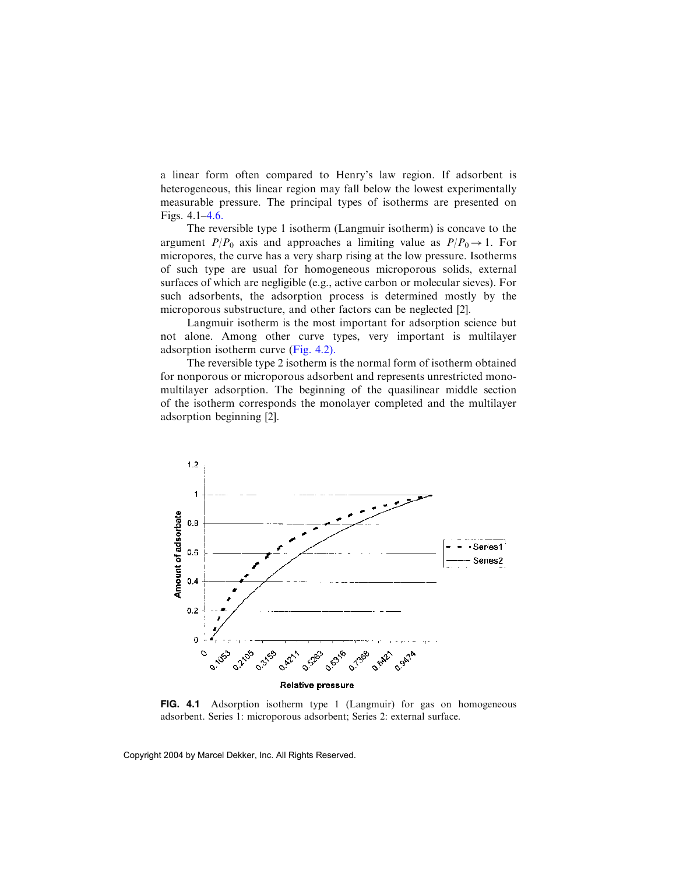<span id="page-7-0"></span>a linear form often compared to Henry's law region. If adsorbent is heterogeneous, this linear region may fall below the lowest experimentally measurable pressure. The principal types of isotherms are presented on Figs. 4.1[–4.6.](#page-10-0)

The reversible type 1 isotherm (Langmuir isotherm) is concave to the argument  $P/P_0$  axis and approaches a limiting value as  $P/P_0 \rightarrow 1$ . For micropores, the curve has a very sharp rising at the low pressure. Isotherms of such type are usual for homogeneous microporous solids, external surfaces of which are negligible (e.g., active carbon or molecular sieves). For such adsorbents, the adsorption process is determined mostly by the microporous substructure, and other factors can be neglected [2].

Langmuir isotherm is the most important for adsorption science but not alone. Among other curve types, very important is multilayer adsorption isotherm curve [\(Fig. 4.2\)](#page-8-0).

The reversible type 2 isotherm is the normal form of isotherm obtained for nonporous or microporous adsorbent and represents unrestricted monomultilayer adsorption. The beginning of the quasilinear middle section of the isotherm corresponds the monolayer completed and the multilayer adsorption beginning [2].



FIG. 4.1 Adsorption isotherm type 1 (Langmuir) for gas on homogeneous adsorbent. Series 1: microporous adsorbent; Series 2: external surface.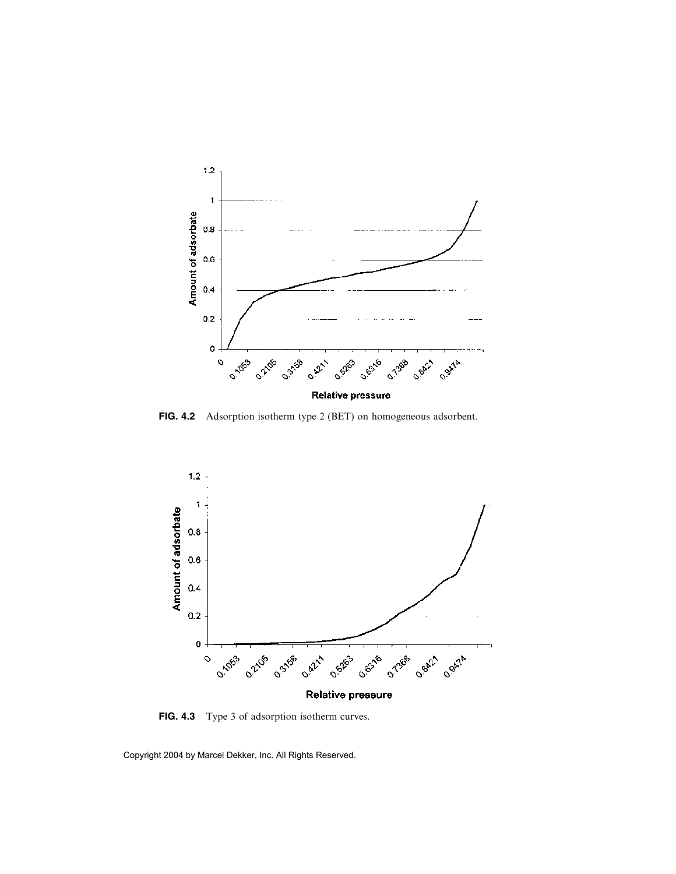<span id="page-8-0"></span>

FIG. 4.2 Adsorption isotherm type 2 (BET) on homogeneous adsorbent.



FIG. 4.3 Type 3 of adsorption isotherm curves.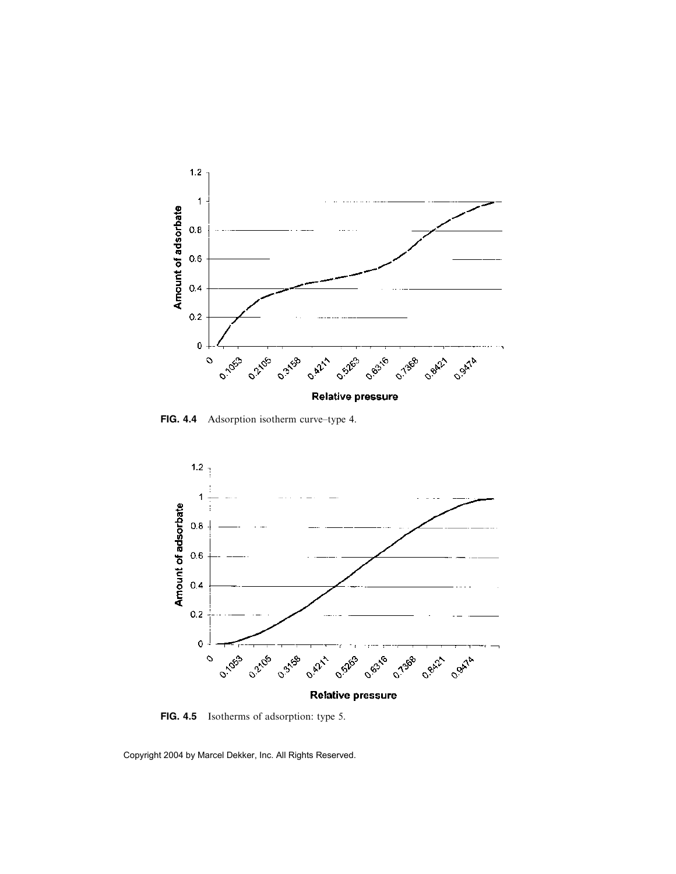<span id="page-9-0"></span>

FIG. 4.4 Adsorption isotherm curve–type 4.



FIG. 4.5 Isotherms of adsorption: type 5.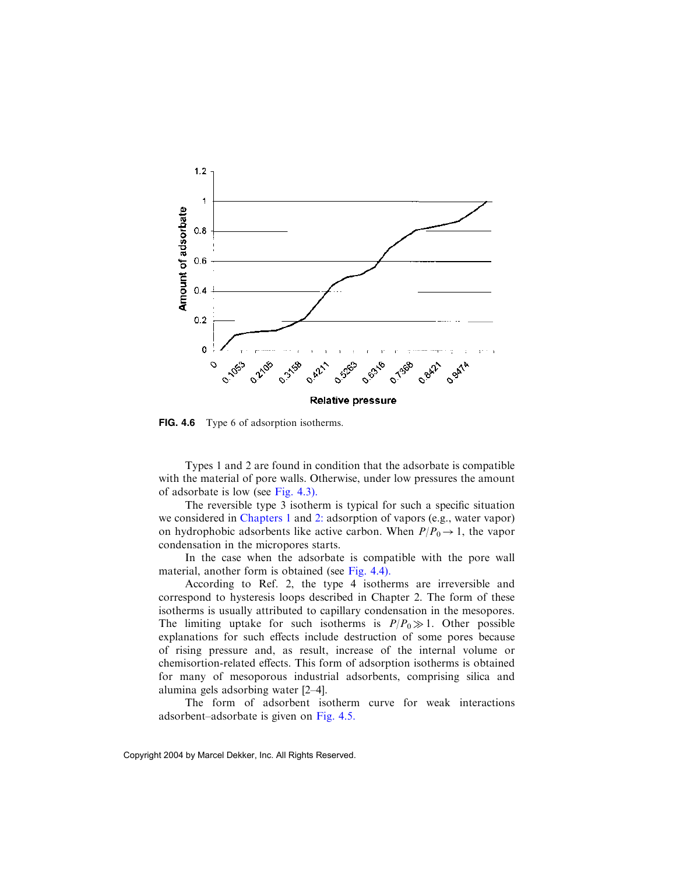<span id="page-10-0"></span>

FIG. 4.6 Type 6 of adsorption isotherms.

Types 1 and 2 are found in condition that the adsorbate is compatible with the material of pore walls. Otherwise, under low pressures the amount of adsorbate is low (see [Fig. 4.3\)](#page-8-0).

The reversible type 3 isotherm is typical for such a specific situation we considered in [Chapters 1](#page-0-0) and [2:](#page-0-0) adsorption of vapors (e.g., water vapor) on hydrophobic adsorbents like active carbon. When  $P/P_0 \rightarrow 1$ , the vapor condensation in the micropores starts.

In the case when the adsorbate is compatible with the pore wall material, another form is obtained (see [Fig. 4.4\)](#page-9-0).

According to Ref. 2, the type 4 isotherms are irreversible and correspond to hysteresis loops described in Chapter 2. The form of these isotherms is usually attributed to capillary condensation in the mesopores. The limiting uptake for such isotherms is  $P/P_0 \gg 1$ . Other possible explanations for such effects include destruction of some pores because of rising pressure and, as result, increase of the internal volume or chemisortion-related effects. This form of adsorption isotherms is obtained for many of mesoporous industrial adsorbents, comprising silica and alumina gels adsorbing water [2–4].

The form of adsorbent isotherm curve for weak interactions adsorbent–adsorbate is given on [Fig. 4.5.](#page-9-0)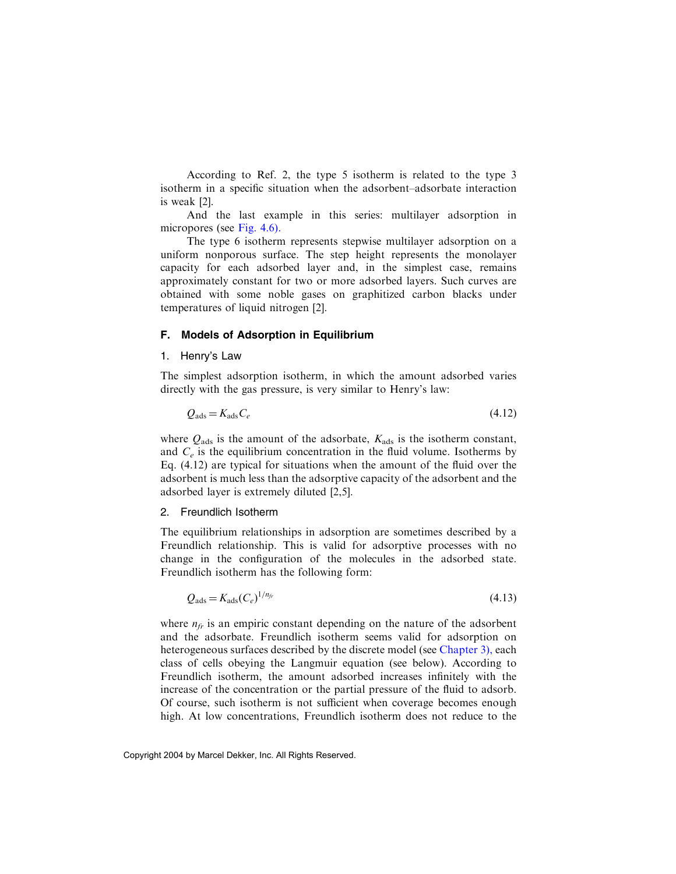According to Ref. 2, the type 5 isotherm is related to the type 3 isotherm in a specific situation when the adsorbent–adsorbate interaction is weak [2].

And the last example in this series: multilayer adsorption in micropores (see [Fig. 4.6\)](#page-10-0).

The type 6 isotherm represents stepwise multilayer adsorption on a uniform nonporous surface. The step height represents the monolayer capacity for each adsorbed layer and, in the simplest case, remains approximately constant for two or more adsorbed layers. Such curves are obtained with some noble gases on graphitized carbon blacks under temperatures of liquid nitrogen [2].

# F. Models of Adsorption in Equilibrium

## 1. Henry's Law

The simplest adsorption isotherm, in which the amount adsorbed varies directly with the gas pressure, is very similar to Henry's law:

$$
Q_{\text{ads}} = K_{\text{ads}} C_e \tag{4.12}
$$

where  $Q_{ads}$  is the amount of the adsorbate,  $K_{ads}$  is the isotherm constant, and  $C_e$  is the equilibrium concentration in the fluid volume. Isotherms by Eq. (4.12) are typical for situations when the amount of the fluid over the adsorbent is much less than the adsorptive capacity of the adsorbent and the adsorbed layer is extremely diluted [2,5].

## 2. Freundlich Isotherm

The equilibrium relationships in adsorption are sometimes described by a Freundlich relationship. This is valid for adsorptive processes with no change in the configuration of the molecules in the adsorbed state. Freundlich isotherm has the following form:

$$
Q_{\text{ads}} = K_{\text{ads}}(C_e)^{1/n_f} \tag{4.13}
$$

where  $n_f$  is an empiric constant depending on the nature of the adsorbent and the adsorbate. Freundlich isotherm seems valid for adsorption on heterogeneous surfaces described by the discrete model (see [Chapter 3\)](#page-0-0), each class of cells obeying the Langmuir equation (see below). According to Freundlich isotherm, the amount adsorbed increases infinitely with the increase of the concentration or the partial pressure of the fluid to adsorb. Of course, such isotherm is not sufficient when coverage becomes enough high. At low concentrations, Freundlich isotherm does not reduce to the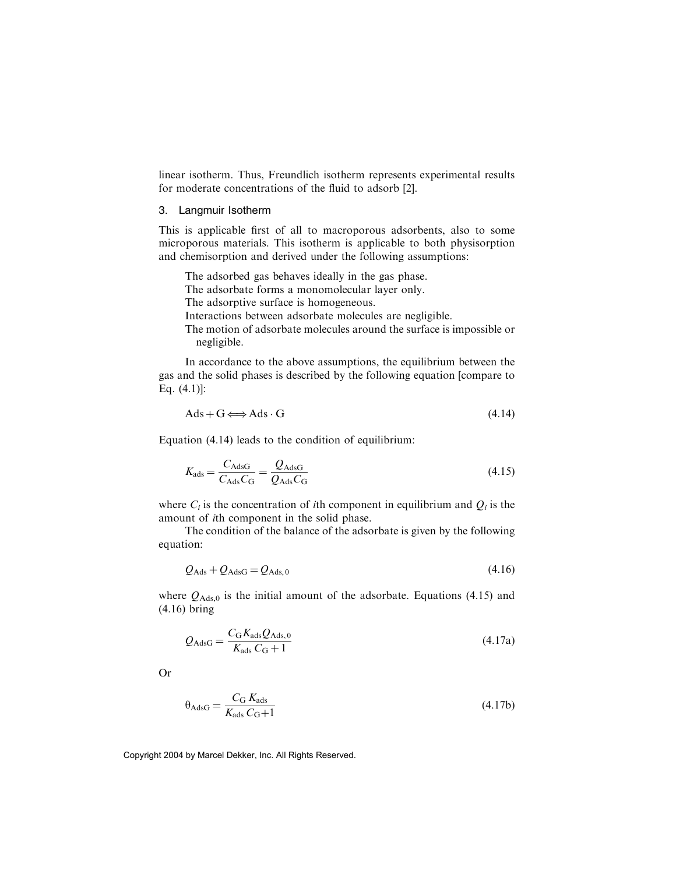linear isotherm. Thus, Freundlich isotherm represents experimental results for moderate concentrations of the fluid to adsorb [2].

### 3. Langmuir Isotherm

This is applicable first of all to macroporous adsorbents, also to some microporous materials. This isotherm is applicable to both physisorption and chemisorption and derived under the following assumptions:

The adsorbed gas behaves ideally in the gas phase. The adsorbate forms a monomolecular layer only. The adsorptive surface is homogeneous. Interactions between adsorbate molecules are negligible. The motion of adsorbate molecules around the surface is impossible or negligible.

In accordance to the above assumptions, the equilibrium between the gas and the solid phases is described by the following equation [compare to Eq. (4.1)]:

$$
Ads + G \Longleftrightarrow Ads \cdot G \tag{4.14}
$$

Equation (4.14) leads to the condition of equilibrium:

$$
K_{\rm ads} = \frac{C_{\rm AdsG}}{C_{\rm Ads}C_{\rm G}} = \frac{Q_{\rm AdsG}}{Q_{\rm Ads}C_{\rm G}}\tag{4.15}
$$

where  $C_i$  is the concentration of *i*th component in equilibrium and  $Q_i$  is the amount of ith component in the solid phase.

The condition of the balance of the adsorbate is given by the following equation:

$$
Q_{\text{Ads}} + Q_{\text{AdsG}} = Q_{\text{Ads},0} \tag{4.16}
$$

where  $Q_{\text{AdS}0}$  is the initial amount of the adsorbate. Equations (4.15) and (4.16) bring

$$
Q_{\rm AdsG} = \frac{C_{\rm G} K_{\rm ads} Q_{\rm Ads,0}}{K_{\rm ads} C_{\rm G} + 1}
$$
\n(4.17a)

Or

$$
\theta_{\rm AdsG} = \frac{C_{\rm G} K_{\rm ads}}{K_{\rm ads} C_{\rm G} + 1} \tag{4.17b}
$$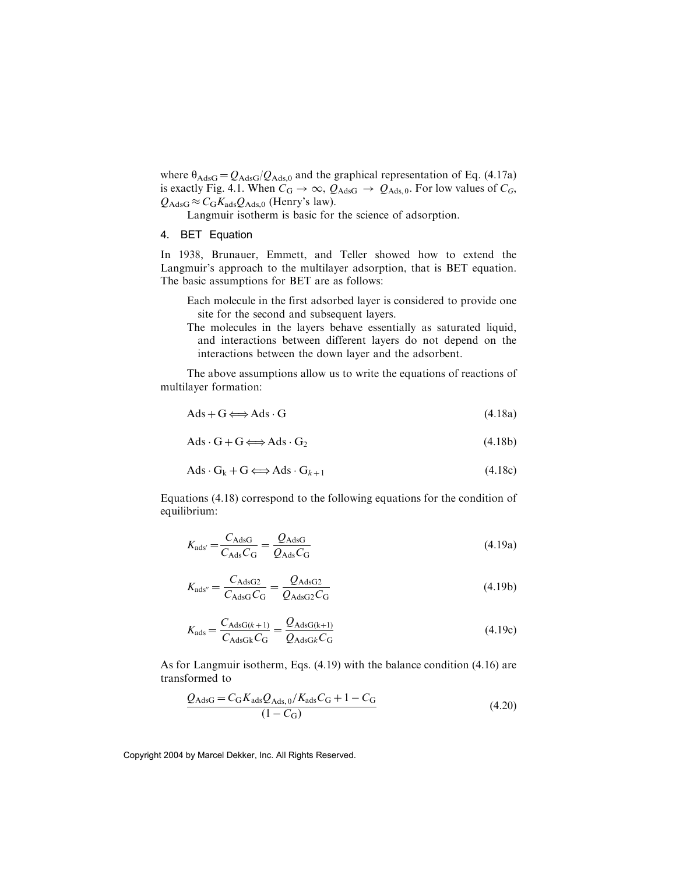where  $\theta_{AdSG} = Q_{AdSG}/Q_{AdS,0}$  and the graphical representation of Eq. (4.17a) is exactly Fig. 4.1. When  $C_G \rightarrow \infty$ ,  $Q_{AdSG} \rightarrow Q_{AdS}$ , For low values of  $C_G$ ,  $Q_{\text{AdsG}} \approx C_{\text{G}} K_{\text{ads}} Q_{\text{Ads,0}}$  (Henry's law).

Langmuir isotherm is basic for the science of adsorption.

## 4. BET Equation

In 1938, Brunauer, Emmett, and Teller showed how to extend the Langmuir's approach to the multilayer adsorption, that is BET equation. The basic assumptions for BET are as follows:

- Each molecule in the first adsorbed layer is considered to provide one site for the second and subsequent layers.
- The molecules in the layers behave essentially as saturated liquid, and interactions between different layers do not depend on the interactions between the down layer and the adsorbent.

The above assumptions allow us to write the equations of reactions of multilayer formation:

$$
Ads + G \Longleftrightarrow Ads \cdot G \tag{4.18a}
$$

$$
Ads \cdot G + G \Longleftrightarrow Ads \cdot G_2 \tag{4.18b}
$$

$$
Ads \cdot G_k + G \Longleftrightarrow Ads \cdot G_{k+1} \tag{4.18c}
$$

Equations (4.18) correspond to the following equations for the condition of equilibrium:

$$
K_{\text{ads}'} = \frac{C_{\text{AdsG}}}{C_{\text{Ads}}C_{\text{G}}} = \frac{Q_{\text{AdsG}}}{Q_{\text{Ads}}C_{\text{G}}}
$$
(4.19a)

$$
K_{\text{ads}''} = \frac{C_{\text{AdsG2}}}{C_{\text{AdsG}}C_{\text{G}}} = \frac{Q_{\text{AdsG2}}}{Q_{\text{AdsG2}}C_{\text{G}}}
$$
(4.19b)

$$
K_{\text{ads}} = \frac{C_{\text{AdsG}(k+1)}}{C_{\text{AdsG}(k)}C_{\text{G}}} = \frac{Q_{\text{AdsG}(k+1)}}{Q_{\text{AdsG}(k)}C_{\text{G}}}
$$
(4.19c)

As for Langmuir isotherm, Eqs. (4.19) with the balance condition (4.16) are transformed to

$$
\frac{Q_{\text{AdsG}} = C_{\text{G}} K_{\text{ads}} Q_{\text{Ads},0} / K_{\text{ads}} C_{\text{G}} + 1 - C_{\text{G}}}{(1 - C_{\text{G}})}
$$
(4.20)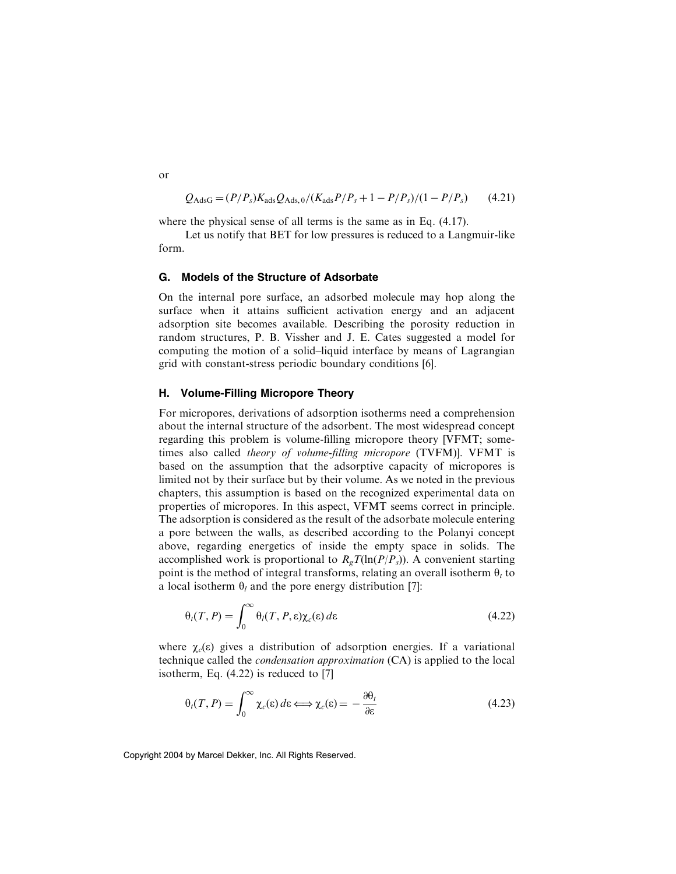$$
Q_{\rm AdsG} = (P/P_s)K_{\rm ads}Q_{\rm Ads,0}/(K_{\rm ads}P/P_s + 1 - P/P_s)/(1 - P/P_s)
$$
 (4.21)

where the physical sense of all terms is the same as in Eq. (4.17).

Let us notify that BET for low pressures is reduced to a Langmuir-like form.

#### G. Models of the Structure of Adsorbate

On the internal pore surface, an adsorbed molecule may hop along the surface when it attains sufficient activation energy and an adjacent adsorption site becomes available. Describing the porosity reduction in random structures, P. B. Vissher and J. E. Cates suggested a model for computing the motion of a solid–liquid interface by means of Lagrangian grid with constant-stress periodic boundary conditions [6].

#### H. Volume-Filling Micropore Theory

For micropores, derivations of adsorption isotherms need a comprehension about the internal structure of the adsorbent. The most widespread concept regarding this problem is volume-filling micropore theory [VFMT; sometimes also called theory of volume-filling micropore (TVFM)]. VFMT is based on the assumption that the adsorptive capacity of micropores is limited not by their surface but by their volume. As we noted in the previous chapters, this assumption is based on the recognized experimental data on properties of micropores. In this aspect, VFMT seems correct in principle. The adsorption is considered as the result of the adsorbate molecule entering a pore between the walls, as described according to the Polanyi concept above, regarding energetics of inside the empty space in solids. The accomplished work is proportional to  $R_qT(\ln(P/P_s))$ . A convenient starting point is the method of integral transforms, relating an overall isotherm  $\theta_t$  to a local isotherm  $\theta_l$  and the pore energy distribution [7]:

$$
\theta_t(T, P) = \int_0^\infty \theta_t(T, P, \varepsilon) \chi_c(\varepsilon) d\varepsilon \tag{4.22}
$$

where  $\chi_c(\varepsilon)$  gives a distribution of adsorption energies. If a variational technique called the condensation approximation (CA) is applied to the local isotherm, Eq. (4.22) is reduced to [7]

$$
\theta_t(T, P) = \int_0^\infty \chi_c(\varepsilon) \, d\varepsilon \Longleftrightarrow \chi_c(\varepsilon) = -\frac{\partial \theta_t}{\partial \varepsilon} \tag{4.23}
$$

Copyright 2004 by Marcel Dekker, Inc. All Rights Reserved.

or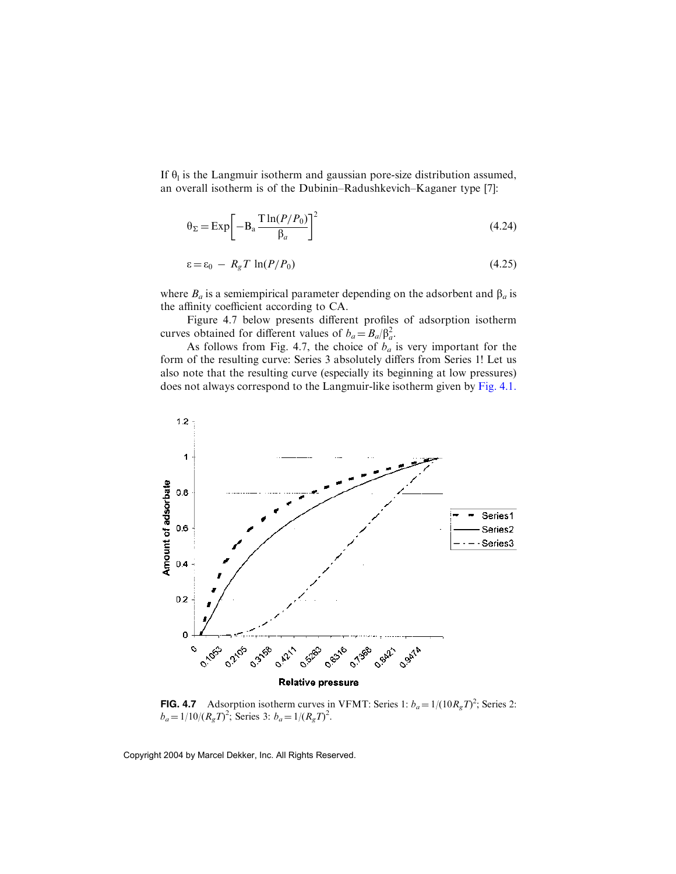<span id="page-15-0"></span>If  $\theta_1$  is the Langmuir isotherm and gaussian pore-size distribution assumed, an overall isotherm is of the Dubinin–Radushkevich–Kaganer type [7]:

$$
\theta_{\Sigma} = \text{Exp}\bigg[-B_a \frac{\text{T} \ln(P/P_0)}{\beta_a}\bigg]^2\tag{4.24}
$$

$$
\varepsilon = \varepsilon_0 - R_g T \ln(P/P_0) \tag{4.25}
$$

where  $B_a$  is a semiempirical parameter depending on the adsorbent and  $\beta_a$  is the affinity coefficient according to CA.

Figure 4.7 below presents different profiles of adsorption isotherm curves obtained for different values of  $b_a = B_a/\beta_a^2$ .

As follows from Fig. 4.7, the choice of  $b_a$  is very important for the form of the resulting curve: Series 3 absolutely differs from Series 1! Let us also note that the resulting curve (especially its beginning at low pressures) does not always correspond to the Langmuir-like isotherm given by [Fig. 4.1.](#page-7-0)



**FIG. 4.7** Adsorption isotherm curves in VFMT: Series 1:  $b_a = 1/(10R_gT)^2$ ; Series 2:  $b_a = 1/10/(R_g T)^2$ ; Series 3:  $b_a = 1/(R_g T)^2$ .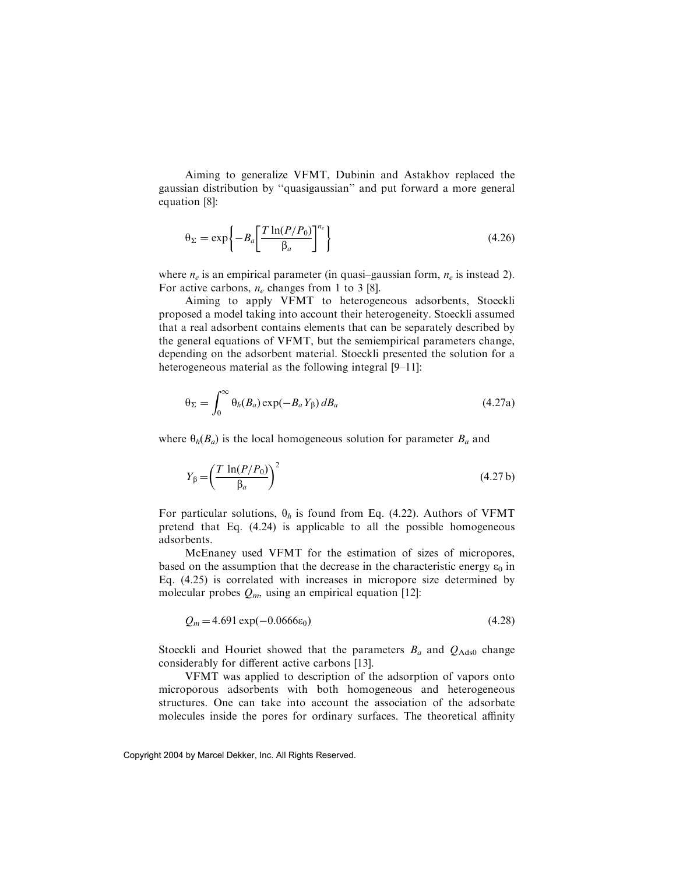Aiming to generalize VFMT, Dubinin and Astakhov replaced the gaussian distribution by ''quasigaussian'' and put forward a more general equation [8]:

$$
\theta_{\Sigma} = \exp\left\{-B_a \left[\frac{T \ln(P/P_0)}{\beta_a}\right]^{n_e}\right\}
$$
\n(4.26)

where  $n_e$  is an empirical parameter (in quasi–gaussian form,  $n_e$  is instead 2). For active carbons,  $n_e$  changes from 1 to 3 [8].

Aiming to apply VFMT to heterogeneous adsorbents, Stoeckli proposed a model taking into account their heterogeneity. Stoeckli assumed that a real adsorbent contains elements that can be separately described by the general equations of VFMT, but the semiempirical parameters change, depending on the adsorbent material. Stoeckli presented the solution for a heterogeneous material as the following integral [9–11]:

$$
\theta_{\Sigma} = \int_0^\infty \theta_h(B_a) \exp(-B_a Y_\beta) \, dB_a \tag{4.27a}
$$

where  $\theta_h(B_a)$  is the local homogeneous solution for parameter  $B_a$  and

$$
Y_{\beta} = \left(\frac{T \ln(P/P_0)}{\beta_a}\right)^2 \tag{4.27 b}
$$

For particular solutions,  $\theta_h$  is found from Eq. (4.22). Authors of VFMT pretend that Eq. (4.24) is applicable to all the possible homogeneous adsorbents.

McEnaney used VFMT for the estimation of sizes of micropores, based on the assumption that the decrease in the characteristic energy  $\varepsilon_0$  in Eq. (4.25) is correlated with increases in micropore size determined by molecular probes  $Q_m$ , using an empirical equation [12]:

$$
Q_m = 4.691 \exp(-0.0666\varepsilon_0) \tag{4.28}
$$

Stoeckli and Houriet showed that the parameters  $B_a$  and  $Q_{\text{Ads0}}$  change considerably for different active carbons [13].

VFMT was applied to description of the adsorption of vapors onto microporous adsorbents with both homogeneous and heterogeneous structures. One can take into account the association of the adsorbate molecules inside the pores for ordinary surfaces. The theoretical affinity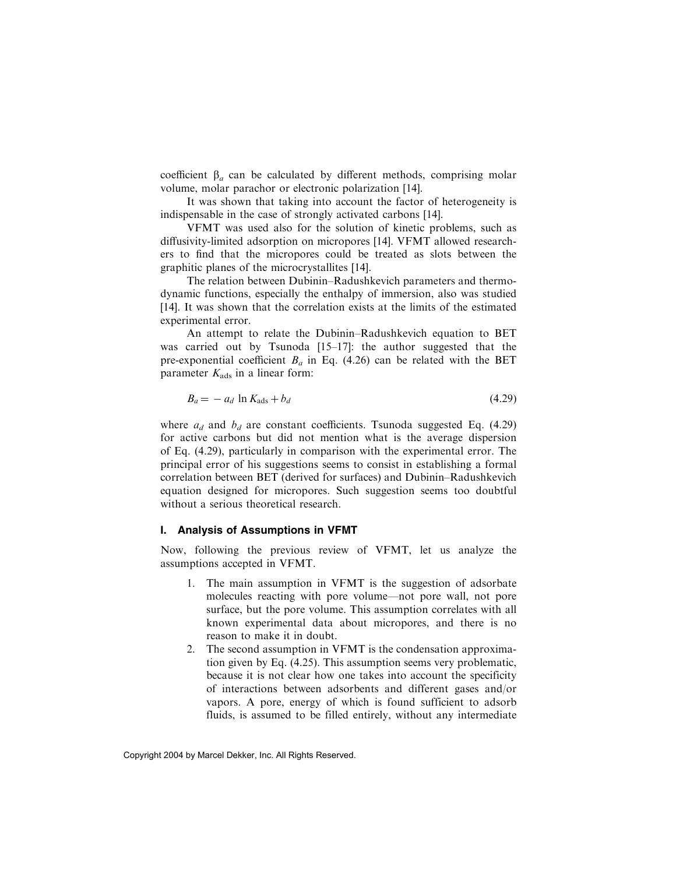coefficient  $\beta_a$  can be calculated by different methods, comprising molar volume, molar parachor or electronic polarization [14].

It was shown that taking into account the factor of heterogeneity is indispensable in the case of strongly activated carbons [14].

VFMT was used also for the solution of kinetic problems, such as diffusivity-limited adsorption on micropores [14]. VFMT allowed researchers to find that the micropores could be treated as slots between the graphitic planes of the microcrystallites [14].

The relation between Dubinin–Radushkevich parameters and thermodynamic functions, especially the enthalpy of immersion, also was studied [14]. It was shown that the correlation exists at the limits of the estimated experimental error.

An attempt to relate the Dubinin–Radushkevich equation to BET was carried out by Tsunoda [15–17]: the author suggested that the pre-exponential coefficient  $B_a$  in Eq. (4.26) can be related with the BET parameter  $K_{\text{ads}}$  in a linear form:

$$
B_a = -a_d \ln K_{\text{ads}} + b_d \tag{4.29}
$$

where  $a_d$  and  $b_d$  are constant coefficients. Tsunoda suggested Eq. (4.29) for active carbons but did not mention what is the average dispersion of Eq. (4.29), particularly in comparison with the experimental error. The principal error of his suggestions seems to consist in establishing a formal correlation between BET (derived for surfaces) and Dubinin–Radushkevich equation designed for micropores. Such suggestion seems too doubtful without a serious theoretical research.

## I. Analysis of Assumptions in VFMT

Now, following the previous review of VFMT, let us analyze the assumptions accepted in VFMT.

- 1. The main assumption in VFMT is the suggestion of adsorbate molecules reacting with pore volume—not pore wall, not pore surface, but the pore volume. This assumption correlates with all known experimental data about micropores, and there is no reason to make it in doubt.
- 2. The second assumption in VFMT is the condensation approximation given by Eq. (4.25). This assumption seems very problematic, because it is not clear how one takes into account the specificity of interactions between adsorbents and different gases and/or vapors. A pore, energy of which is found sufficient to adsorb fluids, is assumed to be filled entirely, without any intermediate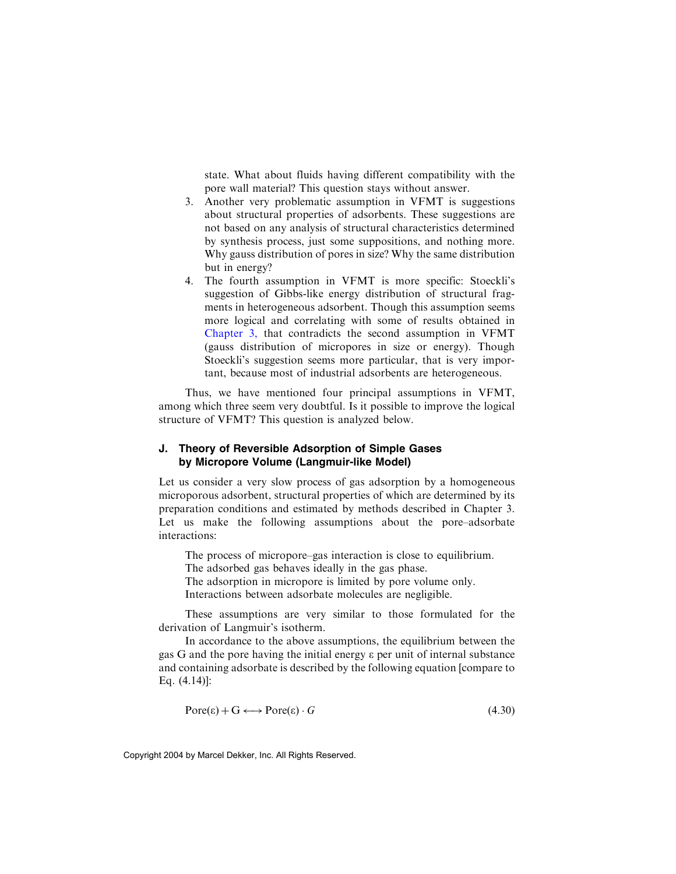state. What about fluids having different compatibility with the pore wall material? This question stays without answer.

- 3. Another very problematic assumption in VFMT is suggestions about structural properties of adsorbents. These suggestions are not based on any analysis of structural characteristics determined by synthesis process, just some suppositions, and nothing more. Why gauss distribution of pores in size? Why the same distribution but in energy?
- 4. The fourth assumption in VFMT is more specific: Stoeckli's suggestion of Gibbs-like energy distribution of structural fragments in heterogeneous adsorbent. Though this assumption seems more logical and correlating with some of results obtained in [Chapter 3,](#page-0-0) that contradicts the second assumption in VFMT (gauss distribution of micropores in size or energy). Though Stoeckli's suggestion seems more particular, that is very important, because most of industrial adsorbents are heterogeneous.

Thus, we have mentioned four principal assumptions in VFMT, among which three seem very doubtful. Is it possible to improve the logical structure of VFMT? This question is analyzed below.

## J. Theory of Reversible Adsorption of Simple Gases by Micropore Volume (Langmuir-like Model)

Let us consider a very slow process of gas adsorption by a homogeneous microporous adsorbent, structural properties of which are determined by its preparation conditions and estimated by methods described in Chapter 3. Let us make the following assumptions about the pore–adsorbate interactions:

The process of micropore–gas interaction is close to equilibrium.

The adsorbed gas behaves ideally in the gas phase.

The adsorption in micropore is limited by pore volume only.

Interactions between adsorbate molecules are negligible.

These assumptions are very similar to those formulated for the derivation of Langmuir's isotherm.

In accordance to the above assumptions, the equilibrium between the gas G and the pore having the initial energy e per unit of internal substance and containing adsorbate is described by the following equation [compare to Eq. (4.14)]:

$$
Pore(\varepsilon) + G \longleftrightarrow Pore(\varepsilon) \cdot G \tag{4.30}
$$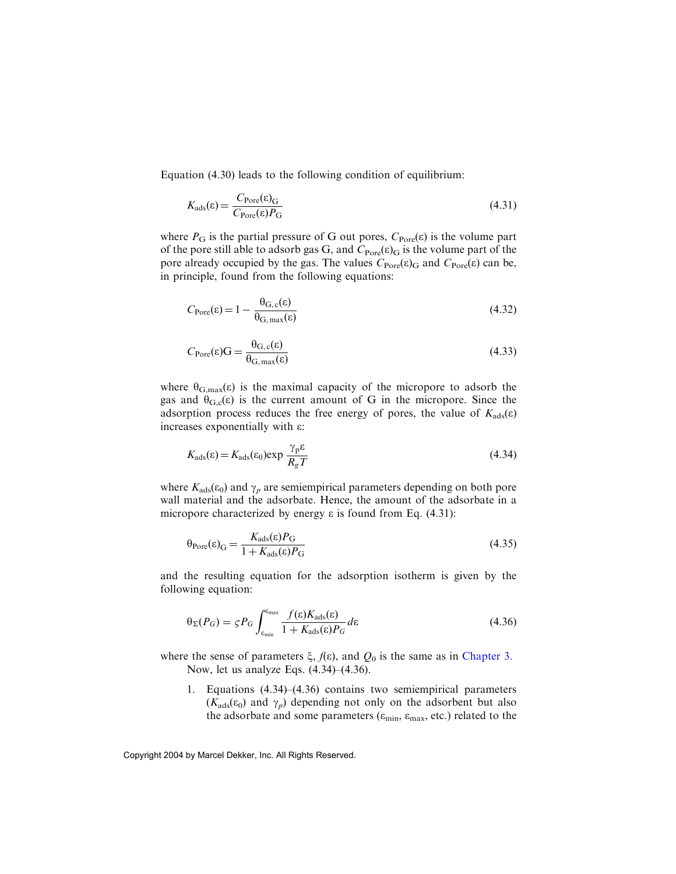Equation (4.30) leads to the following condition of equilibrium:

$$
K_{\rm ads}(\varepsilon) = \frac{C_{\rm Pore}(\varepsilon)_{\rm G}}{C_{\rm Pore}(\varepsilon)P_{\rm G}}
$$
(4.31)

where  $P_G$  is the partial pressure of G out pores,  $C_{Pore}(\varepsilon)$  is the volume part of the pore still able to adsorb gas G, and  $C_{\text{Pore}}(\varepsilon)_{G}$  is the volume part of the pore already occupied by the gas. The values  $C_{\text{Pore}}(\varepsilon)_{G}$  and  $C_{\text{Pore}}(\varepsilon)$  can be, in principle, found from the following equations:

$$
C_{\text{Pore}}(\varepsilon) = 1 - \frac{\theta_{\text{G,c}}(\varepsilon)}{\theta_{\text{G,max}}(\varepsilon)}
$$
(4.32)

$$
C_{\text{Pore}}(\varepsilon)\mathbf{G} = \frac{\theta_{\mathbf{G},\,\mathbf{c}}(\varepsilon)}{\theta_{\mathbf{G},\,\text{max}}(\varepsilon)}
$$
(4.33)

where  $\theta_{G,\text{max}}(\epsilon)$  is the maximal capacity of the micropore to adsorb the gas and  $\theta_{\text{Ge}}(\varepsilon)$  is the current amount of G in the micropore. Since the adsorption process reduces the free energy of pores, the value of  $K_{ads}(\varepsilon)$ increases exponentially with e:

$$
K_{\rm ads}(\varepsilon) = K_{\rm ads}(\varepsilon_0) \exp \frac{\gamma_{\rm p} \varepsilon}{R_g T}
$$
\n(4.34)

where  $K_{\text{ads}}(\varepsilon_0)$  and  $\gamma_p$  are semiempirical parameters depending on both pore wall material and the adsorbate. Hence, the amount of the adsorbate in a micropore characterized by energy  $\varepsilon$  is found from Eq. (4.31):

$$
\theta_{\text{Pore}}(\varepsilon)_{\text{G}} = \frac{K_{\text{ads}}(\varepsilon)P_{\text{G}}}{1 + K_{\text{ads}}(\varepsilon)P_{\text{G}}}
$$
(4.35)

and the resulting equation for the adsorption isotherm is given by the following equation:

$$
\theta_{\Sigma}(P_G) = \varsigma P_G \int_{\varepsilon_{\min}}^{\varepsilon_{\max}} \frac{f(\varepsilon) K_{\text{ads}}(\varepsilon)}{1 + K_{\text{ads}}(\varepsilon) P_G} d\varepsilon \tag{4.36}
$$

where the sense of parameters  $\xi$ ,  $f(\varepsilon)$ , and  $Q_0$  is the same as in [Chapter 3.](#page-0-0) Now, let us analyze Eqs. (4.34)–(4.36).

1. Equations (4.34)–(4.36) contains two semiempirical parameters  $(K_{\text{ads}}(\epsilon_0)$  and  $\gamma_p)$  depending not only on the adsorbent but also the adsorbate and some parameters ( $\varepsilon_{\min}$ ,  $\varepsilon_{\max}$ , etc.) related to the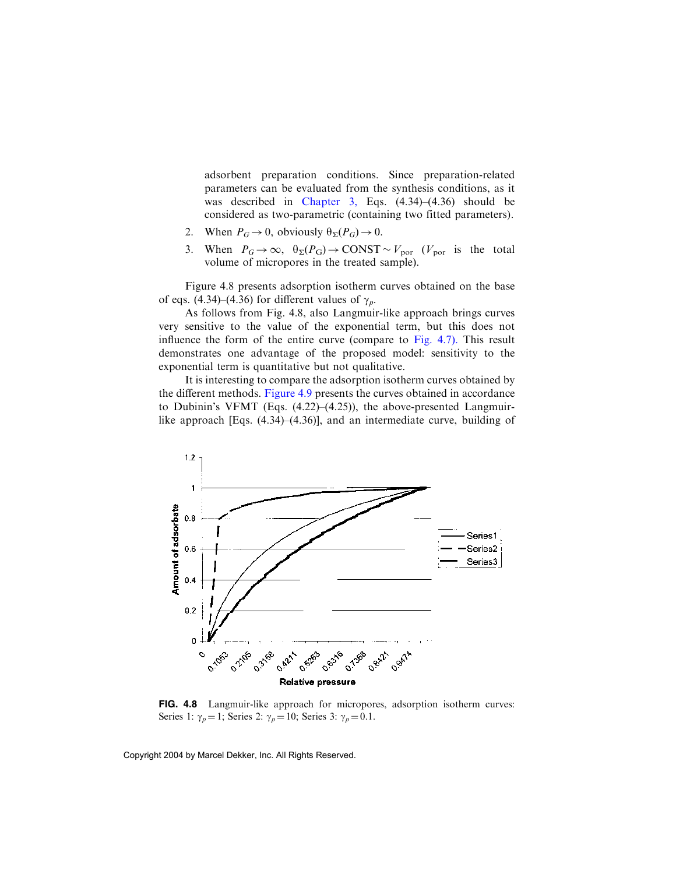adsorbent preparation conditions. Since preparation-related parameters can be evaluated from the synthesis conditions, as it was described in [Chapter 3,](#page-0-0) Eqs. (4.34)–(4.36) should be considered as two-parametric (containing two fitted parameters).

- 2. When  $P_G \to 0$ , obviously  $\theta_{\Sigma}(P_G) \to 0$ .
- 3. When  $P_G \to \infty$ ,  $\theta_{\Sigma}(P_G) \to \text{CONST} \sim V_{\text{por}}$  ( $V_{\text{por}}$  is the total volume of micropores in the treated sample).

Figure 4.8 presents adsorption isotherm curves obtained on the base of eqs. (4.34)–(4.36) for different values of  $\gamma_p$ .

As follows from Fig. 4.8, also Langmuir-like approach brings curves very sensitive to the value of the exponential term, but this does not influence the form of the entire curve (compare to [Fig. 4.7\).](#page-15-0) This result demonstrates one advantage of the proposed model: sensitivity to the exponential term is quantitative but not qualitative.

It is interesting to compare the adsorption isotherm curves obtained by the different methods. [Figure 4.9](#page-21-0) presents the curves obtained in accordance to Dubinin's VFMT (Eqs.  $(4.22)$ – $(4.25)$ ), the above-presented Langmuirlike approach [Eqs. (4.34)–(4.36)], and an intermediate curve, building of



FIG. 4.8 Langmuir-like approach for micropores, adsorption isotherm curves: Series 1:  $\gamma_p = 1$ ; Series 2:  $\gamma_p = 10$ ; Series 3:  $\gamma_p = 0.1$ .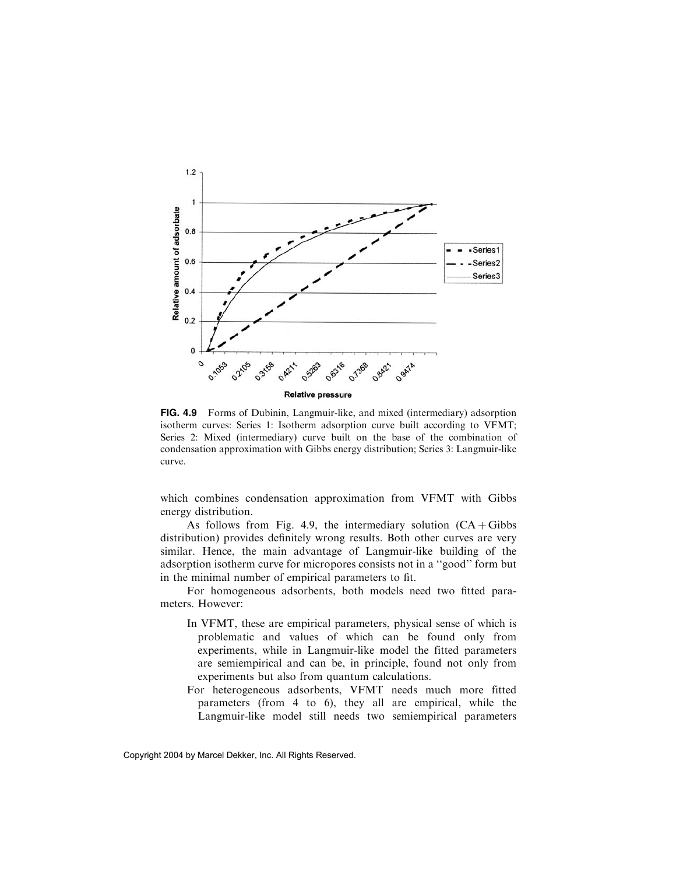<span id="page-21-0"></span>

FIG. 4.9 Forms of Dubinin, Langmuir-like, and mixed (intermediary) adsorption isotherm curves: Series 1: Isotherm adsorption curve built according to VFMT; Series 2: Mixed (intermediary) curve built on the base of the combination of condensation approximation with Gibbs energy distribution; Series 3: Langmuir-like curve.

which combines condensation approximation from VFMT with Gibbs energy distribution.

As follows from Fig. 4.9, the intermediary solution  $(CA + Gibbs$ distribution) provides definitely wrong results. Both other curves are very similar. Hence, the main advantage of Langmuir-like building of the adsorption isotherm curve for micropores consists not in a ''good'' form but in the minimal number of empirical parameters to fit.

For homogeneous adsorbents, both models need two fitted parameters. However:

- In VFMT, these are empirical parameters, physical sense of which is problematic and values of which can be found only from experiments, while in Langmuir-like model the fitted parameters are semiempirical and can be, in principle, found not only from experiments but also from quantum calculations.
- For heterogeneous adsorbents, VFMT needs much more fitted parameters (from 4 to 6), they all are empirical, while the Langmuir-like model still needs two semiempirical parameters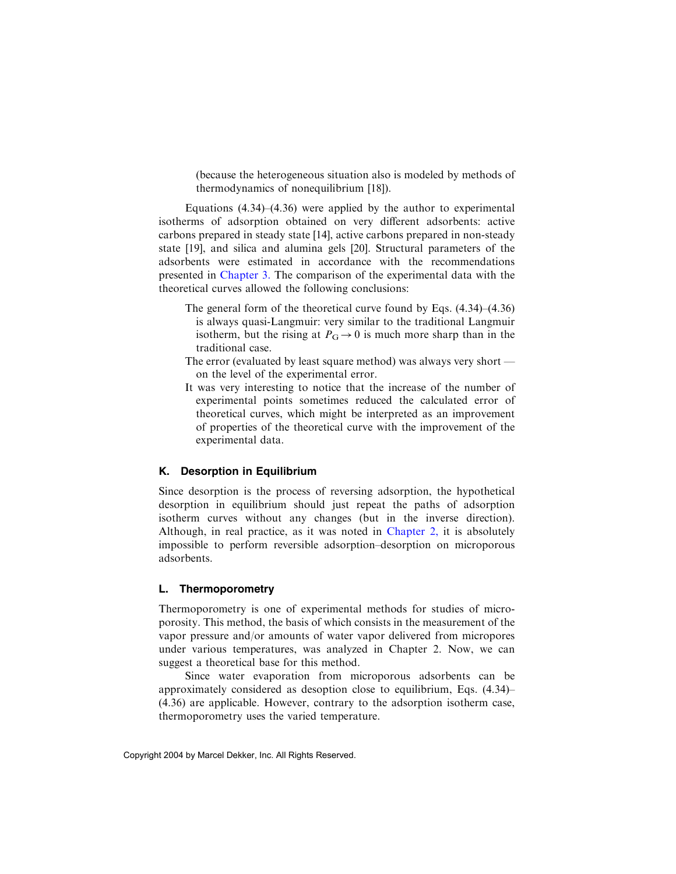(because the heterogeneous situation also is modeled by methods of thermodynamics of nonequilibrium [18]).

Equations (4.34)–(4.36) were applied by the author to experimental isotherms of adsorption obtained on very different adsorbents: active carbons prepared in steady state [14], active carbons prepared in non-steady state [19], and silica and alumina gels [20]. Structural parameters of the adsorbents were estimated in accordance with the recommendations presented in [Chapter 3.](#page-0-0) The comparison of the experimental data with the theoretical curves allowed the following conclusions:

- The general form of the theoretical curve found by Eqs.  $(4.34)$ – $(4.36)$ is always quasi-Langmuir: very similar to the traditional Langmuir isotherm, but the rising at  $P_G \rightarrow 0$  is much more sharp than in the traditional case.
- The error (evaluated by least square method) was always very short on the level of the experimental error.
- It was very interesting to notice that the increase of the number of experimental points sometimes reduced the calculated error of theoretical curves, which might be interpreted as an improvement of properties of the theoretical curve with the improvement of the experimental data.

# K. Desorption in Equilibrium

Since desorption is the process of reversing adsorption, the hypothetical desorption in equilibrium should just repeat the paths of adsorption isotherm curves without any changes (but in the inverse direction). Although, in real practice, as it was noted in [Chapter 2,](#page-0-0) it is absolutely impossible to perform reversible adsorption–desorption on microporous adsorbents.

# L. Thermoporometry

Thermoporometry is one of experimental methods for studies of microporosity. This method, the basis of which consists in the measurement of the vapor pressure and/or amounts of water vapor delivered from micropores under various temperatures, was analyzed in Chapter 2. Now, we can suggest a theoretical base for this method.

Since water evaporation from microporous adsorbents can be approximately considered as desoption close to equilibrium, Eqs. (4.34)– (4.36) are applicable. However, contrary to the adsorption isotherm case, thermoporometry uses the varied temperature.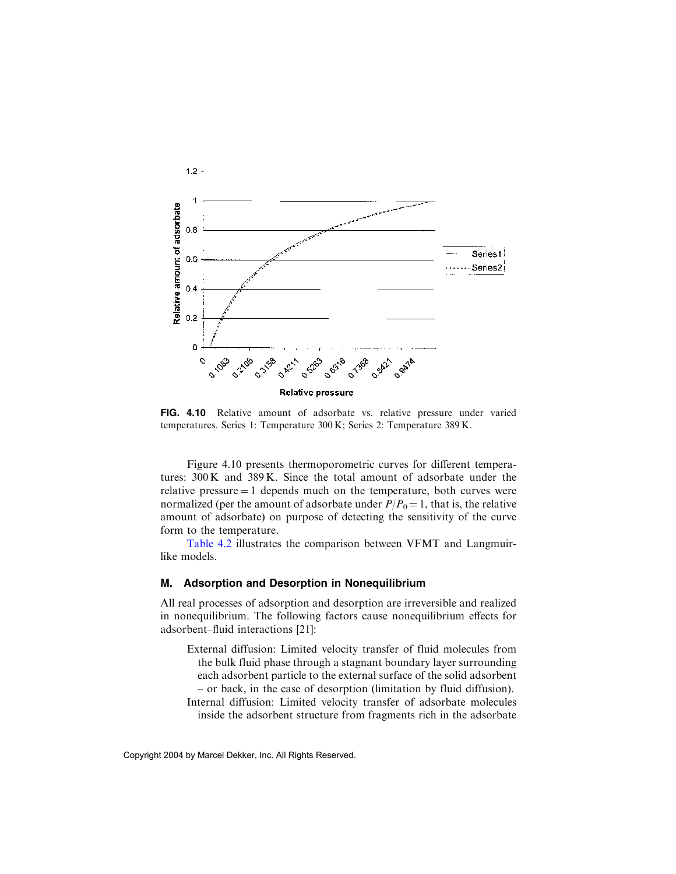

FIG. 4.10 Relative amount of adsorbate vs. relative pressure under varied temperatures. Series 1: Temperature 300 K; Series 2: Temperature 389 K.

Figure 4.10 presents thermoporometric curves for different temperatures: 300 K and 389 K. Since the total amount of adsorbate under the relative pressure  $= 1$  depends much on the temperature, both curves were normalized (per the amount of adsorbate under  $P/P_0 = 1$ , that is, the relative amount of adsorbate) on purpose of detecting the sensitivity of the curve form to the temperature.

[Table 4.2](#page-24-0) illustrates the comparison between VFMT and Langmuirlike models.

#### M. Adsorption and Desorption in Nonequilibrium

All real processes of adsorption and desorption are irreversible and realized in nonequilibrium. The following factors cause nonequilibrium effects for adsorbent–fluid interactions [21]:

External diffusion: Limited velocity transfer of fluid molecules from the bulk fluid phase through a stagnant boundary layer surrounding each adsorbent particle to the external surface of the solid adsorbent – or back, in the case of desorption (limitation by fluid diffusion). Internal diffusion: Limited velocity transfer of adsorbate molecules inside the adsorbent structure from fragments rich in the adsorbate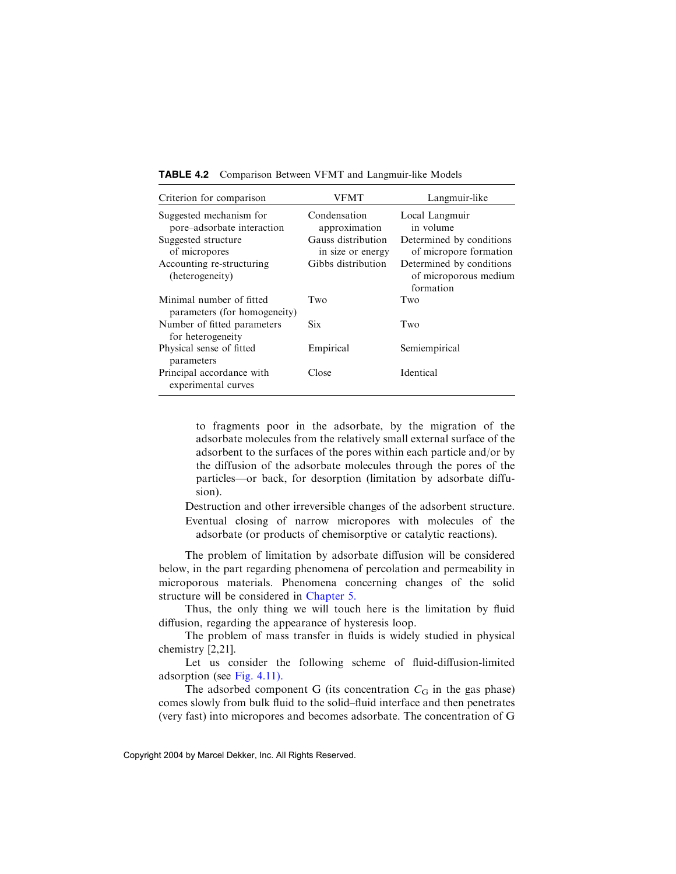| Criterion for comparison                                 | <b>VFMT</b>                             | Langmuir-like                                                  |
|----------------------------------------------------------|-----------------------------------------|----------------------------------------------------------------|
| Suggested mechanism for<br>pore-adsorbate interaction    | Condensation<br>approximation           | Local Langmuir<br>in volume                                    |
| Suggested structure<br>of micropores                     | Gauss distribution<br>in size or energy | Determined by conditions<br>of micropore formation             |
| Accounting re-structuring<br>(heterogeneity)             | Gibbs distribution                      | Determined by conditions<br>of microporous medium<br>formation |
| Minimal number of fitted<br>parameters (for homogeneity) | Two                                     | Two                                                            |
| Number of fitted parameters<br>for heterogeneity         | <b>Six</b>                              | Two                                                            |
| Physical sense of fitted<br>parameters                   | Empirical                               | Semiempirical                                                  |
| Principal accordance with<br>experimental curves         | Close                                   | <b>Identical</b>                                               |

<span id="page-24-0"></span>TABLE 4.2 Comparison Between VFMT and Langmuir-like Models

to fragments poor in the adsorbate, by the migration of the adsorbate molecules from the relatively small external surface of the adsorbent to the surfaces of the pores within each particle and/or by the diffusion of the adsorbate molecules through the pores of the particles—or back, for desorption (limitation by adsorbate diffusion).

Destruction and other irreversible changes of the adsorbent structure. Eventual closing of narrow micropores with molecules of the adsorbate (or products of chemisorptive or catalytic reactions).

The problem of limitation by adsorbate diffusion will be considered below, in the part regarding phenomena of percolation and permeability in microporous materials. Phenomena concerning changes of the solid structure will be considered in [Chapter 5.](#page-0-0)

Thus, the only thing we will touch here is the limitation by fluid diffusion, regarding the appearance of hysteresis loop.

The problem of mass transfer in fluids is widely studied in physical chemistry [2,21].

Let us consider the following scheme of fluid-diffusion-limited adsorption (see [Fig. 4.11\)](#page-25-0).

The adsorbed component G (its concentration  $C_G$  in the gas phase) comes slowly from bulk fluid to the solid–fluid interface and then penetrates (very fast) into micropores and becomes adsorbate. The concentration of G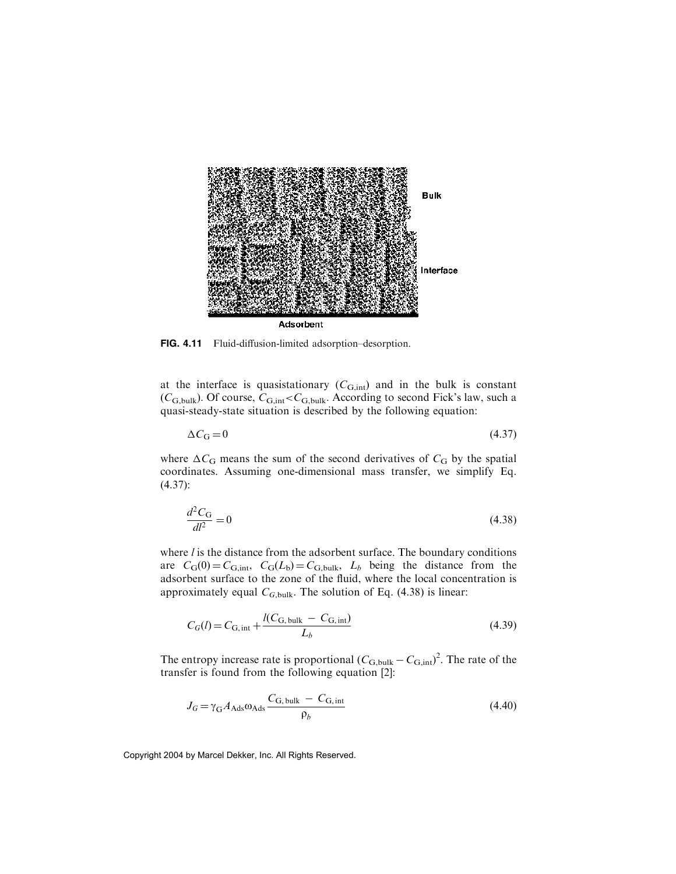<span id="page-25-0"></span>

FIG. 4.11 Fluid-diffusion-limited adsorption–desorption.

at the interface is quasistationary  $(C_{\text{G,int}})$  and in the bulk is constant  $(C_{\text{G,bulk}})$ . Of course,  $C_{\text{G,int}} < C_{\text{G,bulk}}$ . According to second Fick's law, such a quasi-steady-state situation is described by the following equation:

$$
\Delta C_{\rm G} = 0\tag{4.37}
$$

where  $\Delta C_G$  means the sum of the second derivatives of  $C_G$  by the spatial coordinates. Assuming one-dimensional mass transfer, we simplify Eq. (4.37):

$$
\frac{d^2C_{\rm G}}{dl^2} = 0\tag{4.38}
$$

where  $l$  is the distance from the adsorbent surface. The boundary conditions are  $C_G(0) = C_{G,\text{int}}$ ,  $C_G(L_b) = C_{G,\text{bulk}}$ ,  $L_b$  being the distance from the adsorbent surface to the zone of the fluid, where the local concentration is approximately equal  $C_{\text{G,bulk}}$ . The solution of Eq. (4.38) is linear:

$$
C_G(l) = C_{G,\text{int}} + \frac{l(C_{G,\text{bulk}} - C_{G,\text{int}})}{L_b}
$$
\n(4.39)

The entropy increase rate is proportional  $(C_{G,bulk} - C_{G,int})^2$ . The rate of the transfer is found from the following equation [2]:

$$
J_G = \gamma_G A_{\text{Ads}} \omega_{\text{Ads}} \frac{C_{\text{G, bulk}} - C_{\text{G, int}}}{\rho_b} \tag{4.40}
$$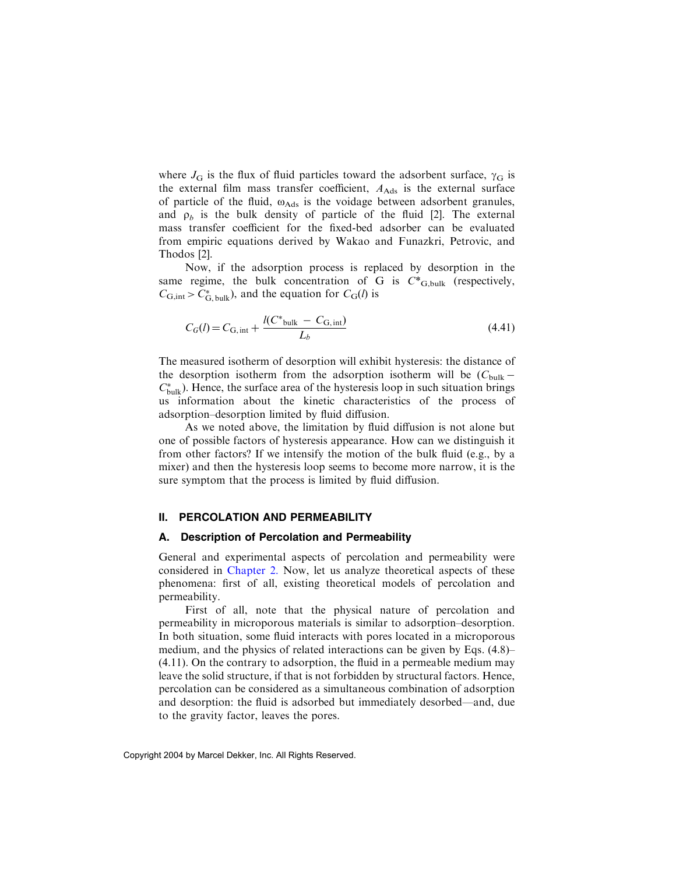where  $J_{\rm G}$  is the flux of fluid particles toward the adsorbent surface,  $\gamma_{\rm G}$  is the external film mass transfer coefficient,  $A_{Ads}$  is the external surface of particle of the fluid,  $\omega_{\text{Ads}}$  is the voidage between adsorbent granules, and  $\rho_b$  is the bulk density of particle of the fluid [2]. The external mass transfer coefficient for the fixed-bed adsorber can be evaluated from empiric equations derived by Wakao and Funazkri, Petrovic, and Thodos [2].

Now, if the adsorption process is replaced by desorption in the same regime, the bulk concentration of G is  $C^*$ <sub>G,bulk</sub> (respectively,  $C_{\text{G,int}} > C_{\text{G, bulk}}^*$ , and the equation for  $C_{\text{G}}(l)$  is

$$
C_G(l) = C_{G,\text{int}} + \frac{l(C^*_{\text{bulk}} - C_{G,\text{int}})}{L_b}
$$
\n(4.41)

The measured isotherm of desorption will exhibit hysteresis: the distance of the desorption isotherm from the adsorption isotherm will be  $(C_{\text{bulk}} C_{\text{bulk}}^*$ ). Hence, the surface area of the hysteresis loop in such situation brings us information about the kinetic characteristics of the process of adsorption–desorption limited by fluid diffusion.

As we noted above, the limitation by fluid diffusion is not alone but one of possible factors of hysteresis appearance. How can we distinguish it from other factors? If we intensify the motion of the bulk fluid (e.g., by a mixer) and then the hysteresis loop seems to become more narrow, it is the sure symptom that the process is limited by fluid diffusion.

## II. PERCOLATION AND PERMEABILITY

#### A. Description of Percolation and Permeability

General and experimental aspects of percolation and permeability were considered in [Chapter 2.](#page-0-0) Now, let us analyze theoretical aspects of these phenomena: first of all, existing theoretical models of percolation and permeability.

First of all, note that the physical nature of percolation and permeability in microporous materials is similar to adsorption–desorption. In both situation, some fluid interacts with pores located in a microporous medium, and the physics of related interactions can be given by Eqs. (4.8)– (4.11). On the contrary to adsorption, the fluid in a permeable medium may leave the solid structure, if that is not forbidden by structural factors. Hence, percolation can be considered as a simultaneous combination of adsorption and desorption: the fluid is adsorbed but immediately desorbed—and, due to the gravity factor, leaves the pores.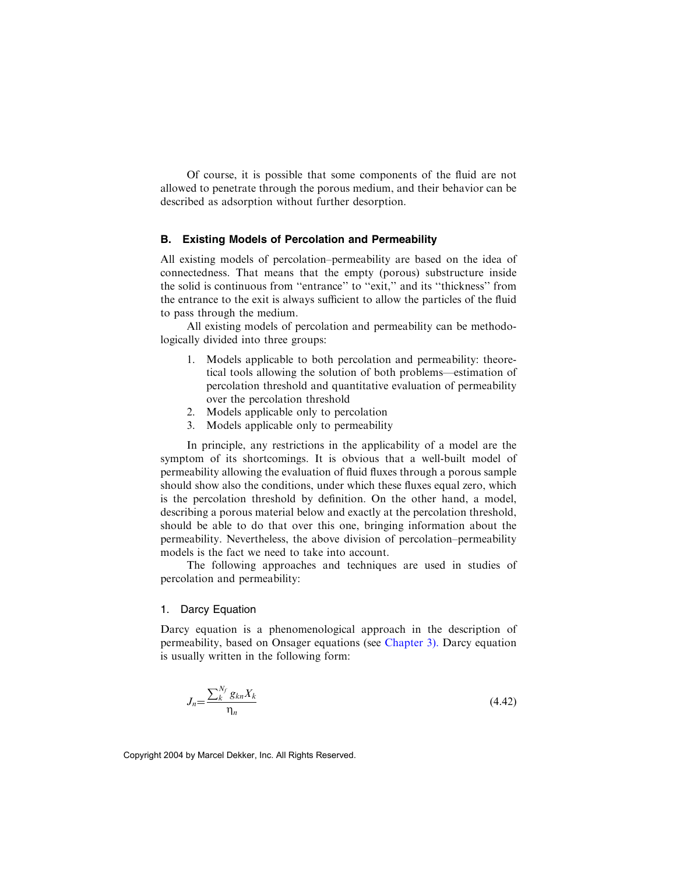Of course, it is possible that some components of the fluid are not allowed to penetrate through the porous medium, and their behavior can be described as adsorption without further desorption.

# B. Existing Models of Percolation and Permeability

All existing models of percolation–permeability are based on the idea of connectedness. That means that the empty (porous) substructure inside the solid is continuous from ''entrance'' to ''exit,'' and its ''thickness'' from the entrance to the exit is always sufficient to allow the particles of the fluid to pass through the medium.

All existing models of percolation and permeability can be methodologically divided into three groups:

- 1. Models applicable to both percolation and permeability: theoretical tools allowing the solution of both problems—estimation of percolation threshold and quantitative evaluation of permeability over the percolation threshold
- 2. Models applicable only to percolation
- 3. Models applicable only to permeability

In principle, any restrictions in the applicability of a model are the symptom of its shortcomings. It is obvious that a well-built model of permeability allowing the evaluation of fluid fluxes through a porous sample should show also the conditions, under which these fluxes equal zero, which is the percolation threshold by definition. On the other hand, a model, describing a porous material below and exactly at the percolation threshold, should be able to do that over this one, bringing information about the permeability. Nevertheless, the above division of percolation–permeability models is the fact we need to take into account.

The following approaches and techniques are used in studies of percolation and permeability:

## 1. Darcy Equation

Darcy equation is a phenomenological approach in the description of permeability, based on Onsager equations (see [Chapter 3\)](#page-0-0). Darcy equation is usually written in the following form:

$$
J_n = \frac{\sum_k^{N_f} g_{kn} X_k}{\eta_n} \tag{4.42}
$$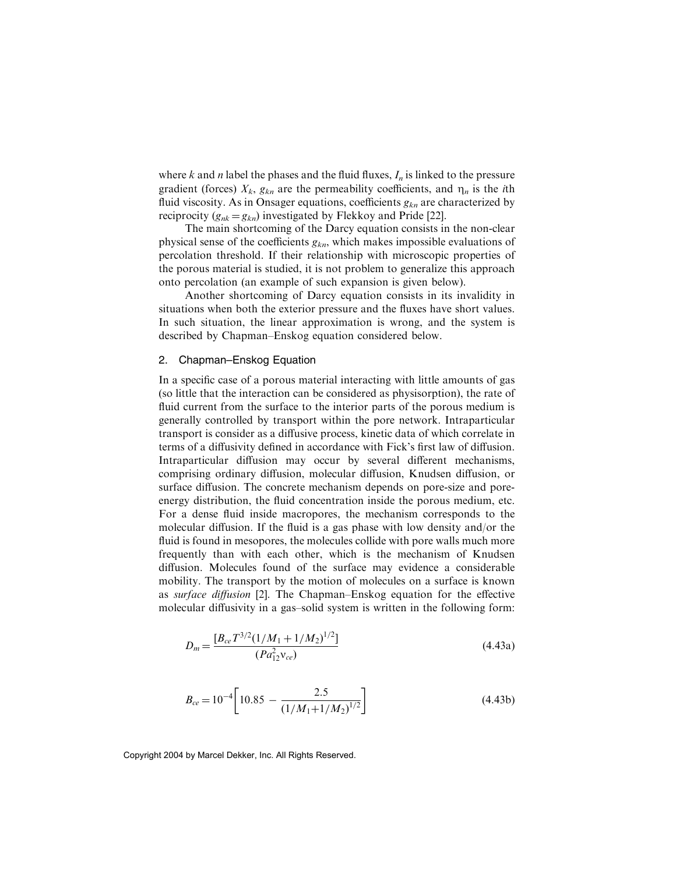where k and n label the phases and the fluid fluxes,  $I_n$  is linked to the pressure gradient (forces)  $X_k$ ,  $g_{kn}$  are the permeability coefficients, and  $\eta_n$  is the *i*th fluid viscosity. As in Onsager equations, coefficients  $g_{kn}$  are characterized by reciprocity ( $g_{nk} = g_{kn}$ ) investigated by Flekkoy and Pride [22].

The main shortcoming of the Darcy equation consists in the non-clear physical sense of the coefficients  $g_{kn}$ , which makes impossible evaluations of percolation threshold. If their relationship with microscopic properties of the porous material is studied, it is not problem to generalize this approach onto percolation (an example of such expansion is given below).

Another shortcoming of Darcy equation consists in its invalidity in situations when both the exterior pressure and the fluxes have short values. In such situation, the linear approximation is wrong, and the system is described by Chapman–Enskog equation considered below.

## 2. Chapman–Enskog Equation

In a specific case of a porous material interacting with little amounts of gas (so little that the interaction can be considered as physisorption), the rate of fluid current from the surface to the interior parts of the porous medium is generally controlled by transport within the pore network. Intraparticular transport is consider as a diffusive process, kinetic data of which correlate in terms of a diffusivity defined in accordance with Fick's first law of diffusion. Intraparticular diffusion may occur by several different mechanisms, comprising ordinary diffusion, molecular diffusion, Knudsen diffusion, or surface diffusion. The concrete mechanism depends on pore-size and poreenergy distribution, the fluid concentration inside the porous medium, etc. For a dense fluid inside macropores, the mechanism corresponds to the molecular diffusion. If the fluid is a gas phase with low density and/or the fluid is found in mesopores, the molecules collide with pore walls much more frequently than with each other, which is the mechanism of Knudsen diffusion. Molecules found of the surface may evidence a considerable mobility. The transport by the motion of molecules on a surface is known as surface diffusion [2]. The Chapman–Enskog equation for the effective molecular diffusivity in a gas–solid system is written in the following form:

$$
D_m = \frac{[B_{ce}T^{3/2}(1/M_1 + 1/M_2)^{1/2}]}{(Pa_{12}^2 V_{ce})}
$$
(4.43a)

$$
B_{ce} = 10^{-4} \left[ 10.85 - \frac{2.5}{\left( 1/M_1 + 1/M_2 \right)^{1/2}} \right]
$$
(4.43b)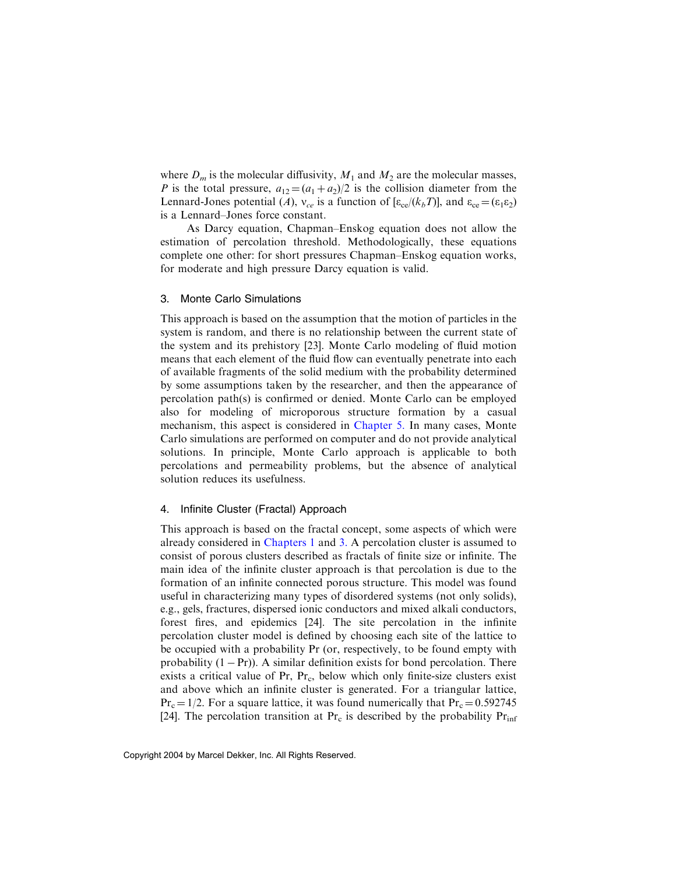where  $D_m$  is the molecular diffusivity,  $M_1$  and  $M_2$  are the molecular masses, P is the total pressure,  $a_{12} = (a_1 + a_2)/2$  is the collision diameter from the Lennard-Jones potential (A),  $v_{ce}$  is a function of  $[\epsilon_{ce}/(k_bT)]$ , and  $\epsilon_{ce} = (\epsilon_1 \epsilon_2)$ is a Lennard–Jones force constant.

As Darcy equation, Chapman–Enskog equation does not allow the estimation of percolation threshold. Methodologically, these equations complete one other: for short pressures Chapman–Enskog equation works, for moderate and high pressure Darcy equation is valid.

## 3. Monte Carlo Simulations

This approach is based on the assumption that the motion of particles in the system is random, and there is no relationship between the current state of the system and its prehistory [23]. Monte Carlo modeling of fluid motion means that each element of the fluid flow can eventually penetrate into each of available fragments of the solid medium with the probability determined by some assumptions taken by the researcher, and then the appearance of percolation path(s) is confirmed or denied. Monte Carlo can be employed also for modeling of microporous structure formation by a casual mechanism, this aspect is considered in [Chapter 5.](#page-0-0) In many cases, Monte Carlo simulations are performed on computer and do not provide analytical solutions. In principle, Monte Carlo approach is applicable to both percolations and permeability problems, but the absence of analytical solution reduces its usefulness.

## 4. Infinite Cluster (Fractal) Approach

This approach is based on the fractal concept, some aspects of which were already considered in [Chapters 1](#page-0-0) and [3.](#page-0-0) A percolation cluster is assumed to consist of porous clusters described as fractals of finite size or infinite. The main idea of the infinite cluster approach is that percolation is due to the formation of an infinite connected porous structure. This model was found useful in characterizing many types of disordered systems (not only solids), e.g., gels, fractures, dispersed ionic conductors and mixed alkali conductors, forest fires, and epidemics [24]. The site percolation in the infinite percolation cluster model is defined by choosing each site of the lattice to be occupied with a probability Pr (or, respectively, to be found empty with probability  $(1 - Pr)$ ). A similar definition exists for bond percolation. There exists a critical value of Pr,  $Pr_c$ , below which only finite-size clusters exist and above which an infinite cluster is generated. For a triangular lattice,  $Pr_c = 1/2$ . For a square lattice, it was found numerically that  $Pr_c = 0.592745$ [24]. The percolation transition at  $Pr_c$  is described by the probability  $Pr_{\text{inf}}$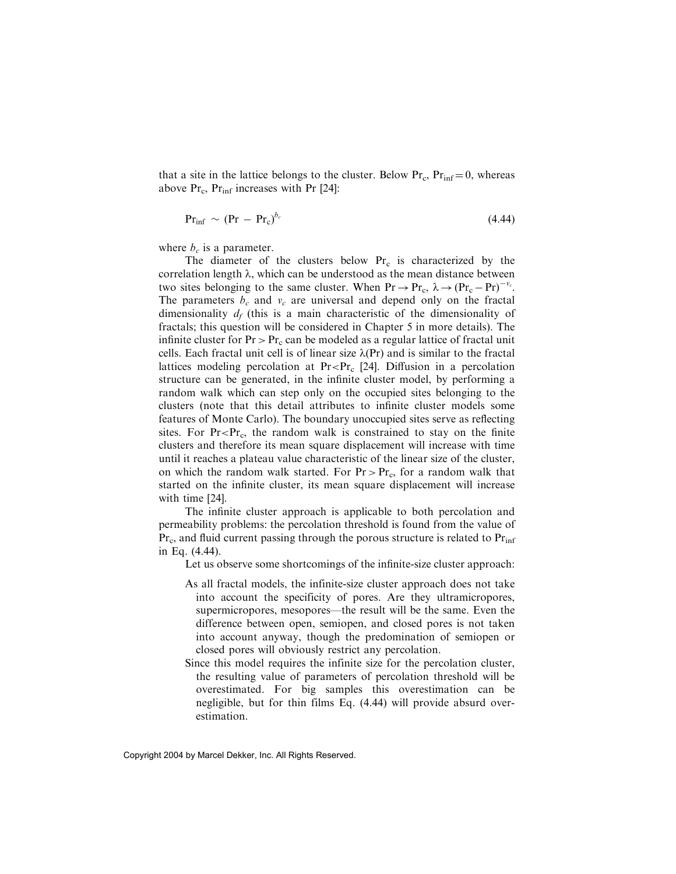that a site in the lattice belongs to the cluster. Below  $Pr_c$ ,  $Pr_{inf} = 0$ , whereas above  $Pr_c$ ,  $Pr_{inf}$  increases with Pr [24]:

$$
\mathrm{Pr}_{\mathrm{inf}} \sim (\mathrm{Pr} - \mathrm{Pr}_{\mathrm{c}})^{b_c} \tag{4.44}
$$

where  $b_c$  is a parameter.

The diameter of the clusters below  $Pr_c$  is characterized by the correlation length  $\lambda$ , which can be understood as the mean distance between two sites belonging to the same cluster. When  $Pr \rightarrow Pr_c$ ,  $\lambda \rightarrow (Pr_c - Pr)^{-\nu_c}$ . The parameters  $b_c$  and  $v_c$  are universal and depend only on the fractal dimensionality  $d_f$  (this is a main characteristic of the dimensionality of fractals; this question will be considered in Chapter 5 in more details). The infinite cluster for  $Pr > Pr_c$  can be modeled as a regular lattice of fractal unit cells. Each fractal unit cell is of linear size  $\lambda$ (Pr) and is similar to the fractal lattices modeling percolation at  $Prc$  [24]. Diffusion in a percolation structure can be generated, in the infinite cluster model, by performing a random walk which can step only on the occupied sites belonging to the clusters (note that this detail attributes to infinite cluster models some features of Monte Carlo). The boundary unoccupied sites serve as reflecting sites. For  $Pr < Pr_c$ , the random walk is constrained to stay on the finite clusters and therefore its mean square displacement will increase with time until it reaches a plateau value characteristic of the linear size of the cluster, on which the random walk started. For  $Pr > Pr_c$ , for a random walk that started on the infinite cluster, its mean square displacement will increase with time [24].

The infinite cluster approach is applicable to both percolation and permeability problems: the percolation threshold is found from the value of  $Pr_c$ , and fluid current passing through the porous structure is related to  $Pr_{\text{inf}}$ in Eq. (4.44).

Let us observe some shortcomings of the infinite-size cluster approach:

- As all fractal models, the infinite-size cluster approach does not take into account the specificity of pores. Are they ultramicropores, supermicropores, mesopores—the result will be the same. Even the difference between open, semiopen, and closed pores is not taken into account anyway, though the predomination of semiopen or closed pores will obviously restrict any percolation.
- Since this model requires the infinite size for the percolation cluster, the resulting value of parameters of percolation threshold will be overestimated. For big samples this overestimation can be negligible, but for thin films Eq. (4.44) will provide absurd overestimation.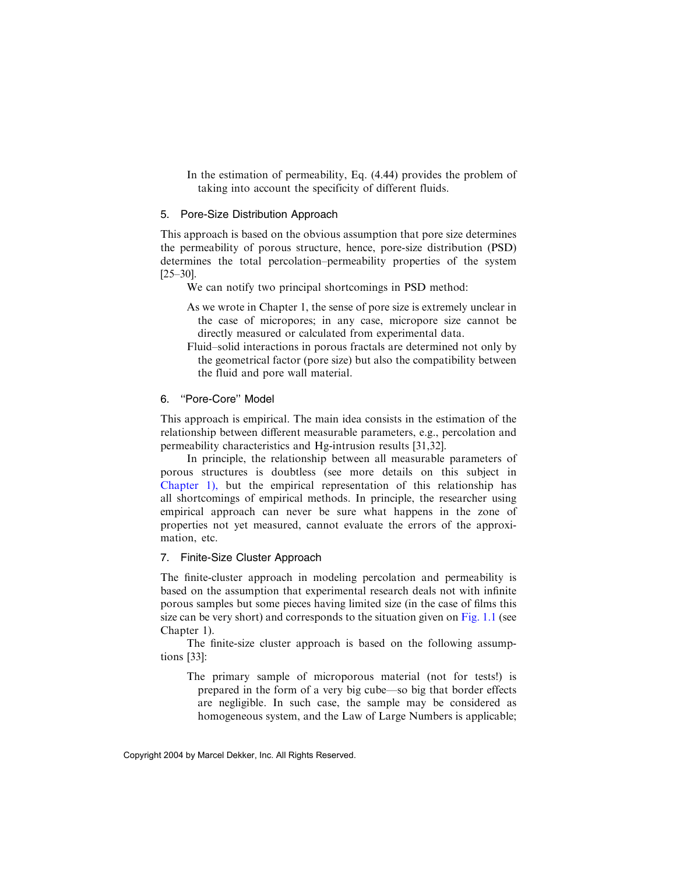In the estimation of permeability, Eq. (4.44) provides the problem of taking into account the specificity of different fluids.

# 5. Pore-Size Distribution Approach

This approach is based on the obvious assumption that pore size determines the permeability of porous structure, hence, pore-size distribution (PSD) determines the total percolation–permeability properties of the system [25–30].

We can notify two principal shortcomings in PSD method:

- As we wrote in Chapter 1, the sense of pore size is extremely unclear in the case of micropores; in any case, micropore size cannot be directly measured or calculated from experimental data.
- Fluid–solid interactions in porous fractals are determined not only by the geometrical factor (pore size) but also the compatibility between the fluid and pore wall material.

## 6. ''Pore-Core'' Model

This approach is empirical. The main idea consists in the estimation of the relationship between different measurable parameters, e.g., percolation and permeability characteristics and Hg-intrusion results [31,32].

In principle, the relationship between all measurable parameters of porous structures is doubtless (see more details on this subject in [Chapter 1\)](#page-0-0), but the empirical representation of this relationship has all shortcomings of empirical methods. In principle, the researcher using empirical approach can never be sure what happens in the zone of properties not yet measured, cannot evaluate the errors of the approximation, etc.

# 7. Finite-Size Cluster Approach

The finite-cluster approach in modeling percolation and permeability is based on the assumption that experimental research deals not with infinite porous samples but some pieces having limited size (in the case of films this size can be very short) and corresponds to the situation given on [Fig. 1.1](#page-2-0) (see Chapter 1).

The finite-size cluster approach is based on the following assumptions [33]:

The primary sample of microporous material (not for tests!) is prepared in the form of a very big cube—so big that border effects are negligible. In such case, the sample may be considered as homogeneous system, and the Law of Large Numbers is applicable;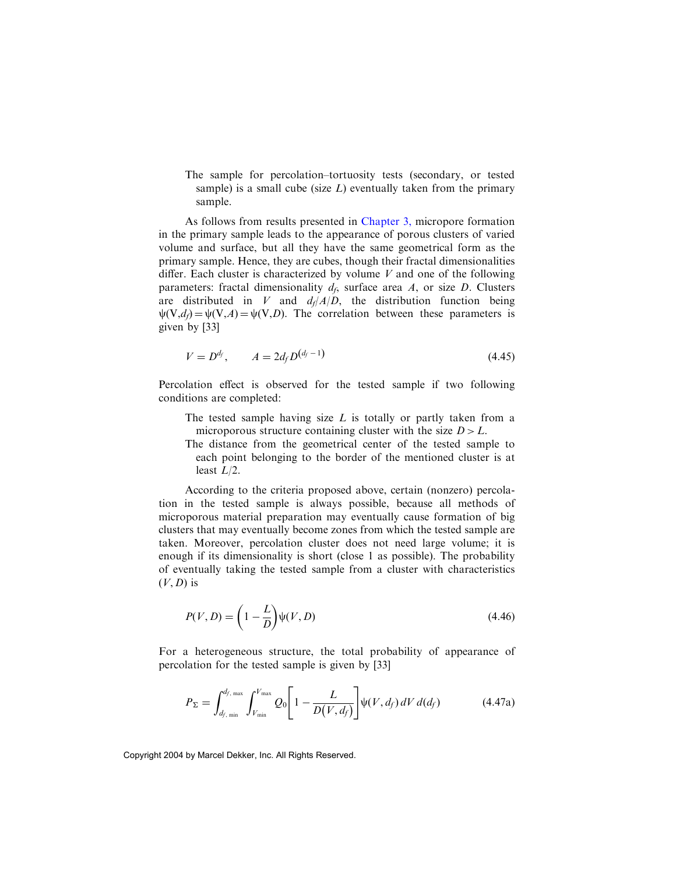The sample for percolation–tortuosity tests (secondary, or tested sample) is a small cube (size  $L$ ) eventually taken from the primary sample.

As follows from results presented in [Chapter 3,](#page-0-0) micropore formation in the primary sample leads to the appearance of porous clusters of varied volume and surface, but all they have the same geometrical form as the primary sample. Hence, they are cubes, though their fractal dimensionalities differ. Each cluster is characterized by volume  $V$  and one of the following parameters: fractal dimensionality  $d_f$ , surface area A, or size D. Clusters are distributed in V and  $d_f/A/D$ , the distribution function being  $\psi(V,d_f) = \psi(V,A) = \psi(V,D)$ . The correlation between these parameters is given by [33]

$$
V = D^{d_f}, \qquad A = 2d_f D^{(d_f - 1)} \tag{4.45}
$$

Percolation effect is observed for the tested sample if two following conditions are completed:

- The tested sample having size  $L$  is totally or partly taken from a microporous structure containing cluster with the size  $D > L$ .
- The distance from the geometrical center of the tested sample to each point belonging to the border of the mentioned cluster is at least L/2.

According to the criteria proposed above, certain (nonzero) percolation in the tested sample is always possible, because all methods of microporous material preparation may eventually cause formation of big clusters that may eventually become zones from which the tested sample are taken. Moreover, percolation cluster does not need large volume; it is enough if its dimensionality is short (close 1 as possible). The probability of eventually taking the tested sample from a cluster with characteristics  $(V, D)$  is

$$
P(V, D) = \left(1 - \frac{L}{D}\right) \psi(V, D) \tag{4.46}
$$

For a heterogeneous structure, the total probability of appearance of percolation for the tested sample is given by [33]

$$
P_{\Sigma} = \int_{d_{f,\min}}^{d_{f,\max}} \int_{V_{\min}}^{V_{\max}} Q_0 \left[ 1 - \frac{L}{D(V, d_f)} \right] \psi(V, d_f) dV d(d_f)
$$
(4.47a)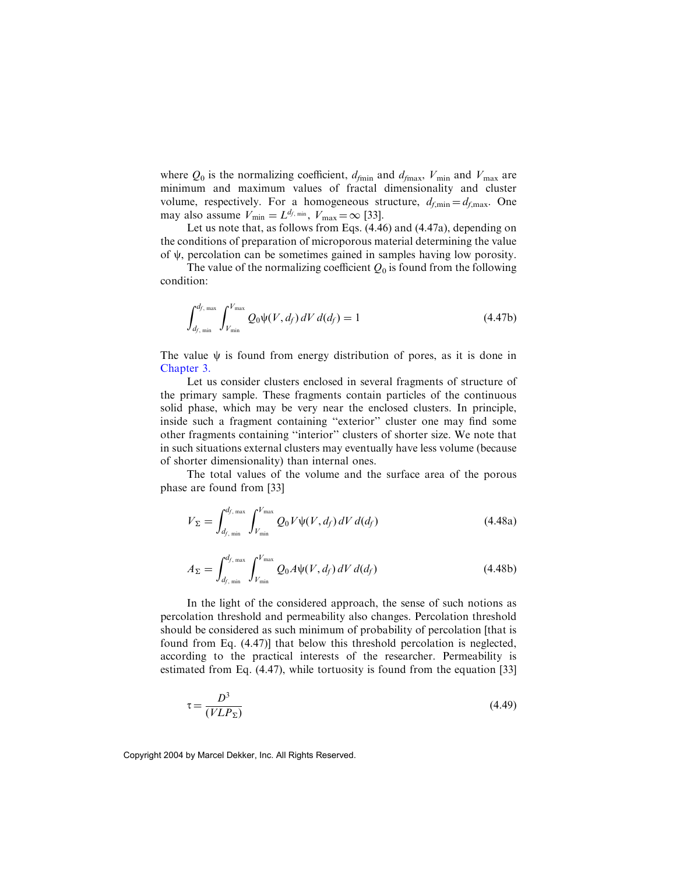where  $Q_0$  is the normalizing coefficient,  $d_{fmin}$  and  $d_{fmax}$ ,  $V_{min}$  and  $V_{max}$  are minimum and maximum values of fractal dimensionality and cluster volume, respectively. For a homogeneous structure,  $d_{f,min} = d_{f,max}$ . One may also assume  $V_{\text{min}} = L^{d_{f,\text{min}}}$ ,  $V_{\text{max}} = \infty$  [33].

Let us note that, as follows from Eqs.  $(4.46)$  and  $(4.47a)$ , depending on the conditions of preparation of microporous material determining the value of  $\psi$ , percolation can be sometimes gained in samples having low porosity.

The value of the normalizing coefficient  $Q_0$  is found from the following condition:

$$
\int_{d_{f, \min}}^{d_{f, \max}} \int_{V_{\min}}^{V_{\max}} Q_0 \psi(V, d_f) dV d(d_f) = 1
$$
\n(4.47b)

The value  $\psi$  is found from energy distribution of pores, as it is done in [Chapter 3.](#page-0-0)

Let us consider clusters enclosed in several fragments of structure of the primary sample. These fragments contain particles of the continuous solid phase, which may be very near the enclosed clusters. In principle, inside such a fragment containing ''exterior'' cluster one may find some other fragments containing ''interior'' clusters of shorter size. We note that in such situations external clusters may eventually have less volume (because of shorter dimensionality) than internal ones.

The total values of the volume and the surface area of the porous phase are found from [33]

$$
V_{\Sigma} = \int_{d_{f, \min}}^{d_{f, \max}} \int_{V_{\min}}^{V_{\max}} Q_0 V \psi(V, d_f) dV d(d_f)
$$
 (4.48a)

$$
A_{\Sigma} = \int_{d_{f,\min}}^{d_{f,\max}} \int_{V_{\min}}^{V_{\max}} Q_0 A \psi(V, d_f) dV d(d_f)
$$
 (4.48b)

In the light of the considered approach, the sense of such notions as percolation threshold and permeability also changes. Percolation threshold should be considered as such minimum of probability of percolation [that is found from Eq. (4.47)] that below this threshold percolation is neglected, according to the practical interests of the researcher. Permeability is estimated from Eq. (4.47), while tortuosity is found from the equation [33]

$$
\tau = \frac{D^3}{(VLP_\Sigma)}\tag{4.49}
$$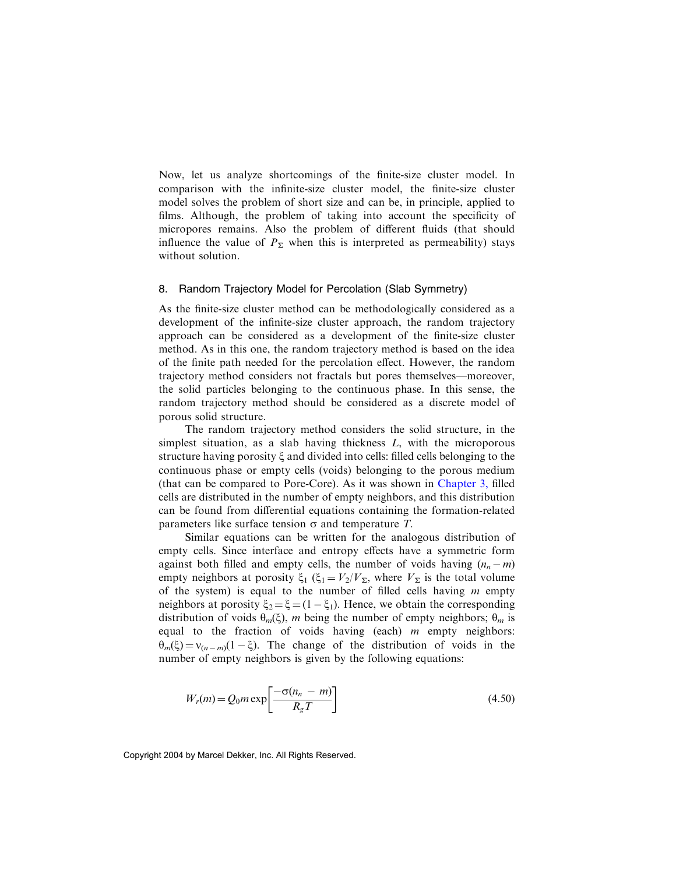Now, let us analyze shortcomings of the finite-size cluster model. In comparison with the infinite-size cluster model, the finite-size cluster model solves the problem of short size and can be, in principle, applied to films. Although, the problem of taking into account the specificity of micropores remains. Also the problem of different fluids (that should influence the value of  $P_{\Sigma}$  when this is interpreted as permeability) stays without solution.

## 8. Random Trajectory Model for Percolation (Slab Symmetry)

As the finite-size cluster method can be methodologically considered as a development of the infinite-size cluster approach, the random trajectory approach can be considered as a development of the finite-size cluster method. As in this one, the random trajectory method is based on the idea of the finite path needed for the percolation effect. However, the random trajectory method considers not fractals but pores themselves—moreover, the solid particles belonging to the continuous phase. In this sense, the random trajectory method should be considered as a discrete model of porous solid structure.

The random trajectory method considers the solid structure, in the simplest situation, as a slab having thickness  $L$ , with the microporous structure having porosity  $\xi$  and divided into cells: filled cells belonging to the continuous phase or empty cells (voids) belonging to the porous medium (that can be compared to Pore-Core). As it was shown in [Chapter 3,](#page-0-0) filled cells are distributed in the number of empty neighbors, and this distribution can be found from differential equations containing the formation-related parameters like surface tension  $\sigma$  and temperature T.

Similar equations can be written for the analogous distribution of empty cells. Since interface and entropy effects have a symmetric form against both filled and empty cells, the number of voids having  $(n_n - m)$ empty neighbors at porosity  $\xi_1$  ( $\xi_1 = V_2/V_{\Sigma}$ , where  $V_{\Sigma}$  is the total volume of the system) is equal to the number of filled cells having  $m$  empty neighbors at porosity  $\xi_2 = \xi = (1 - \xi_1)$ . Hence, we obtain the corresponding distribution of voids  $\theta_m(\xi)$ , m being the number of empty neighbors;  $\theta_m$  is equal to the fraction of voids having (each)  $m$  empty neighbors:  $\theta_m(\xi) = v_{(n-m)}(1 - \xi)$ . The change of the distribution of voids in the number of empty neighbors is given by the following equations:

$$
W_r(m) = Q_0 m \exp\left[\frac{-\sigma(n_n - m)}{R_g T}\right]
$$
\n(4.50)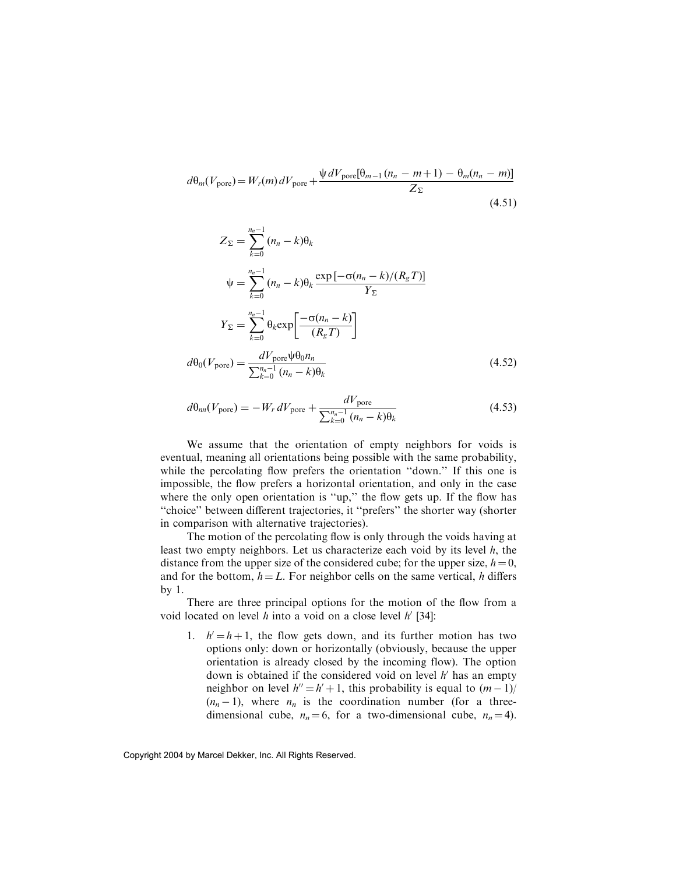$$
d\theta_m(V_{\text{pore}}) = W_r(m) dV_{\text{pore}} + \frac{\psi dV_{\text{pore}}[\theta_{m-1}(n_n - m + 1) - \theta_m(n_n - m)]}{Z_{\Sigma}}
$$
\n(4.51)

$$
Z_{\Sigma} = \sum_{k=0}^{n_n - 1} (n_n - k)\theta_k
$$
  

$$
\Psi = \sum_{k=0}^{n_n - 1} (n_n - k)\theta_k \frac{\exp[-\sigma(n_n - k)/(R_g T)]}{Y_{\Sigma}}
$$
  

$$
Y_{\Sigma} = \sum_{k=0}^{n_n - 1} \theta_k \exp\left[\frac{-\sigma(n_n - k)}{(R_g T)}\right]
$$
  

$$
d\theta_0(V_{\text{pore}}) = \frac{dV_{\text{pore}}\Psi\theta_0 n_n}{\sum_{k=0}^{n_n - 1} (n_n - k)\theta_k}
$$
(4.52)

$$
d\theta_{nn}(V_{\text{pore}}) = -W_r dV_{\text{pore}} + \frac{dV_{\text{pore}}}{\sum_{k=0}^{n_n - 1} (n_n - k)\theta_k}
$$
(4.53)

We assume that the orientation of empty neighbors for voids is eventual, meaning all orientations being possible with the same probability, while the percolating flow prefers the orientation "down." If this one is impossible, the flow prefers a horizontal orientation, and only in the case where the only open orientation is "up," the flow gets up. If the flow has ''choice'' between different trajectories, it ''prefers'' the shorter way (shorter in comparison with alternative trajectories).

The motion of the percolating flow is only through the voids having at least two empty neighbors. Let us characterize each void by its level  $h$ , the distance from the upper size of the considered cube; for the upper size,  $h = 0$ , and for the bottom,  $h = L$ . For neighbor cells on the same vertical, h differs by 1.

There are three principal options for the motion of the flow from a void located on level h into a void on a close level  $h'$  [34]:

1.  $h' = h + 1$ , the flow gets down, and its further motion has two options only: down or horizontally (obviously, because the upper orientation is already closed by the incoming flow). The option down is obtained if the considered void on level  $h'$  has an empty neighbor on level  $h'' = h' + 1$ , this probability is equal to  $(m - 1)$  $(n_n - 1)$ , where  $n_n$  is the coordination number (for a threedimensional cube,  $n_n = 6$ , for a two-dimensional cube,  $n_n = 4$ ).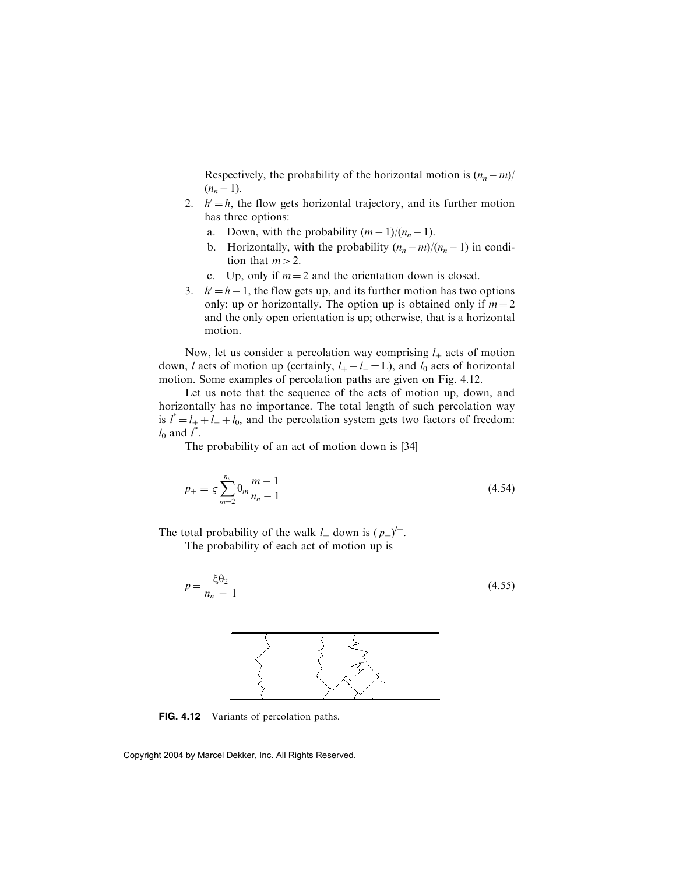Respectively, the probability of the horizontal motion is  $(n_n - m)$ /  $(n_n - 1)$ .

- 2.  $h' = h$ , the flow gets horizontal trajectory, and its further motion has three options:
	- a. Down, with the probability  $(m-1)/(n<sub>n</sub>-1)$ .
	- b. Horizontally, with the probability  $(n_n m)/(n_n 1)$  in condition that  $m > 2$ .
	- c. Up, only if  $m = 2$  and the orientation down is closed.
- 3.  $h' = h 1$ , the flow gets up, and its further motion has two options only: up or horizontally. The option up is obtained only if  $m = 2$ and the only open orientation is up; otherwise, that is a horizontal motion.

Now, let us consider a percolation way comprising  $l_{+}$  acts of motion down, l acts of motion up (certainly,  $l_{+} - l_{-} = L$ ), and  $l_0$  acts of horizontal motion. Some examples of percolation paths are given on Fig. 4.12.

Let us note that the sequence of the acts of motion up, down, and horizontally has no importance. The total length of such percolation way is  $l^* = l_+ + l_- + l_0$ , and the percolation system gets two factors of freedom:  $l_0$  and  $l^*$ .

The probability of an act of motion down is [34]

$$
p_{+} = \zeta \sum_{m=2}^{n_{n}} \theta_{m} \frac{m-1}{n_{n}-1}
$$
\n(4.54)

The total probability of the walk  $l_+$  down is  $(p_+)^{l_+}$ .

The probability of each act of motion up is

 $p = \frac{\xi \theta_2}{n_v-1}$  $\frac{5^{\circ}2}{n_n - 1}$  (4.55)



FIG. 4.12 Variants of percolation paths.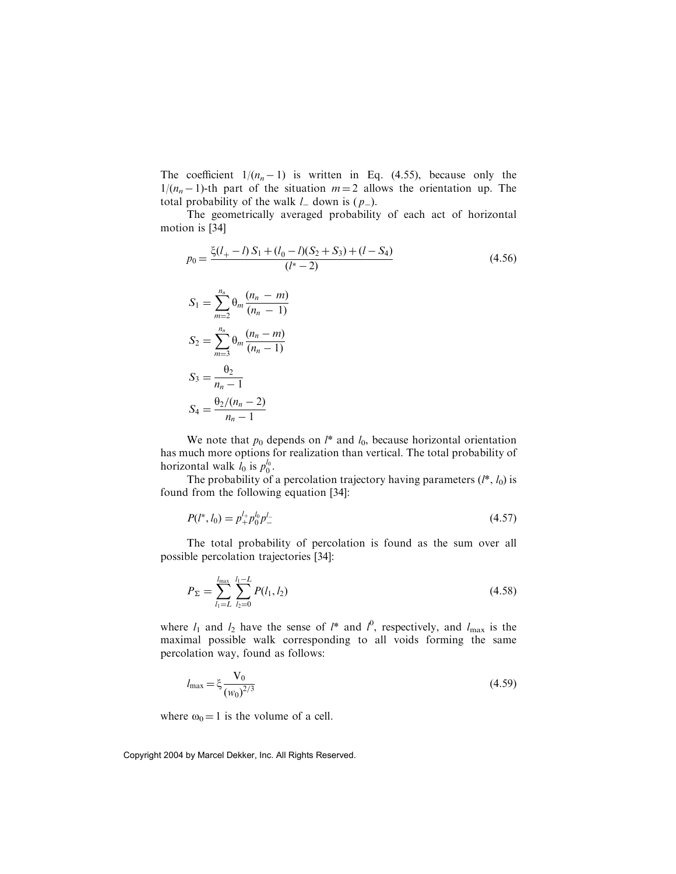The coefficient  $1/(n_n - 1)$  is written in Eq. (4.55), because only the  $1/(n_n - 1)$ -th part of the situation  $m = 2$  allows the orientation up. The total probability of the walk  $l_$  down is  $(p_$ .

The geometrically averaged probability of each act of horizontal motion is [34]

$$
p_0 = \frac{\xi(l_+ - l)S_1 + (l_0 - l)(S_2 + S_3) + (l - S_4)}{(l^* - 2)}
$$
(4.56)

$$
S_1 = \sum_{m=2}^{n_n} \theta_m \frac{(n_n - m)}{(n_n - 1)}
$$
  
\n
$$
S_2 = \sum_{m=3}^{n_n} \theta_m \frac{(n_n - m)}{(n_n - 1)}
$$
  
\n
$$
S_3 = \frac{\theta_2}{n_n - 1}
$$
  
\n
$$
S_4 = \frac{\theta_2/(n_n - 2)}{n_n - 1}
$$

We note that  $p_0$  depends on  $l^*$  and  $l_0$ , because horizontal orientation has much more options for realization than vertical. The total probability of horizontal walk  $l_0$  is  $p_0^{l_0}$ .

The probability of a percolation trajectory having parameters  $(l^*, l_0)$  is found from the following equation [34]:

$$
P(l^*, l_0) = p_+^{l_+} p_0^{l_0} p_-^{l_-}
$$
\n(4.57)

The total probability of percolation is found as the sum over all possible percolation trajectories [34]:

$$
P_{\Sigma} = \sum_{l_1 = L}^{l_{\max}} \sum_{l_2 = 0}^{l_1 - L} P(l_1, l_2)
$$
\n(4.58)

where  $l_1$  and  $l_2$  have the sense of  $l^*$  and  $l^0$ , respectively, and  $l_{\text{max}}$  is the maximal possible walk corresponding to all voids forming the same percolation way, found as follows:

$$
l_{\text{max}} = \xi \frac{\mathbf{V}_0}{(w_0)^{2/3}}
$$
(4.59)

where  $\omega_0 = 1$  is the volume of a cell.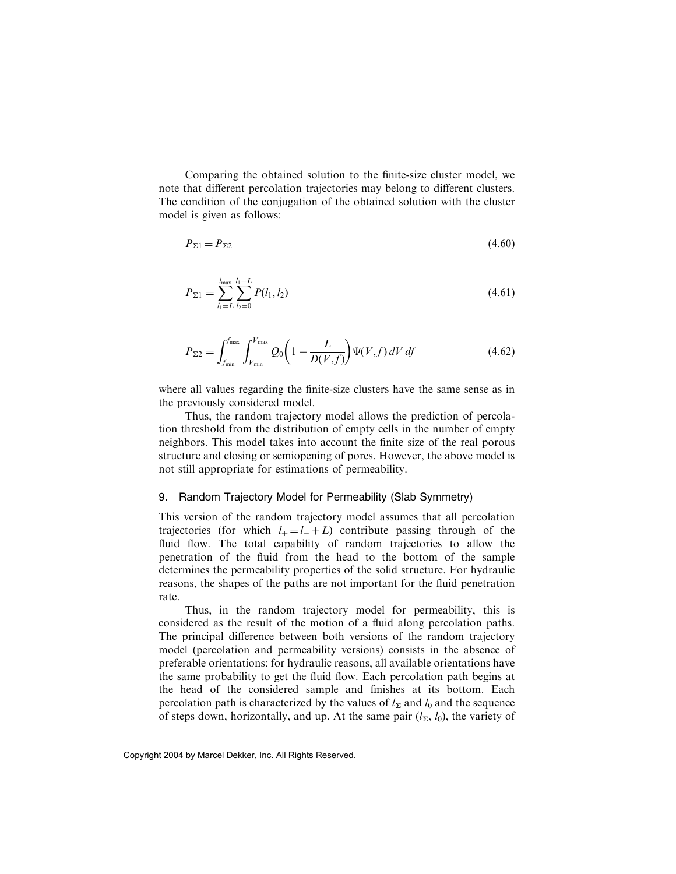Comparing the obtained solution to the finite-size cluster model, we note that different percolation trajectories may belong to different clusters. The condition of the conjugation of the obtained solution with the cluster model is given as follows:

$$
P_{\Sigma1} = P_{\Sigma2} \tag{4.60}
$$

$$
P_{\Sigma1} = \sum_{l_1=L}^{l_{\max}} \sum_{l_2=0}^{l_1-L} P(l_1, l_2)
$$
\n(4.61)

$$
P_{\Sigma 2} = \int_{f_{\min}}^{f_{\max}} \int_{V_{\min}}^{V_{\max}} Q_0 \left( 1 - \frac{L}{D(V, f)} \right) \Psi(V, f) \, dV \, df \tag{4.62}
$$

where all values regarding the finite-size clusters have the same sense as in the previously considered model.

Thus, the random trajectory model allows the prediction of percolation threshold from the distribution of empty cells in the number of empty neighbors. This model takes into account the finite size of the real porous structure and closing or semiopening of pores. However, the above model is not still appropriate for estimations of permeability.

#### 9. Random Trajectory Model for Permeability (Slab Symmetry)

This version of the random trajectory model assumes that all percolation trajectories (for which  $l_{+} = l_{-} + L$ ) contribute passing through of the fluid flow. The total capability of random trajectories to allow the penetration of the fluid from the head to the bottom of the sample determines the permeability properties of the solid structure. For hydraulic reasons, the shapes of the paths are not important for the fluid penetration rate.

Thus, in the random trajectory model for permeability, this is considered as the result of the motion of a fluid along percolation paths. The principal difference between both versions of the random trajectory model (percolation and permeability versions) consists in the absence of preferable orientations: for hydraulic reasons, all available orientations have the same probability to get the fluid flow. Each percolation path begins at the head of the considered sample and finishes at its bottom. Each percolation path is characterized by the values of  $l_{\Sigma}$  and  $l_0$  and the sequence of steps down, horizontally, and up. At the same pair  $(l_{\Sigma}, l_0)$ , the variety of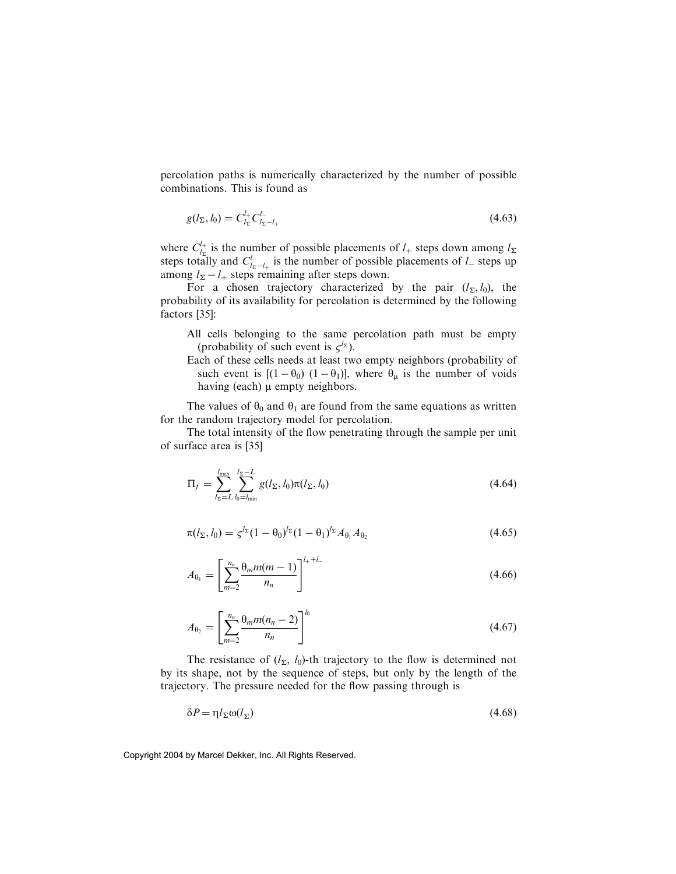percolation paths is numerically characterized by the number of possible combinations. This is found as

$$
g(l_{\Sigma}, l_0) = C_{l_{\Sigma}}^{l_{+}} C_{l_{\Sigma} - l_{+}}^{l_{-}} \tag{4.63}
$$

where  $C_{l_{\Sigma}}^{l_{+}}$  is the number of possible placements of  $l_{+}$  steps down among  $l_{\Sigma}$ steps totally and  $C_{l_2-l_+}^{l_-}$  is the number of possible placements of  $l_-$  steps up among  $l_{\Sigma} - l_{+}$  steps remaining after steps down.

For a chosen trajectory characterized by the pair  $(l_{\Sigma}, l_0)$ , the probability of its availability for percolation is determined by the following factors [35]:

- All cells belonging to the same percolation path must be empty (probability of such event is  $\zeta^{l_{\Sigma}}$ ).
- Each of these cells needs at least two empty neighbors (probability of such event is  $[(1 - \theta_0) (1 - \theta_1)]$ , where  $\theta_u$  is the number of voids having (each)  $\mu$  empty neighbors.

The values of  $\theta_0$  and  $\theta_1$  are found from the same equations as written for the random trajectory model for percolation.

The total intensity of the flow penetrating through the sample per unit of surface area is [35]

$$
\Pi_f = \sum_{l_{\Sigma}=L}^{l_{\max}} \sum_{l_0=l_{\min}}^{l_{\Sigma}-L} g(l_{\Sigma}, l_0) \pi(l_{\Sigma}, l_0)
$$
\n(4.64)

$$
\pi(l_{\Sigma}, l_0) = \zeta^{l_{\Sigma}} (1 - \theta_0)^{l_{\Sigma}} (1 - \theta_1)^{l_{\Sigma}} A_{\theta_1} A_{\theta_2}
$$
\n(4.65)

$$
A_{\theta_1} = \left[ \sum_{m=2}^{n_n} \frac{\theta_m m(m-1)}{n_n} \right]^{l_+ + l_-}
$$
\n(4.66)

$$
A_{\theta_2} = \left[ \sum_{m=2}^{n_n} \frac{\theta_m m(n_n - 2)}{n_n} \right]^{l_0}
$$
\n(4.67)

The resistance of  $(l_{\Sigma}, l_0)$ -th trajectory to the flow is determined not by its shape, not by the sequence of steps, but only by the length of the trajectory. The pressure needed for the flow passing through is

$$
\delta P = \eta l_{\Sigma} \omega(l_{\Sigma}) \tag{4.68}
$$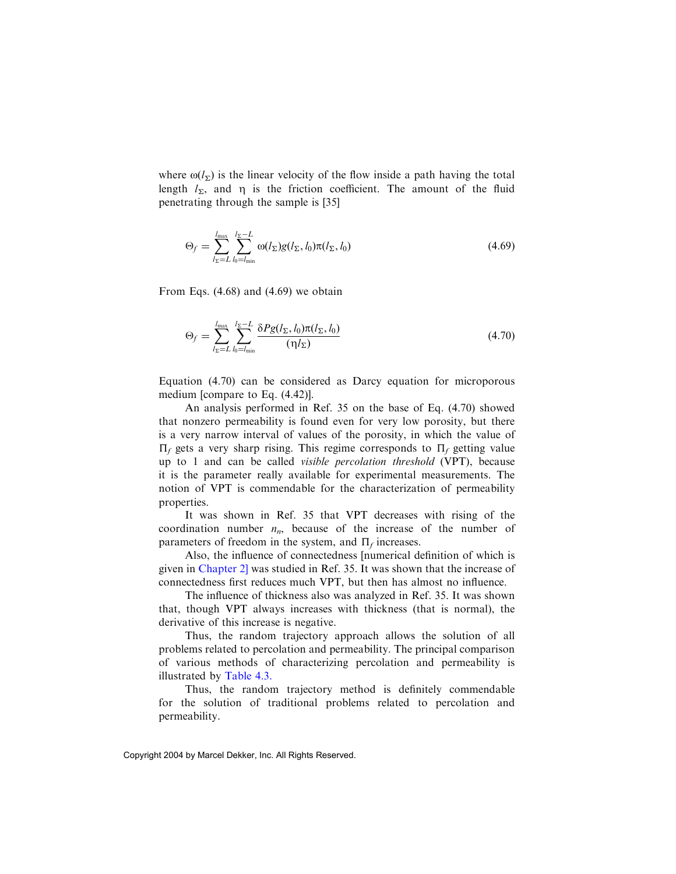where  $\omega(l_{\Sigma})$  is the linear velocity of the flow inside a path having the total length  $l_{\Sigma}$ , and  $\eta$  is the friction coefficient. The amount of the fluid penetrating through the sample is [35]

$$
\Theta_f = \sum_{l_{\Sigma}=L}^{l_{\max}} \sum_{l_0=l_{\min}}^{l_{\Sigma}-L} \omega(l_{\Sigma}) g(l_{\Sigma}, l_0) \pi(l_{\Sigma}, l_0)
$$
\n(4.69)

From Eqs. (4.68) and (4.69) we obtain

$$
\Theta_f = \sum_{l_{\Sigma}=L}^{l_{\max}} \sum_{l_0=l_{\min}}^{l_{\Sigma}-L} \frac{\delta P g(l_{\Sigma}, l_0) \pi(l_{\Sigma}, l_0)}{(\eta l_{\Sigma})}
$$
(4.70)

Equation (4.70) can be considered as Darcy equation for microporous medium [compare to Eq. (4.42)].

An analysis performed in Ref. 35 on the base of Eq. (4.70) showed that nonzero permeability is found even for very low porosity, but there is a very narrow interval of values of the porosity, in which the value of  $\Pi_f$  gets a very sharp rising. This regime corresponds to  $\Pi_f$  getting value up to 1 and can be called visible percolation threshold (VPT), because it is the parameter really available for experimental measurements. The notion of VPT is commendable for the characterization of permeability properties.

It was shown in Ref. 35 that VPT decreases with rising of the coordination number  $n_n$ , because of the increase of the number of parameters of freedom in the system, and  $\Pi_f$  increases.

Also, the influence of connectedness [numerical definition of which is given in [Chapter 2\]](#page-0-0) was studied in Ref. 35. It was shown that the increase of connectedness first reduces much VPT, but then has almost no influence.

The influence of thickness also was analyzed in Ref. 35. It was shown that, though VPT always increases with thickness (that is normal), the derivative of this increase is negative.

Thus, the random trajectory approach allows the solution of all problems related to percolation and permeability. The principal comparison of various methods of characterizing percolation and permeability is illustrated by [Table 4.3.](#page-41-0)

Thus, the random trajectory method is definitely commendable for the solution of traditional problems related to percolation and permeability.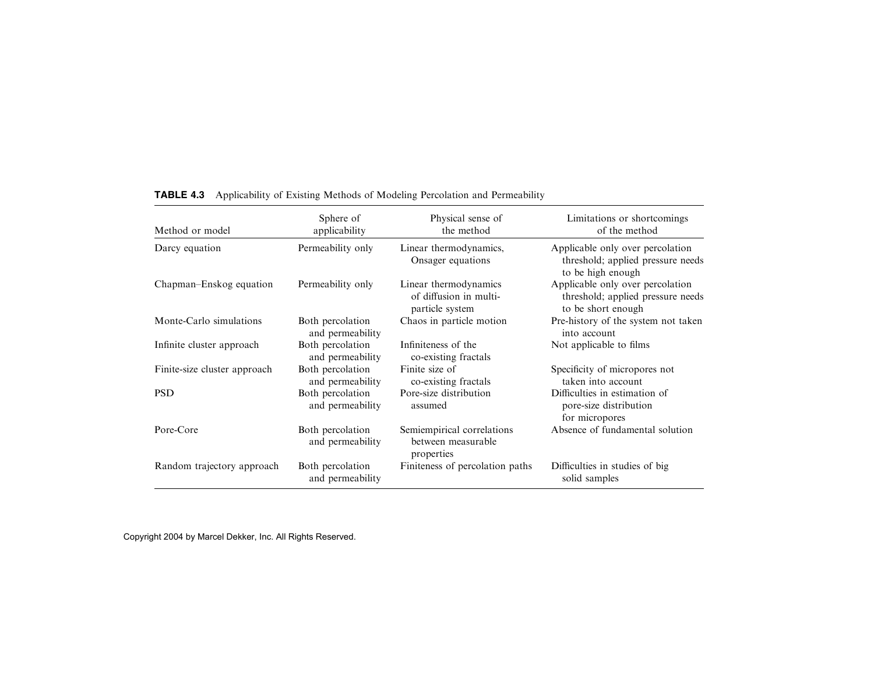| Method or model              | Sphere of<br>applicability           | Physical sense of<br>the method                                    | Limitations or shortcomings<br>of the method                                                |
|------------------------------|--------------------------------------|--------------------------------------------------------------------|---------------------------------------------------------------------------------------------|
| Darcy equation               | Permeability only                    | Linear thermodynamics,<br>Onsager equations                        | Applicable only over percolation<br>threshold; applied pressure needs<br>to be high enough  |
| Chapman–Enskog equation      | Permeability only                    | Linear thermodynamics<br>of diffusion in multi-<br>particle system | Applicable only over percolation<br>threshold; applied pressure needs<br>to be short enough |
| Monte-Carlo simulations      | Both percolation<br>and permeability | Chaos in particle motion                                           | Pre-history of the system not taken<br>into account                                         |
| Infinite cluster approach    | Both percolation<br>and permeability | Infiniteness of the<br>co-existing fractals                        | Not applicable to films                                                                     |
| Finite-size cluster approach | Both percolation<br>and permeability | Finite size of<br>co-existing fractals                             | Specificity of micropores not<br>taken into account                                         |
| <b>PSD</b>                   | Both percolation<br>and permeability | Pore-size distribution<br>assumed                                  | Difficulties in estimation of<br>pore-size distribution<br>for micropores                   |
| Pore-Core                    | Both percolation<br>and permeability | Semiempirical correlations<br>between measurable<br>properties     | Absence of fundamental solution                                                             |
| Random trajectory approach   | Both percolation<br>and permeability | Finiteness of percolation paths                                    | Difficulties in studies of big<br>solid samples                                             |

### <span id="page-41-0"></span>**TABLE 4.3** Applicability of Existing Methods of Modeling Percolation and Permeability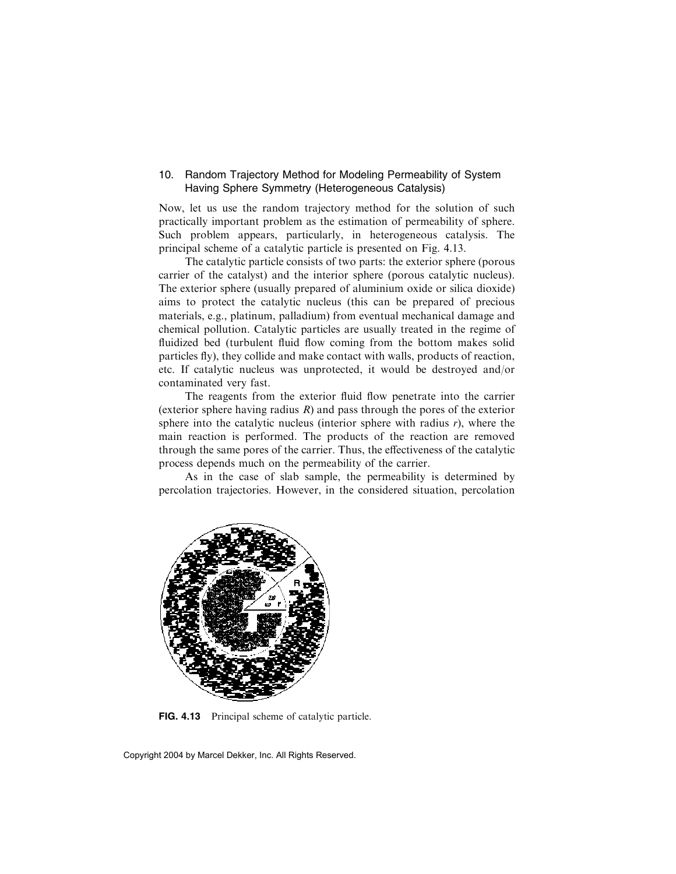## 10. Random Trajectory Method for Modeling Permeability of System Having Sphere Symmetry (Heterogeneous Catalysis)

Now, let us use the random trajectory method for the solution of such practically important problem as the estimation of permeability of sphere. Such problem appears, particularly, in heterogeneous catalysis. The principal scheme of a catalytic particle is presented on Fig. 4.13.

The catalytic particle consists of two parts: the exterior sphere (porous carrier of the catalyst) and the interior sphere (porous catalytic nucleus). The exterior sphere (usually prepared of aluminium oxide or silica dioxide) aims to protect the catalytic nucleus (this can be prepared of precious materials, e.g., platinum, palladium) from eventual mechanical damage and chemical pollution. Catalytic particles are usually treated in the regime of fluidized bed (turbulent fluid flow coming from the bottom makes solid particles fly), they collide and make contact with walls, products of reaction, etc. If catalytic nucleus was unprotected, it would be destroyed and/or contaminated very fast.

The reagents from the exterior fluid flow penetrate into the carrier (exterior sphere having radius  $R$ ) and pass through the pores of the exterior sphere into the catalytic nucleus (interior sphere with radius  $r$ ), where the main reaction is performed. The products of the reaction are removed through the same pores of the carrier. Thus, the effectiveness of the catalytic process depends much on the permeability of the carrier.

As in the case of slab sample, the permeability is determined by percolation trajectories. However, in the considered situation, percolation



FIG. 4.13 Principal scheme of catalytic particle.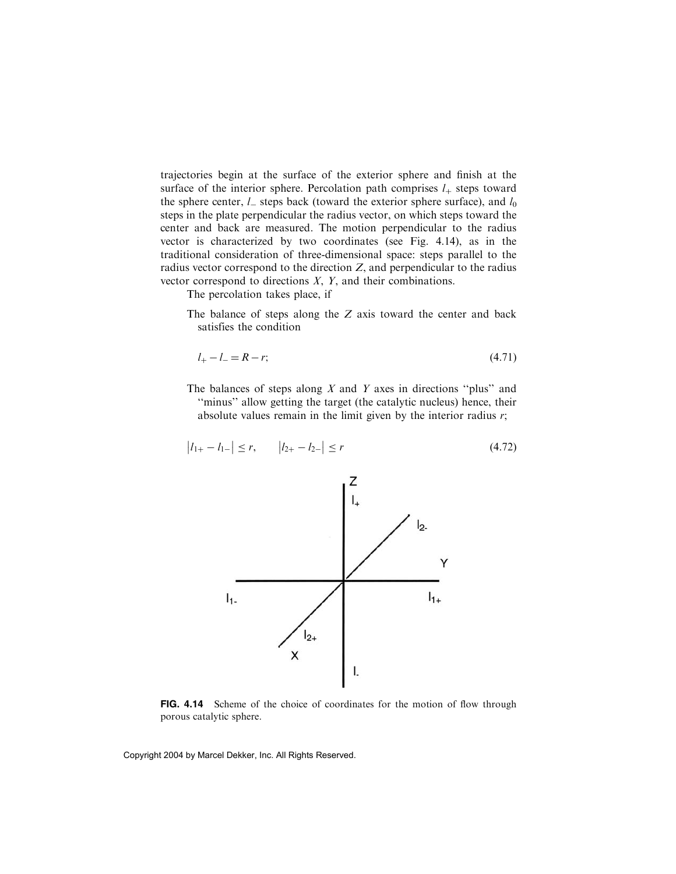trajectories begin at the surface of the exterior sphere and finish at the surface of the interior sphere. Percolation path comprises  $l_{+}$  steps toward the sphere center,  $l_{-}$  steps back (toward the exterior sphere surface), and  $l_{0}$ steps in the plate perpendicular the radius vector, on which steps toward the center and back are measured. The motion perpendicular to the radius vector is characterized by two coordinates (see Fig. 4.14), as in the traditional consideration of three-dimensional space: steps parallel to the radius vector correspond to the direction Z, and perpendicular to the radius vector correspond to directions  $X$ ,  $Y$ , and their combinations.

The percolation takes place, if

The balance of steps along the Z axis toward the center and back satisfies the condition

$$
l_{+} - l_{-} = R - r; \tag{4.71}
$$

The balances of steps along  $X$  and  $Y$  axes in directions "plus" and ''minus'' allow getting the target (the catalytic nucleus) hence, their absolute values remain in the limit given by the interior radius  $r$ ;

$$
|l_{1+} - l_{1-}| \le r, \qquad |l_{2+} - l_{2-}| \le r \tag{4.72}
$$



FIG. 4.14 Scheme of the choice of coordinates for the motion of flow through porous catalytic sphere.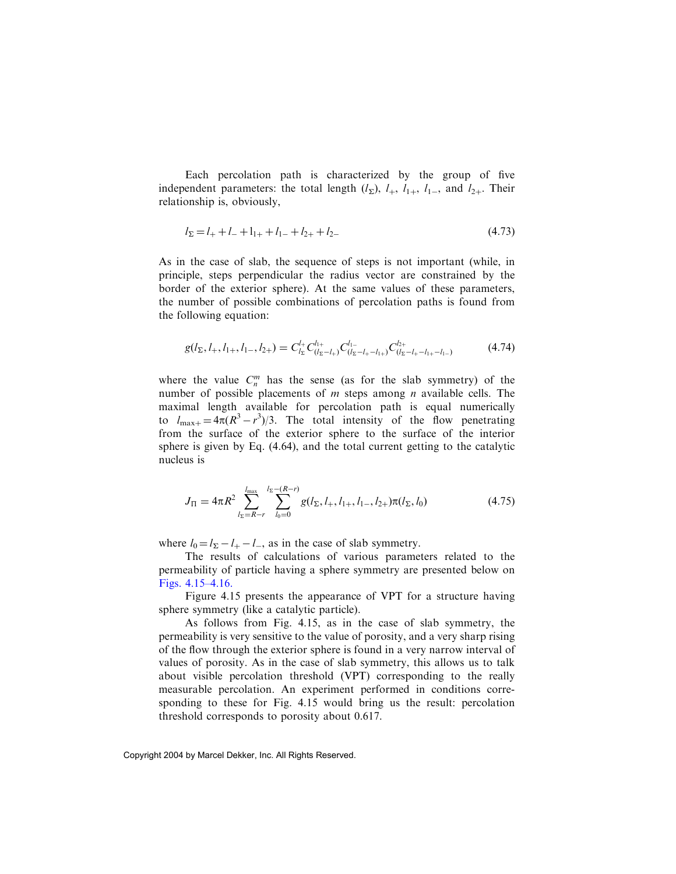Each percolation path is characterized by the group of five independent parameters: the total length  $(l_{\Sigma})$ ,  $l_{+}$ ,  $l_{1+}$ ,  $l_{1-}$ , and  $l_{2+}$ . Their relationship is, obviously,

$$
l_{\Sigma} = l_{+} + l_{-} + l_{1+} + l_{1-} + l_{2+} + l_{2-} \tag{4.73}
$$

As in the case of slab, the sequence of steps is not important (while, in principle, steps perpendicular the radius vector are constrained by the border of the exterior sphere). At the same values of these parameters, the number of possible combinations of percolation paths is found from the following equation:

$$
g(l_{\Sigma}, l_{+}, l_{1+}, l_{1-}, l_{2+}) = C_{l_{\Sigma}}^{l_{+}} C_{(l_{\Sigma}-l_{+})}^{l_{1+}} C_{(l_{\Sigma}-l_{+}-l_{1+})}^{l_{1-}} C_{(l_{\Sigma}-l_{+}-l_{1+}-l_{1-})}^{l_{2+}} \tag{4.74}
$$

where the value  $C_n^m$  has the sense (as for the slab symmetry) of the number of possible placements of  $m$  steps among  $n$  available cells. The maximal length available for percolation path is equal numerically to  $l_{\text{max}+} = 4\pi (R^3 - r^3)/3$ . The total intensity of the flow penetrating from the surface of the exterior sphere to the surface of the interior sphere is given by Eq. (4.64), and the total current getting to the catalytic nucleus is

$$
J_{\Pi} = 4\pi R^2 \sum_{l_{\Sigma} = R - r}^{l_{\max}} \sum_{l_0 = 0}^{l_{\Sigma} - (R - r)} g(l_{\Sigma}, l_+, l_{1+,}, l_{1-,} l_{2+}) \pi(l_{\Sigma}, l_0)
$$
(4.75)

where  $l_0 = l_{\Sigma} - l_{+} - l_{-}$ , as in the case of slab symmetry.

The results of calculations of various parameters related to the permeability of particle having a sphere symmetry are presented below on [Figs. 4.15–4.16.](#page-45-0)

Figure 4.15 presents the appearance of VPT for a structure having sphere symmetry (like a catalytic particle).

As follows from Fig. 4.15, as in the case of slab symmetry, the permeability is very sensitive to the value of porosity, and a very sharp rising of the flow through the exterior sphere is found in a very narrow interval of values of porosity. As in the case of slab symmetry, this allows us to talk about visible percolation threshold (VPT) corresponding to the really measurable percolation. An experiment performed in conditions corresponding to these for Fig. 4.15 would bring us the result: percolation threshold corresponds to porosity about 0.617.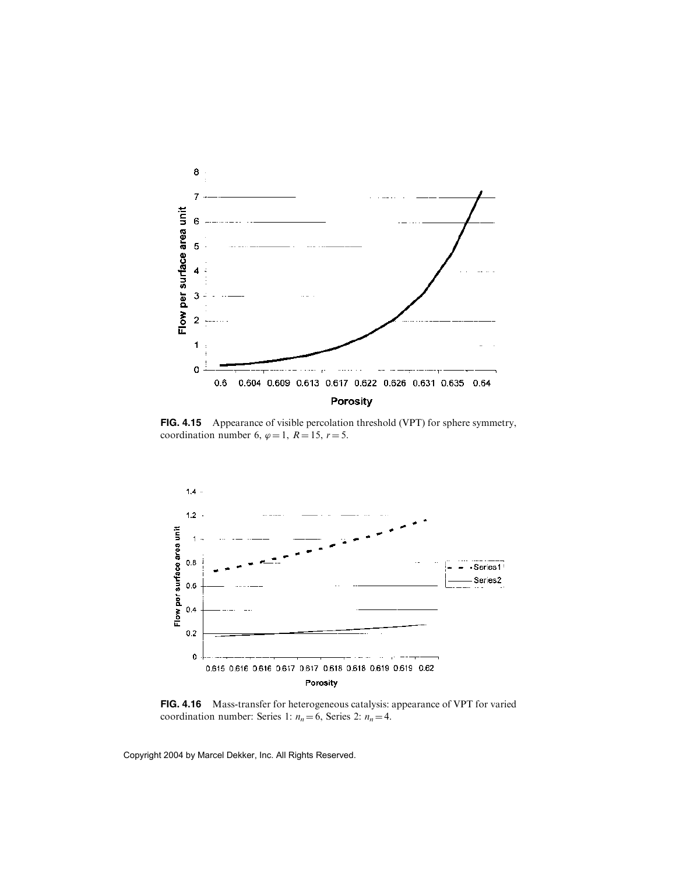<span id="page-45-0"></span>

FIG. 4.15 Appearance of visible percolation threshold (VPT) for sphere symmetry, coordination number 6,  $\varphi = 1$ ,  $R = 15$ ,  $r = 5$ .



FIG. 4.16 Mass-transfer for heterogeneous catalysis: appearance of VPT for varied coordination number: Series 1:  $n_n = 6$ , Series 2:  $n_n = 4$ .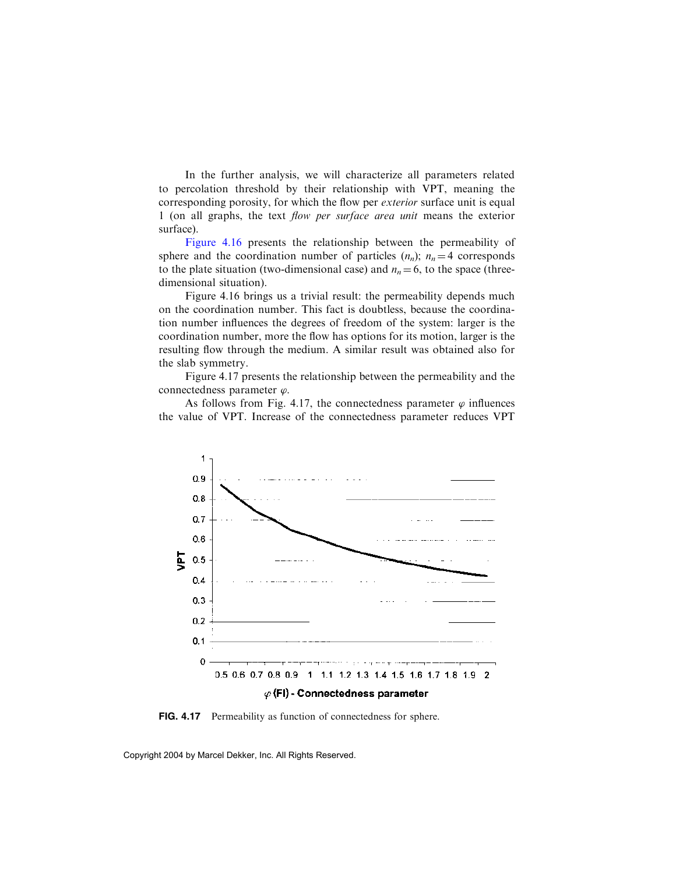In the further analysis, we will characterize all parameters related to percolation threshold by their relationship with VPT, meaning the corresponding porosity, for which the flow per *exterior* surface unit is equal 1 (on all graphs, the text flow per surface area unit means the exterior surface).

[Figure 4.16](#page-45-0) presents the relationship between the permeability of sphere and the coordination number of particles  $(n_n)$ ;  $n_n = 4$  corresponds to the plate situation (two-dimensional case) and  $n_n = 6$ , to the space (threedimensional situation).

Figure 4.16 brings us a trivial result: the permeability depends much on the coordination number. This fact is doubtless, because the coordination number influences the degrees of freedom of the system: larger is the coordination number, more the flow has options for its motion, larger is the resulting flow through the medium. A similar result was obtained also for the slab symmetry.

Figure 4.17 presents the relationship between the permeability and the connectedness parameter  $\varphi$ .

As follows from Fig. 4.17, the connectedness parameter  $\varphi$  influences the value of VPT. Increase of the connectedness parameter reduces VPT



FIG. 4.17 Permeability as function of connectedness for sphere.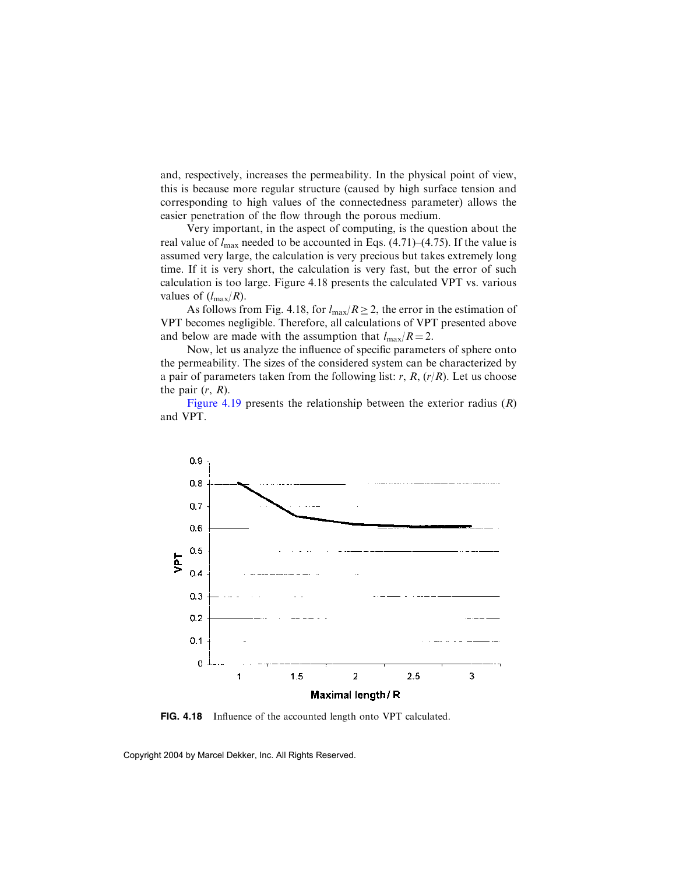and, respectively, increases the permeability. In the physical point of view, this is because more regular structure (caused by high surface tension and corresponding to high values of the connectedness parameter) allows the easier penetration of the flow through the porous medium.

Very important, in the aspect of computing, is the question about the real value of  $l_{\text{max}}$  needed to be accounted in Eqs. (4.71)–(4.75). If the value is assumed very large, the calculation is very precious but takes extremely long time. If it is very short, the calculation is very fast, but the error of such calculation is too large. Figure 4.18 presents the calculated VPT vs. various values of  $(l_{\text{max}}/R)$ .

As follows from Fig. 4.18, for  $l_{\text{max}}/R > 2$ , the error in the estimation of VPT becomes negligible. Therefore, all calculations of VPT presented above and below are made with the assumption that  $l_{\text{max}}/R = 2$ .

Now, let us analyze the influence of specific parameters of sphere onto the permeability. The sizes of the considered system can be characterized by a pair of parameters taken from the following list:  $r$ ,  $R$ ,  $(r/R)$ . Let us choose the pair  $(r, R)$ .

[Figure 4.19](#page-48-0) presents the relationship between the exterior radius  $(R)$ and VPT.



FIG. 4.18 Influence of the accounted length onto VPT calculated.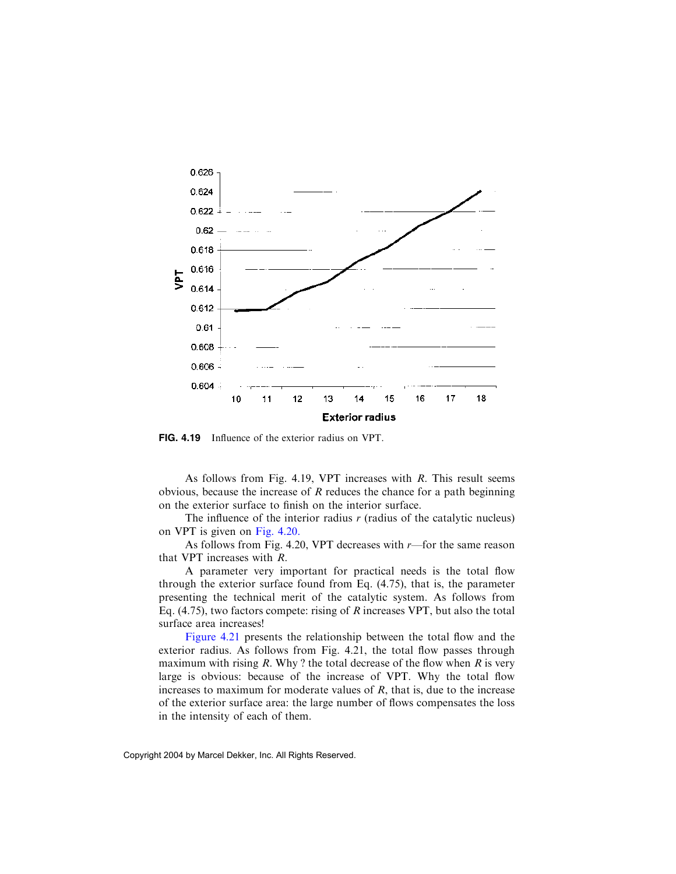<span id="page-48-0"></span>

FIG. 4.19 Influence of the exterior radius on VPT.

As follows from Fig. 4.19, VPT increases with R. This result seems obvious, because the increase of R reduces the chance for a path beginning on the exterior surface to finish on the interior surface.

The influence of the interior radius  $r$  (radius of the catalytic nucleus) on VPT is given on [Fig. 4.20.](#page-49-0)

As follows from Fig. 4.20, VPT decreases with r—for the same reason that VPT increases with R.

A parameter very important for practical needs is the total flow through the exterior surface found from Eq. (4.75), that is, the parameter presenting the technical merit of the catalytic system. As follows from Eq. (4.75), two factors compete: rising of R increases VPT, but also the total surface area increases!

[Figure 4.21](#page-49-0) presents the relationship between the total flow and the exterior radius. As follows from Fig. 4.21, the total flow passes through maximum with rising R. Why ? the total decrease of the flow when R is very large is obvious: because of the increase of VPT. Why the total flow increases to maximum for moderate values of  $R$ , that is, due to the increase of the exterior surface area: the large number of flows compensates the loss in the intensity of each of them.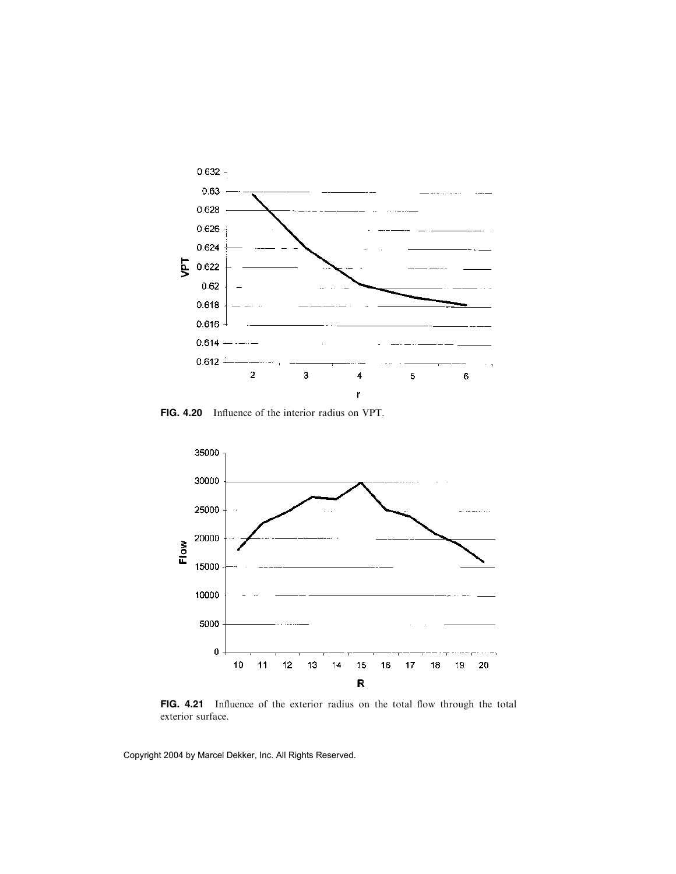<span id="page-49-0"></span>

FIG. 4.20 Influence of the interior radius on VPT.



FIG. 4.21 Influence of the exterior radius on the total flow through the total exterior surface.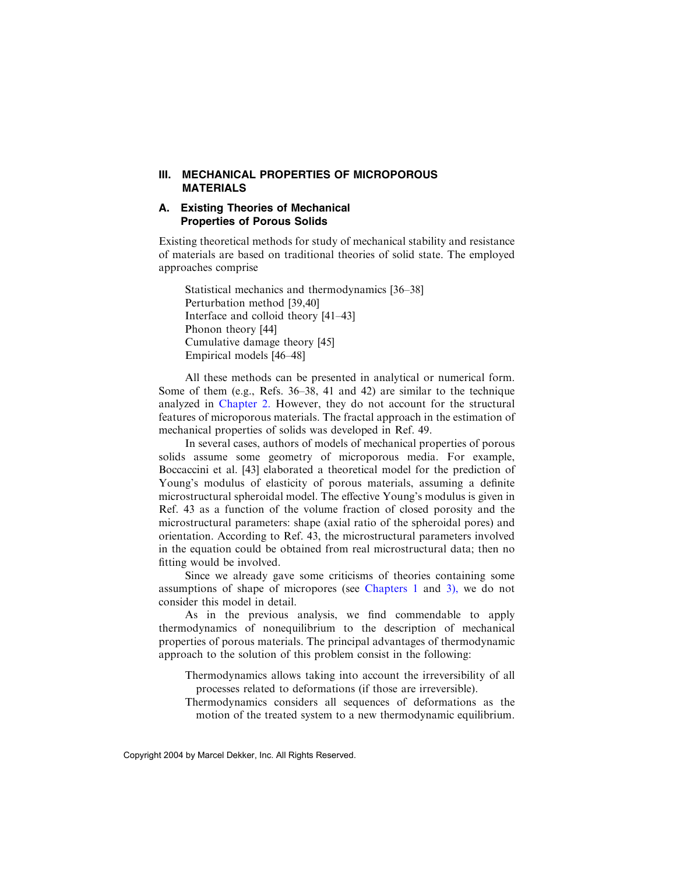# III. MECHANICAL PROPERTIES OF MICROPOROUS **MATERIALS**

## A. Existing Theories of Mechanical Properties of Porous Solids

Existing theoretical methods for study of mechanical stability and resistance of materials are based on traditional theories of solid state. The employed approaches comprise

Statistical mechanics and thermodynamics [36–38] Perturbation method [39,40] Interface and colloid theory [41–43] Phonon theory [44] Cumulative damage theory [45] Empirical models [46–48]

All these methods can be presented in analytical or numerical form. Some of them (e.g., Refs. 36–38, 41 and 42) are similar to the technique analyzed in [Chapter 2.](#page-0-0) However, they do not account for the structural features of microporous materials. The fractal approach in the estimation of mechanical properties of solids was developed in Ref. 49.

In several cases, authors of models of mechanical properties of porous solids assume some geometry of microporous media. For example, Boccaccini et al. [43] elaborated a theoretical model for the prediction of Young's modulus of elasticity of porous materials, assuming a definite microstructural spheroidal model. The effective Young's modulus is given in Ref. 43 as a function of the volume fraction of closed porosity and the microstructural parameters: shape (axial ratio of the spheroidal pores) and orientation. According to Ref. 43, the microstructural parameters involved in the equation could be obtained from real microstructural data; then no fitting would be involved.

Since we already gave some criticisms of theories containing some assumptions of shape of micropores (see [Chapters 1](#page-0-0) and [3\)](#page-0-0), we do not consider this model in detail.

As in the previous analysis, we find commendable to apply thermodynamics of nonequilibrium to the description of mechanical properties of porous materials. The principal advantages of thermodynamic approach to the solution of this problem consist in the following:

Thermodynamics allows taking into account the irreversibility of all processes related to deformations (if those are irreversible).

Thermodynamics considers all sequences of deformations as the motion of the treated system to a new thermodynamic equilibrium.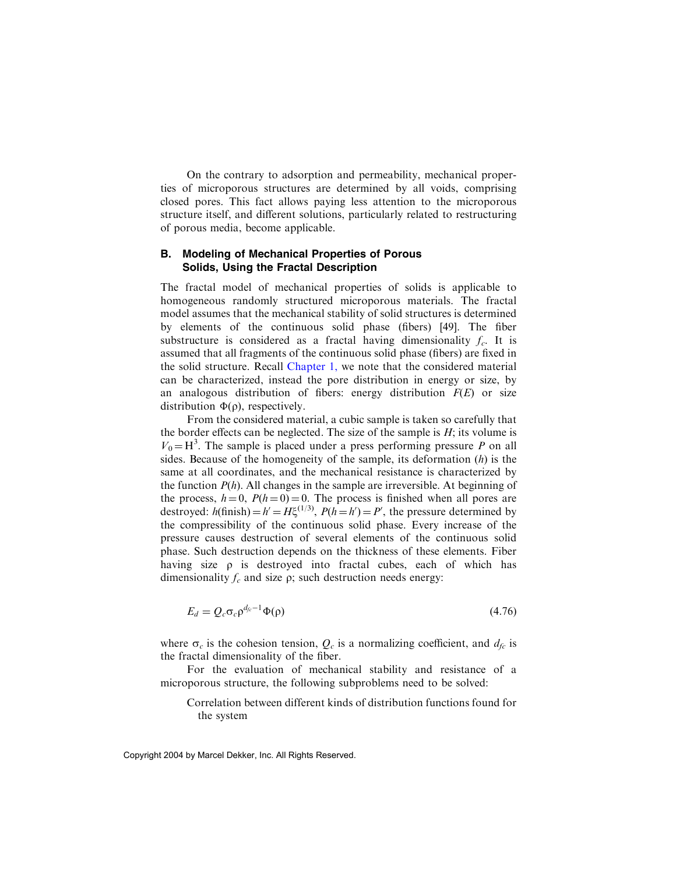On the contrary to adsorption and permeability, mechanical properties of microporous structures are determined by all voids, comprising closed pores. This fact allows paying less attention to the microporous structure itself, and different solutions, particularly related to restructuring of porous media, become applicable.

## B. Modeling of Mechanical Properties of Porous Solids, Using the Fractal Description

The fractal model of mechanical properties of solids is applicable to homogeneous randomly structured microporous materials. The fractal model assumes that the mechanical stability of solid structures is determined by elements of the continuous solid phase (fibers) [49]. The fiber substructure is considered as a fractal having dimensionality  $f_c$ . It is assumed that all fragments of the continuous solid phase (fibers) are fixed in the solid structure. Recall [Chapter 1,](#page-0-0) we note that the considered material can be characterized, instead the pore distribution in energy or size, by an analogous distribution of fibers: energy distribution  $F(E)$  or size distribution  $\Phi(\rho)$ , respectively.

From the considered material, a cubic sample is taken so carefully that the border effects can be neglected. The size of the sample is  $H$ ; its volume is  $V_0 = H^3$ . The sample is placed under a press performing pressure P on all sides. Because of the homogeneity of the sample, its deformation  $(h)$  is the same at all coordinates, and the mechanical resistance is characterized by the function  $P(h)$ . All changes in the sample are irreversible. At beginning of the process,  $h = 0$ ,  $P(h = 0) = 0$ . The process is finished when all pores are destroyed:  $h(\text{finish}) = h' = H\xi^{(1/3)}$ ,  $P(h = h') = P'$ , the pressure determined by the compressibility of the continuous solid phase. Every increase of the pressure causes destruction of several elements of the continuous solid phase. Such destruction depends on the thickness of these elements. Fiber having size  $\rho$  is destroyed into fractal cubes, each of which has dimensionality  $f_c$  and size  $\rho$ ; such destruction needs energy:

$$
E_d = Q_c \sigma_c \rho^{d_{fc}-1} \Phi(\rho) \tag{4.76}
$$

where  $\sigma_c$  is the cohesion tension,  $Q_c$  is a normalizing coefficient, and  $d_{fc}$  is the fractal dimensionality of the fiber.

For the evaluation of mechanical stability and resistance of a microporous structure, the following subproblems need to be solved:

Correlation between different kinds of distribution functions found for the system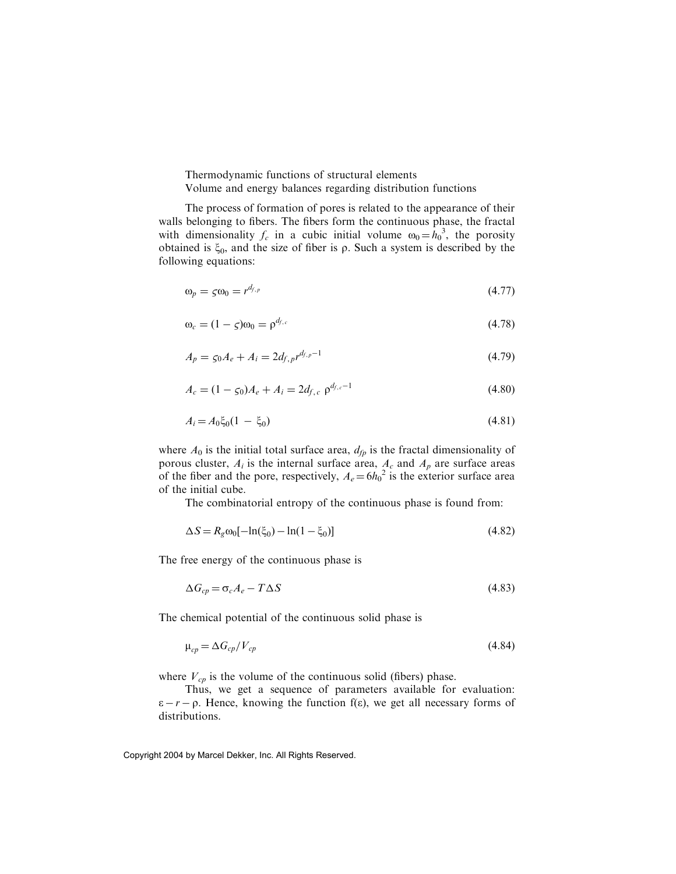## Thermodynamic functions of structural elements Volume and energy balances regarding distribution functions

The process of formation of pores is related to the appearance of their walls belonging to fibers. The fibers form the continuous phase, the fractal with dimensionality  $f_c$  in a cubic initial volume  $\omega_0 = h_0^3$ , the porosity obtained is  $\xi_0$ , and the size of fiber is  $\rho$ . Such a system is described by the following equations:

$$
\omega_p = \zeta \omega_0 = r^{d_{f,p}} \tag{4.77}
$$

$$
\omega_c = (1 - \zeta)\omega_0 = \rho^{d_{f,c}} \tag{4.78}
$$

$$
A_p = \zeta_0 A_e + A_i = 2d_{f,p} r^{d_{f,p}-1}
$$
\n(4.79)

$$
A_c = (1 - \zeta_0)A_e + A_i = 2d_{f,c} \rho^{d_{f,c} - 1}
$$
\n(4.80)

$$
A_i = A_0 \xi_0 (1 - \xi_0) \tag{4.81}
$$

where  $A_0$  is the initial total surface area,  $d_{fp}$  is the fractal dimensionality of porous cluster,  $A_i$  is the internal surface area,  $A_c$  and  $A_p$  are surface areas of the fiber and the pore, respectively,  $A_e = 6h_0^2$  is the exterior surface area of the initial cube.

The combinatorial entropy of the continuous phase is found from:

$$
\Delta S = R_{g}\omega_{0}[-\ln(\xi_{0}) - \ln(1 - \xi_{0})]
$$
\n(4.82)

The free energy of the continuous phase is

$$
\Delta G_{cp} = \sigma_c A_e - T \Delta S \tag{4.83}
$$

The chemical potential of the continuous solid phase is

$$
\mu_{cp} = \Delta G_{cp} / V_{cp} \tag{4.84}
$$

where  $V_{cp}$  is the volume of the continuous solid (fibers) phase.

Thus, we get a sequence of parameters available for evaluation:  $\varepsilon - r - \rho$ . Hence, knowing the function f( $\varepsilon$ ), we get all necessary forms of distributions.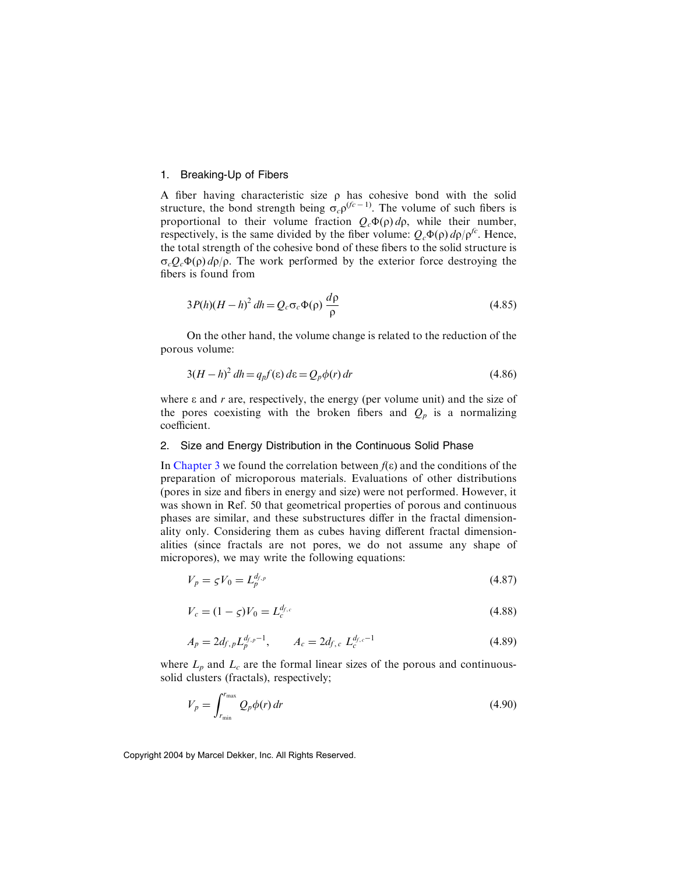#### 1. Breaking-Up of Fibers

A fiber having characteristic size  $\rho$  has cohesive bond with the solid structure, the bond strength being  $\sigma_c \rho^{(fc-1)}$ . The volume of such fibers is proportional to their volume fraction  $Q_c\Phi(\rho) d\rho$ , while their number, respectively, is the same divided by the fiber volume:  $Q_c\Phi(\rho) d\rho/\rho^{fc}$ . Hence, the total strength of the cohesive bond of these fibers to the solid structure is  $\sigma_cQ_c\Phi(\rho) d\rho/\rho$ . The work performed by the exterior force destroying the fibers is found from

$$
3P(h)(H-h)^2 dh = Q_c \sigma_c \Phi(\rho) \frac{d\rho}{\rho}
$$
\n(4.85)

On the other hand, the volume change is related to the reduction of the porous volume:

$$
3(H - h)^2 dh = q_p f(\varepsilon) d\varepsilon = Q_p \phi(r) dr
$$
\n(4.86)

where  $\varepsilon$  and r are, respectively, the energy (per volume unit) and the size of the pores coexisting with the broken fibers and  $Q<sub>n</sub>$  is a normalizing coefficient.

#### 2. Size and Energy Distribution in the Continuous Solid Phase

In [Chapter 3](#page-0-0) we found the correlation between  $f(\varepsilon)$  and the conditions of the preparation of microporous materials. Evaluations of other distributions (pores in size and fibers in energy and size) were not performed. However, it was shown in Ref. 50 that geometrical properties of porous and continuous phases are similar, and these substructures differ in the fractal dimensionality only. Considering them as cubes having different fractal dimensionalities (since fractals are not pores, we do not assume any shape of micropores), we may write the following equations:

$$
V_p = \zeta V_0 = L_p^{d_{f,p}} \tag{4.87}
$$

$$
V_c = (1 - \zeta)V_0 = L_c^{d_{f,c}} \tag{4.88}
$$

$$
A_p = 2d_{f,p}L_p^{d_{f,p}-1}, \qquad A_c = 2d_{f,c} L_c^{d_{f,c}-1}
$$
\n(4.89)

where  $L_p$  and  $L_c$  are the formal linear sizes of the porous and continuoussolid clusters (fractals), respectively;

$$
V_p = \int_{r_{\min}}^{r_{\max}} Q_p \phi(r) dr \tag{4.90}
$$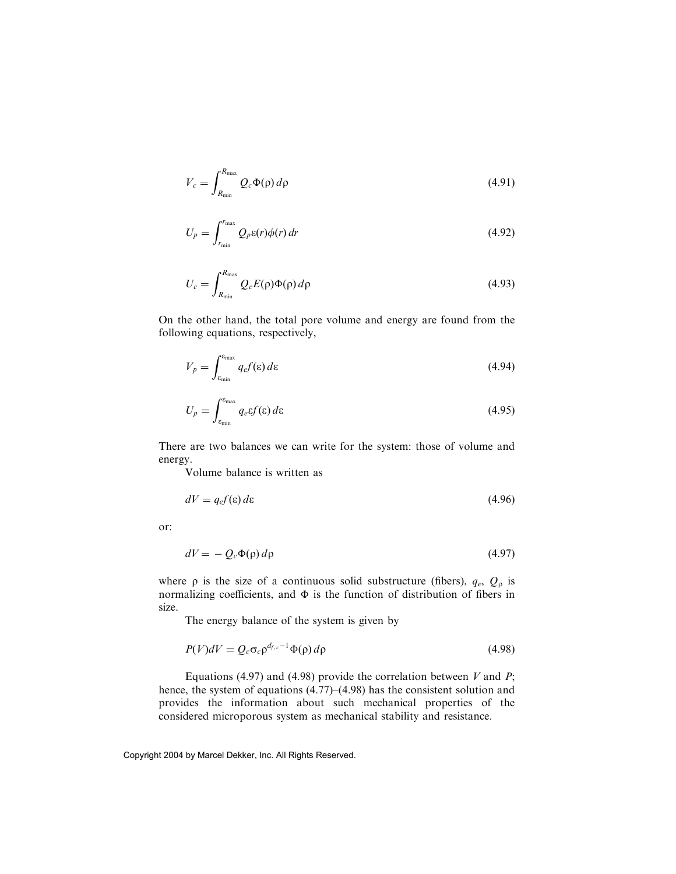$$
V_c = \int_{R_{\min}}^{R_{\max}} Q_c \Phi(\rho) d\rho
$$
\n(4.91)

$$
U_p = \int_{r_{\min}}^{r_{\max}} Q_p \varepsilon(r) \phi(r) \, dr \tag{4.92}
$$

$$
U_c = \int_{R_{\min}}^{R_{\max}} Q_c E(\rho) \Phi(\rho) d\rho
$$
\n(4.93)

On the other hand, the total pore volume and energy are found from the following equations, respectively,

$$
V_p = \int_{\varepsilon_{\min}}^{\varepsilon_{\max}} q_e f(\varepsilon) d\varepsilon \tag{4.94}
$$

$$
U_p = \int_{\varepsilon_{\min}}^{\varepsilon_{\max}} q_e \varepsilon f(\varepsilon) d\varepsilon \tag{4.95}
$$

There are two balances we can write for the system: those of volume and energy.

Volume balance is written as

$$
dV = q_e f(\varepsilon) d\varepsilon \tag{4.96}
$$

or:

$$
dV = -Q_c \Phi(\rho) d\rho \tag{4.97}
$$

where  $\rho$  is the size of a continuous solid substructure (fibers),  $q_e$ ,  $Q_o$  is normalizing coefficients, and  $\Phi$  is the function of distribution of fibers in size.

The energy balance of the system is given by

$$
P(V)dV = Q_c \sigma_c \rho^{d_{f,c}-1} \Phi(\rho) d\rho
$$
\n(4.98)

Equations (4.97) and (4.98) provide the correlation between V and P; hence, the system of equations  $(4.77)$ – $(4.98)$  has the consistent solution and provides the information about such mechanical properties of the considered microporous system as mechanical stability and resistance.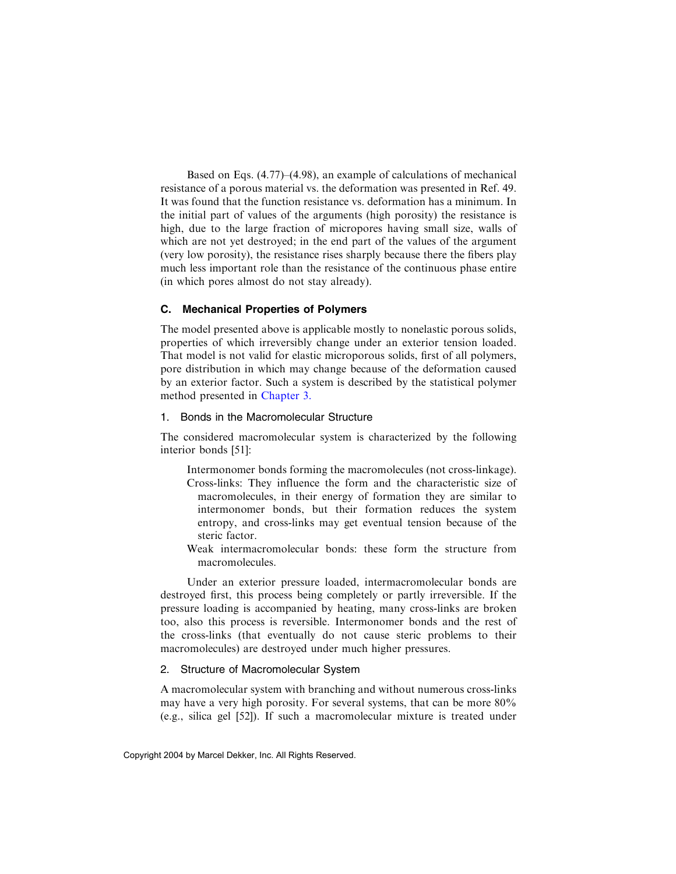Based on Eqs. (4.77)–(4.98), an example of calculations of mechanical resistance of a porous material vs. the deformation was presented in Ref. 49. It was found that the function resistance vs. deformation has a minimum. In the initial part of values of the arguments (high porosity) the resistance is high, due to the large fraction of micropores having small size, walls of which are not yet destroyed; in the end part of the values of the argument (very low porosity), the resistance rises sharply because there the fibers play much less important role than the resistance of the continuous phase entire (in which pores almost do not stay already).

# C. Mechanical Properties of Polymers

The model presented above is applicable mostly to nonelastic porous solids, properties of which irreversibly change under an exterior tension loaded. That model is not valid for elastic microporous solids, first of all polymers, pore distribution in which may change because of the deformation caused by an exterior factor. Such a system is described by the statistical polymer method presented in [Chapter 3.](#page-0-0)

## 1. Bonds in the Macromolecular Structure

The considered macromolecular system is characterized by the following interior bonds [51]:

Intermonomer bonds forming the macromolecules (not cross-linkage). Cross-links: They influence the form and the characteristic size of macromolecules, in their energy of formation they are similar to intermonomer bonds, but their formation reduces the system entropy, and cross-links may get eventual tension because of the steric factor.

Weak intermacromolecular bonds: these form the structure from macromolecules.

Under an exterior pressure loaded, intermacromolecular bonds are destroyed first, this process being completely or partly irreversible. If the pressure loading is accompanied by heating, many cross-links are broken too, also this process is reversible. Intermonomer bonds and the rest of the cross-links (that eventually do not cause steric problems to their macromolecules) are destroyed under much higher pressures.

# 2. Structure of Macromolecular System

A macromolecular system with branching and without numerous cross-links may have a very high porosity. For several systems, that can be more 80% (e.g., silica gel [52]). If such a macromolecular mixture is treated under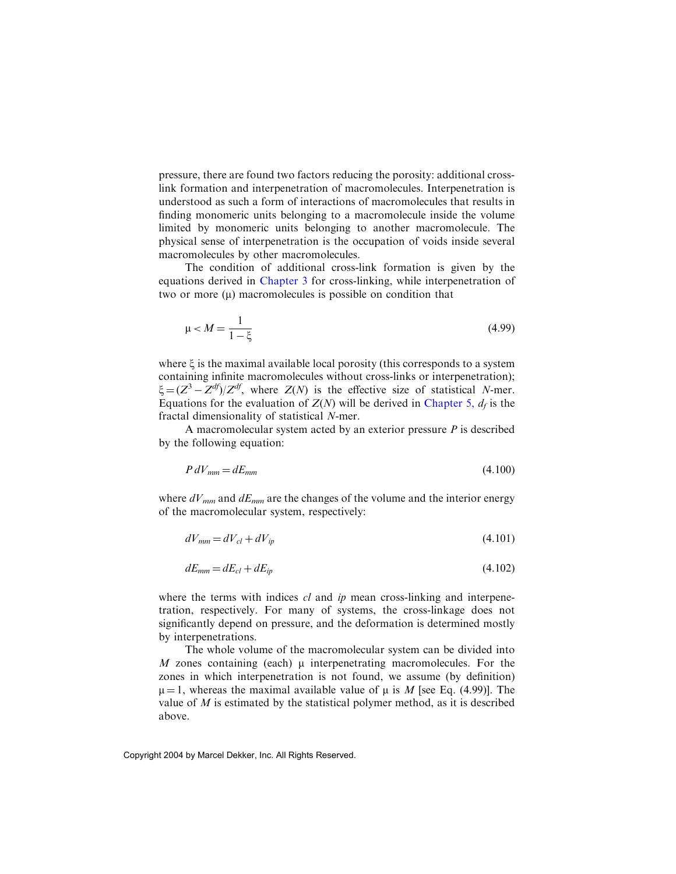pressure, there are found two factors reducing the porosity: additional crosslink formation and interpenetration of macromolecules. Interpenetration is understood as such a form of interactions of macromolecules that results in finding monomeric units belonging to a macromolecule inside the volume limited by monomeric units belonging to another macromolecule. The physical sense of interpenetration is the occupation of voids inside several macromolecules by other macromolecules.

The condition of additional cross-link formation is given by the equations derived in [Chapter 3](#page-0-0) for cross-linking, while interpenetration of two or more (u) macromolecules is possible on condition that

$$
\mu < M = \frac{1}{1 - \xi} \tag{4.99}
$$

where  $\xi$  is the maximal available local porosity (this corresponds to a system containing infinite macromolecules without cross-links or interpenetration);  $\zeta = (Z^3 - Z^{df})/Z^{df}$ , where  $Z(N)$  is the effective size of statistical N-mer. Equations for the evaluation of  $Z(N)$  will be derived in [Chapter 5,](#page-0-0)  $d_f$  is the fractal dimensionality of statistical N-mer.

A macromolecular system acted by an exterior pressure  $P$  is described by the following equation:

$$
P\,dV_{mm} = dE_{mm} \tag{4.100}
$$

where  $dV_{mm}$  and  $dE_{mm}$  are the changes of the volume and the interior energy of the macromolecular system, respectively:

$$
dV_{mm} = dV_{cl} + dV_{ip} \tag{4.101}
$$

$$
dE_{mm} = dE_{cl} + dE_{ip} \tag{4.102}
$$

where the terms with indices  $cl$  and  $ip$  mean cross-linking and interpenetration, respectively. For many of systems, the cross-linkage does not significantly depend on pressure, and the deformation is determined mostly by interpenetrations.

The whole volume of the macromolecular system can be divided into  $M$  zones containing (each)  $\mu$  interpenetrating macromolecules. For the zones in which interpenetration is not found, we assume (by definition)  $\mu = 1$ , whereas the maximal available value of  $\mu$  is M [see Eq. (4.99)]. The value of  $M$  is estimated by the statistical polymer method, as it is described above.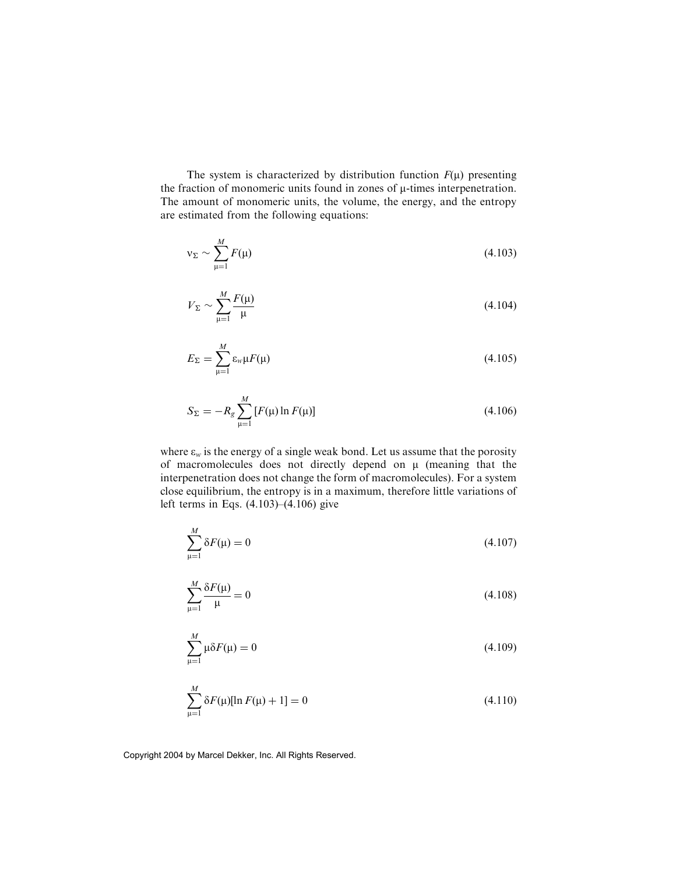The system is characterized by distribution function  $F(\mu)$  presenting the fraction of monomeric units found in zones of  $\mu$ -times interpenetration. The amount of monomeric units, the volume, the energy, and the entropy are estimated from the following equations:

$$
\nu_{\Sigma} \sim \sum_{\mu=1}^{M} F(\mu) \tag{4.103}
$$

$$
V_{\Sigma} \sim \sum_{\mu=1}^{M} \frac{F(\mu)}{\mu}
$$
\n(4.104)

$$
E_{\Sigma} = \sum_{\mu=1}^{M} \varepsilon_{\mu} \mu F(\mu) \tag{4.105}
$$

$$
S_{\Sigma} = -R_g \sum_{\mu=1}^{M} [F(\mu) \ln F(\mu)] \tag{4.106}
$$

where  $\varepsilon_w$  is the energy of a single weak bond. Let us assume that the porosity of macromolecules does not directly depend on  $\mu$  (meaning that the interpenetration does not change the form of macromolecules). For a system close equilibrium, the entropy is in a maximum, therefore little variations of left terms in Eqs. (4.103)–(4.106) give

$$
\sum_{\mu=1}^{M} \delta F(\mu) = 0 \tag{4.107}
$$

$$
\sum_{\mu=1}^{M} \frac{\delta F(\mu)}{\mu} = 0
$$
\n(4.108)

$$
\sum_{\mu=1}^{M} \mu \delta F(\mu) = 0 \tag{4.109}
$$

$$
\sum_{\mu=1}^{M} \delta F(\mu)[\ln F(\mu) + 1] = 0 \tag{4.110}
$$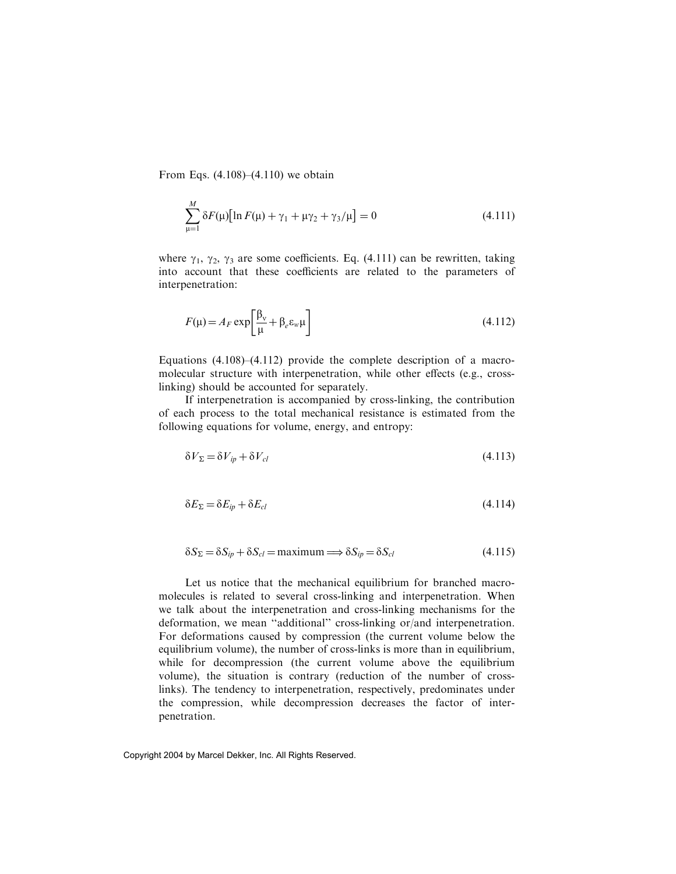From Eqs.  $(4.108)$ – $(4.110)$  we obtain

$$
\sum_{\mu=1}^{M} \delta F(\mu) [\ln F(\mu) + \gamma_1 + \mu \gamma_2 + \gamma_3/\mu] = 0
$$
\n(4.111)

where  $\gamma_1$ ,  $\gamma_2$ ,  $\gamma_3$  are some coefficients. Eq. (4.111) can be rewritten, taking into account that these coefficients are related to the parameters of interpenetration:

$$
F(\mu) = A_F \exp\left[\frac{\beta_v}{\mu} + \beta_e \varepsilon_w \mu\right]
$$
\n(4.112)

Equations  $(4.108)$ – $(4.112)$  provide the complete description of a macromolecular structure with interpenetration, while other effects (e.g., crosslinking) should be accounted for separately.

If interpenetration is accompanied by cross-linking, the contribution of each process to the total mechanical resistance is estimated from the following equations for volume, energy, and entropy:

$$
\delta V_{\Sigma} = \delta V_{ip} + \delta V_{cl} \tag{4.113}
$$

$$
\delta E_{\Sigma} = \delta E_{ip} + \delta E_{cl} \tag{4.114}
$$

$$
\delta S_{\Sigma} = \delta S_{ip} + \delta S_{cl} = \text{maximum} \Longrightarrow \delta S_{ip} = \delta S_{cl} \tag{4.115}
$$

Let us notice that the mechanical equilibrium for branched macromolecules is related to several cross-linking and interpenetration. When we talk about the interpenetration and cross-linking mechanisms for the deformation, we mean ''additional'' cross-linking or/and interpenetration. For deformations caused by compression (the current volume below the equilibrium volume), the number of cross-links is more than in equilibrium, while for decompression (the current volume above the equilibrium volume), the situation is contrary (reduction of the number of crosslinks). The tendency to interpenetration, respectively, predominates under the compression, while decompression decreases the factor of interpenetration.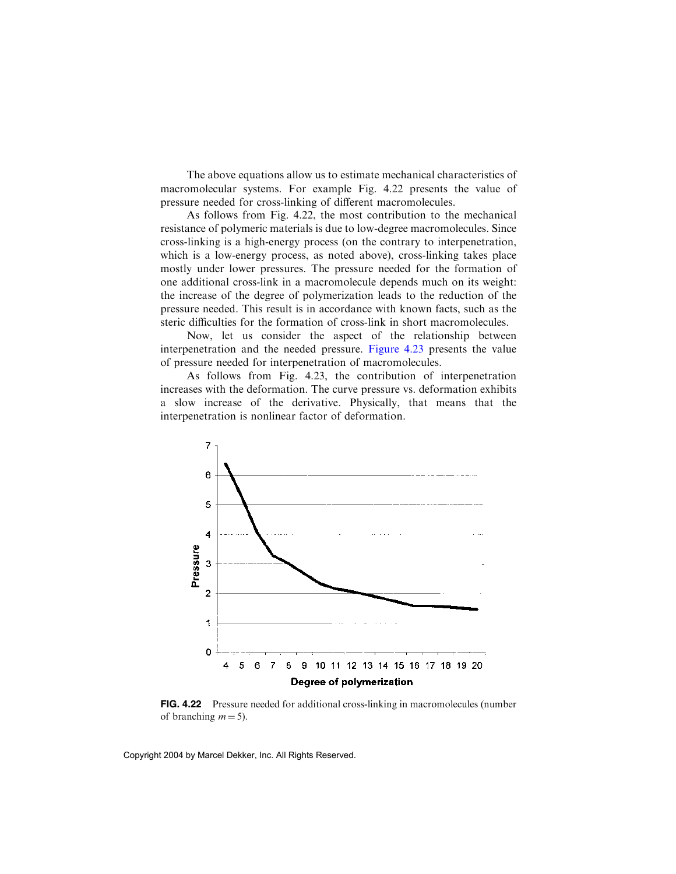The above equations allow us to estimate mechanical characteristics of macromolecular systems. For example Fig. 4.22 presents the value of pressure needed for cross-linking of different macromolecules.

As follows from Fig. 4.22, the most contribution to the mechanical resistance of polymeric materials is due to low-degree macromolecules. Since cross-linking is a high-energy process (on the contrary to interpenetration, which is a low-energy process, as noted above), cross-linking takes place mostly under lower pressures. The pressure needed for the formation of one additional cross-link in a macromolecule depends much on its weight: the increase of the degree of polymerization leads to the reduction of the pressure needed. This result is in accordance with known facts, such as the steric difficulties for the formation of cross-link in short macromolecules.

Now, let us consider the aspect of the relationship between interpenetration and the needed pressure. [Figure 4.23](#page-60-0) presents the value of pressure needed for interpenetration of macromolecules.

As follows from Fig. 4.23, the contribution of interpenetration increases with the deformation. The curve pressure vs. deformation exhibits a slow increase of the derivative. Physically, that means that the interpenetration is nonlinear factor of deformation.



FIG. 4.22 Pressure needed for additional cross-linking in macromolecules (number of branching  $m = 5$ ).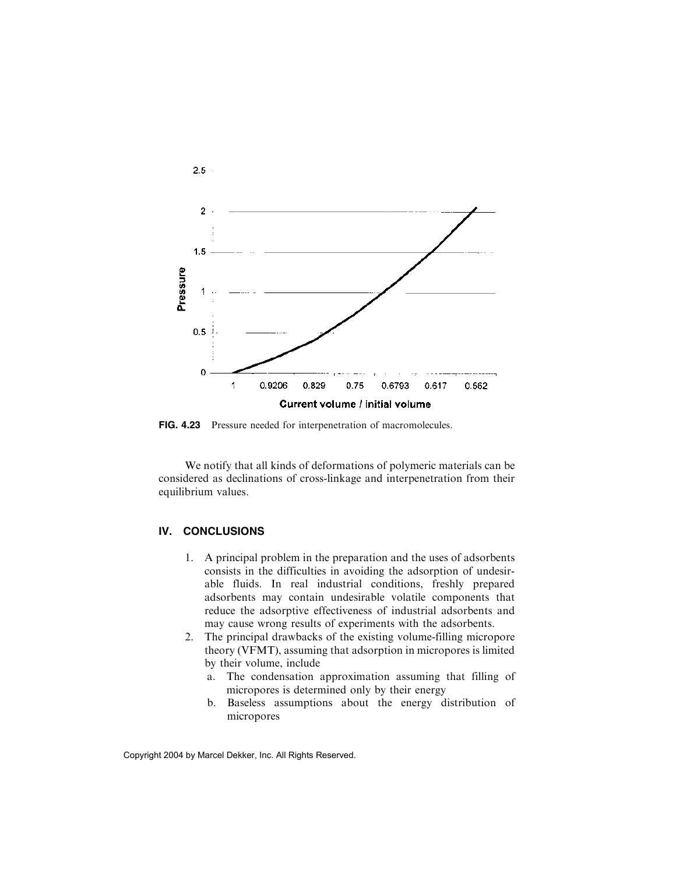<span id="page-60-0"></span>

FIG. 4.23 Pressure needed for interpenetration of macromolecules.

We notify that all kinds of deformations of polymeric materials can be considered as declinations of cross-linkage and interpenetration from their equilibrium values.

## IV. CONCLUSIONS

- 1. A principal problem in the preparation and the uses of adsorbents consists in the difficulties in avoiding the adsorption of undesirable fluids. In real industrial conditions, freshly prepared adsorbents may contain undesirable volatile components that reduce the adsorptive effectiveness of industrial adsorbents and may cause wrong results of experiments with the adsorbents.
- 2. The principal drawbacks of the existing volume-filling micropore theory (VFMT), assuming that adsorption in micropores is limited by their volume, include
	- a. The condensation approximation assuming that filling of micropores is determined only by their energy
	- b. Baseless assumptions about the energy distribution of micropores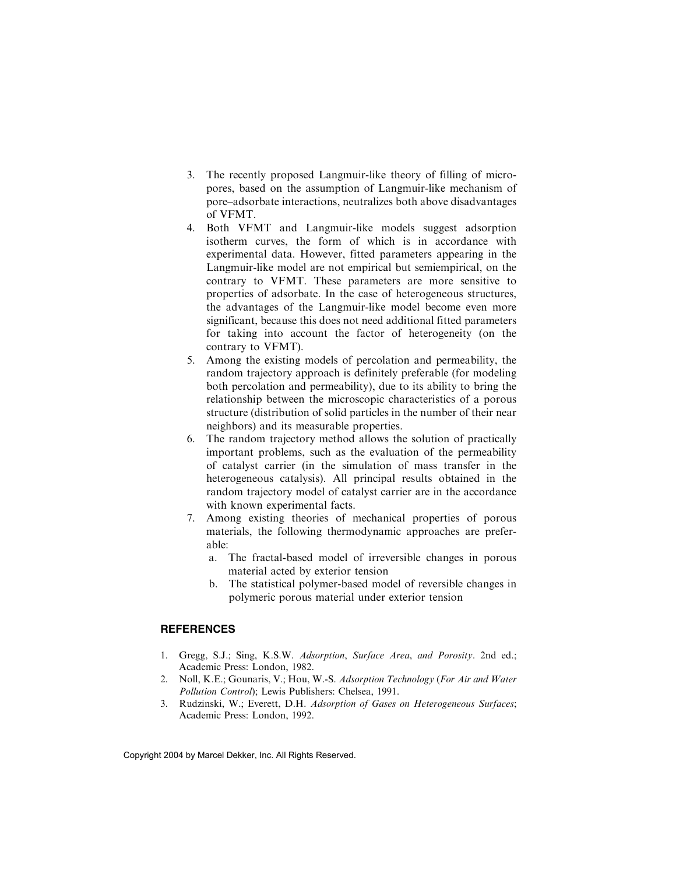- 3. The recently proposed Langmuir-like theory of filling of micropores, based on the assumption of Langmuir-like mechanism of pore–adsorbate interactions, neutralizes both above disadvantages of VFMT.
- 4. Both VFMT and Langmuir-like models suggest adsorption isotherm curves, the form of which is in accordance with experimental data. However, fitted parameters appearing in the Langmuir-like model are not empirical but semiempirical, on the contrary to VFMT. These parameters are more sensitive to properties of adsorbate. In the case of heterogeneous structures, the advantages of the Langmuir-like model become even more significant, because this does not need additional fitted parameters for taking into account the factor of heterogeneity (on the contrary to VFMT).
- 5. Among the existing models of percolation and permeability, the random trajectory approach is definitely preferable (for modeling both percolation and permeability), due to its ability to bring the relationship between the microscopic characteristics of a porous structure (distribution of solid particles in the number of their near neighbors) and its measurable properties.
- 6. The random trajectory method allows the solution of practically important problems, such as the evaluation of the permeability of catalyst carrier (in the simulation of mass transfer in the heterogeneous catalysis). All principal results obtained in the random trajectory model of catalyst carrier are in the accordance with known experimental facts.
- 7. Among existing theories of mechanical properties of porous materials, the following thermodynamic approaches are preferable:
	- a. The fractal-based model of irreversible changes in porous material acted by exterior tension
	- b. The statistical polymer-based model of reversible changes in polymeric porous material under exterior tension

# **REFERENCES**

- 1. Gregg, S.J.; Sing, K.S.W. Adsorption, Surface Area, and Porosity. 2nd ed.; Academic Press: London, 1982.
- 2. Noll, K.E.; Gounaris, V.; Hou, W.-S. Adsorption Technology (For Air and Water Pollution Control); Lewis Publishers: Chelsea, 1991.
- 3. Rudzinski, W.; Everett, D.H. Adsorption of Gases on Heterogeneous Surfaces; Academic Press: London, 1992.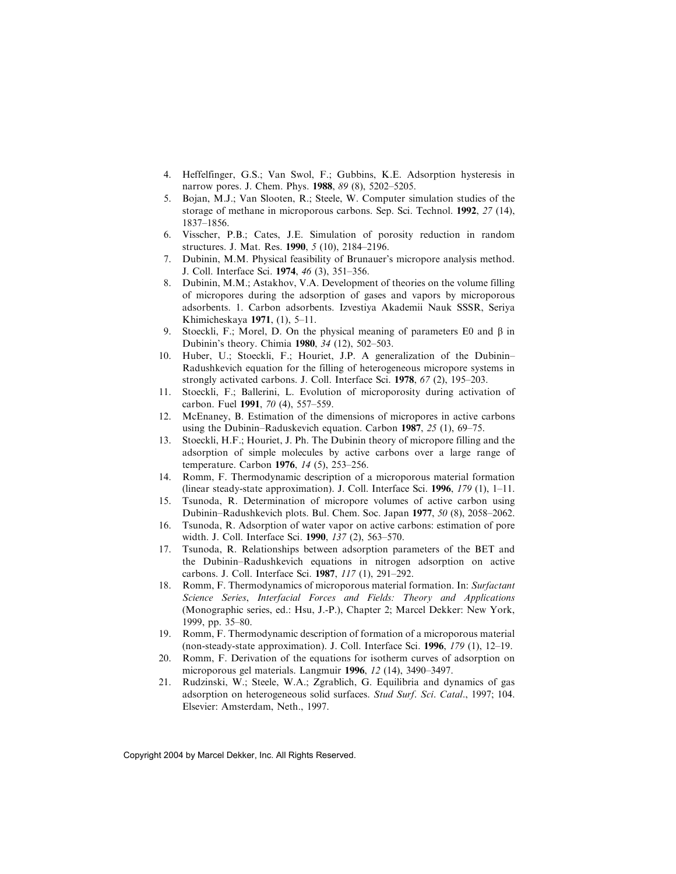- 4. Heffelfinger, G.S.; Van Swol, F.; Gubbins, K.E. Adsorption hysteresis in narrow pores. J. Chem. Phys. **1988**, 89 (8), 5202–5205.
- 5. Bojan, M.J.; Van Slooten, R.; Steele, W. Computer simulation studies of the storage of methane in microporous carbons. Sep. Sci. Technol. 1992, 27 (14), 1837–1856.
- 6. Visscher, P.B.; Cates, J.E. Simulation of porosity reduction in random structures. J. Mat. Res. 1990, 5 (10), 2184–2196.
- 7. Dubinin, M.M. Physical feasibility of Brunauer's micropore analysis method. J. Coll. Interface Sci. 1974, 46 (3), 351–356.
- 8. Dubinin, M.M.; Astakhov, V.A. Development of theories on the volume filling of micropores during the adsorption of gases and vapors by microporous adsorbents. 1. Carbon adsorbents. Izvestiya Akademii Nauk SSSR, Seriya Khimicheskaya 1971, (1), 5–11.
- 9. Stoeckli, F.; Morel, D. On the physical meaning of parameters  $E0$  and  $\beta$  in Dubinin's theory. Chimia 1980, 34 (12), 502–503.
- 10. Huber, U.; Stoeckli, F.; Houriet, J.P. A generalization of the Dubinin– Radushkevich equation for the filling of heterogeneous micropore systems in strongly activated carbons. J. Coll. Interface Sci. 1978, 67 (2), 195–203.
- 11. Stoeckli, F.; Ballerini, L. Evolution of microporosity during activation of carbon. Fuel 1991, 70 (4), 557–559.
- 12. McEnaney, B. Estimation of the dimensions of micropores in active carbons using the Dubinin–Raduskevich equation. Carbon 1987, 25 (1), 69–75.
- 13. Stoeckli, H.F.; Houriet, J. Ph. The Dubinin theory of micropore filling and the adsorption of simple molecules by active carbons over a large range of temperature. Carbon 1976, 14 (5), 253–256.
- 14. Romm, F. Thermodynamic description of a microporous material formation (linear steady-state approximation). J. Coll. Interface Sci. 1996, 179 (1), 1–11.
- 15. Tsunoda, R. Determination of micropore volumes of active carbon using Dubinin–Radushkevich plots. Bul. Chem. Soc. Japan 1977, 50 (8), 2058–2062.
- 16. Tsunoda, R. Adsorption of water vapor on active carbons: estimation of pore width. J. Coll. Interface Sci. 1990, 137 (2), 563–570.
- 17. Tsunoda, R. Relationships between adsorption parameters of the BET and the Dubinin–Radushkevich equations in nitrogen adsorption on active carbons. J. Coll. Interface Sci. 1987, 117 (1), 291–292.
- 18. Romm, F. Thermodynamics of microporous material formation. In: Surfactant Science Series, Interfacial Forces and Fields: Theory and Applications (Monographic series, ed.: Hsu, J.-P.), Chapter 2; Marcel Dekker: New York, 1999, pp. 35–80.
- 19. Romm, F. Thermodynamic description of formation of a microporous material (non-steady-state approximation). J. Coll. Interface Sci. 1996, 179 (1), 12–19.
- 20. Romm, F. Derivation of the equations for isotherm curves of adsorption on microporous gel materials. Langmuir 1996, 12 (14), 3490–3497.
- 21. Rudzinski, W.; Steele, W.A.; Zgrablich, G. Equilibria and dynamics of gas adsorption on heterogeneous solid surfaces. Stud Surf. Sci. Catal., 1997; 104. Elsevier: Amsterdam, Neth., 1997.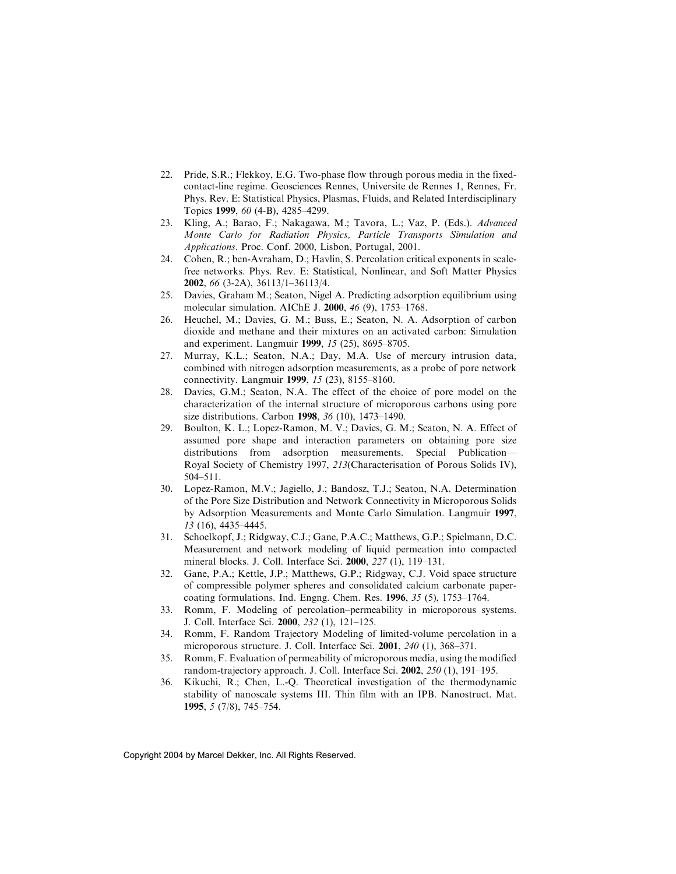- 22. Pride, S.R.; Flekkoy, E.G. Two-phase flow through porous media in the fixedcontact-line regime. Geosciences Rennes, Universite de Rennes 1, Rennes, Fr. Phys. Rev. E: Statistical Physics, Plasmas, Fluids, and Related Interdisciplinary Topics 1999, 60 (4-B), 4285–4299.
- 23. Kling, A.; Barao, F.; Nakagawa, M.; Tavora, L.; Vaz, P. (Eds.). Advanced Monte Carlo for Radiation Physics, Particle Transports Simulation and Applications. Proc. Conf. 2000, Lisbon, Portugal, 2001.
- 24. Cohen, R.; ben-Avraham, D.; Havlin, S. Percolation critical exponents in scalefree networks. Phys. Rev. E: Statistical, Nonlinear, and Soft Matter Physics 2002, 66 (3-2A), 36113/1–36113/4.
- 25. Davies, Graham M.; Seaton, Nigel A. Predicting adsorption equilibrium using molecular simulation. AIChE J. 2000, 46 (9), 1753–1768.
- 26. Heuchel, M.; Davies, G. M.; Buss, E.; Seaton, N. A. Adsorption of carbon dioxide and methane and their mixtures on an activated carbon: Simulation and experiment. Langmuir 1999, 15 (25), 8695–8705.
- 27. Murray, K.L.; Seaton, N.A.; Day, M.A. Use of mercury intrusion data, combined with nitrogen adsorption measurements, as a probe of pore network connectivity. Langmuir 1999, 15 (23), 8155–8160.
- 28. Davies, G.M.; Seaton, N.A. The effect of the choice of pore model on the characterization of the internal structure of microporous carbons using pore size distributions. Carbon 1998, 36 (10), 1473–1490.
- 29. Boulton, K. L.; Lopez-Ramon, M. V.; Davies, G. M.; Seaton, N. A. Effect of assumed pore shape and interaction parameters on obtaining pore size distributions from adsorption measurements. Special Publication— Royal Society of Chemistry 1997, 213(Characterisation of Porous Solids IV), 504–511.
- 30. Lopez-Ramon, M.V.; Jagiello, J.; Bandosz, T.J.; Seaton, N.A. Determination of the Pore Size Distribution and Network Connectivity in Microporous Solids by Adsorption Measurements and Monte Carlo Simulation. Langmuir 1997, 13 (16), 4435–4445.
- 31. Schoelkopf, J.; Ridgway, C.J.; Gane, P.A.C.; Matthews, G.P.; Spielmann, D.C. Measurement and network modeling of liquid permeation into compacted mineral blocks. J. Coll. Interface Sci. 2000, 227 (1), 119–131.
- 32. Gane, P.A.; Kettle, J.P.; Matthews, G.P.; Ridgway, C.J. Void space structure of compressible polymer spheres and consolidated calcium carbonate papercoating formulations. Ind. Engng. Chem. Res. 1996, 35 (5), 1753–1764.
- 33. Romm, F. Modeling of percolation–permeability in microporous systems. J. Coll. Interface Sci. 2000, 232 (1), 121–125.
- 34. Romm, F. Random Trajectory Modeling of limited-volume percolation in a microporous structure. J. Coll. Interface Sci. 2001, 240 (1), 368–371.
- 35. Romm, F. Evaluation of permeability of microporous media, using the modified random-trajectory approach. J. Coll. Interface Sci. 2002, 250 (1), 191–195.
- 36. Kikuchi, R.; Chen, L.-Q. Theoretical investigation of the thermodynamic stability of nanoscale systems III. Thin film with an IPB. Nanostruct. Mat. 1995, 5 (7/8), 745–754.